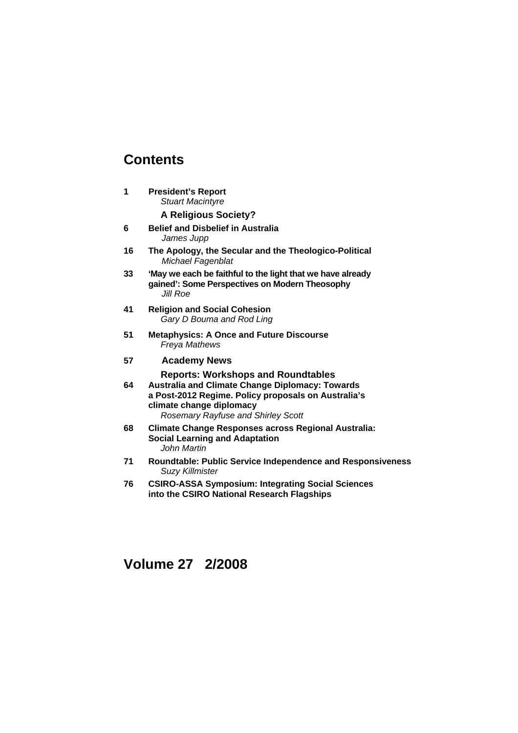# **Contents**

**1 President's Report**  *Stuart Macintyre* 

## **A Religious Society?**

- **6 Belief and Disbelief in Australia**  *James Jupp*
- **16 The Apology, the Secular and the Theologico-Political**  *Michael Fagenblat*
- **33 'May we each be faithful to the light that we have already gained': Some Perspectives on Modern Theosophy** *Jill Roe*
- **41 Religion and Social Cohesion**  *Gary D Bouma and Rod Ling*
- **51 Metaphysics: A Once and Future Discourse**  *Freya Mathews*

### **57 Academy News**

**Reports: Workshops and Roundtables** 

- **64 Australia and Climate Change Diplomacy: Towards a Post-2012 Regime. Policy proposals on Australia's climate change diplomacy**  *Rosemary Rayfuse and Shirley Scott*
- **68 Climate Change Responses across Regional Australia: Social Learning and Adaptation**  *John Martin*
- **71 Roundtable: Public Service Independence and Responsiveness**  *Suzy Killmister*
- **76 CSIRO-ASSA Symposium: Integrating Social Sciences into the CSIRO National Research Flagships**

**Volume 27 2/2008**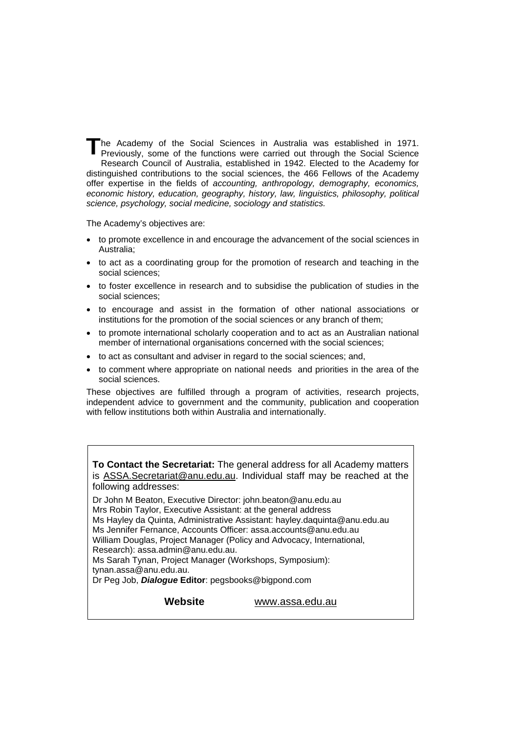he Academy of the Social Sciences in Australia was established in 1971. Previously, some of the functions were carried out through the Social Science Research Council of Australia, established in 1942. Elected to the Academy for distinguished contributions to the social sciences, the 466 Fellows of the Academy offer expertise in the fields of *accounting, anthropology, demography, economics, economic history, education, geography, history, law, linguistics, philosophy, political science, psychology, social medicine, sociology and statistics.*  **T**

The Academy's objectives are:

Г

- to promote excellence in and encourage the advancement of the social sciences in Australia;
- to act as a coordinating group for the promotion of research and teaching in the social sciences;
- to foster excellence in research and to subsidise the publication of studies in the social sciences;
- to encourage and assist in the formation of other national associations or institutions for the promotion of the social sciences or any branch of them;
- to promote international scholarly cooperation and to act as an Australian national member of international organisations concerned with the social sciences;
- to act as consultant and adviser in regard to the social sciences; and,
- to comment where appropriate on national needs and priorities in the area of the social sciences.

These objectives are fulfilled through a program of activities, research projects, independent advice to government and the community, publication and cooperation with fellow institutions both within Australia and internationally.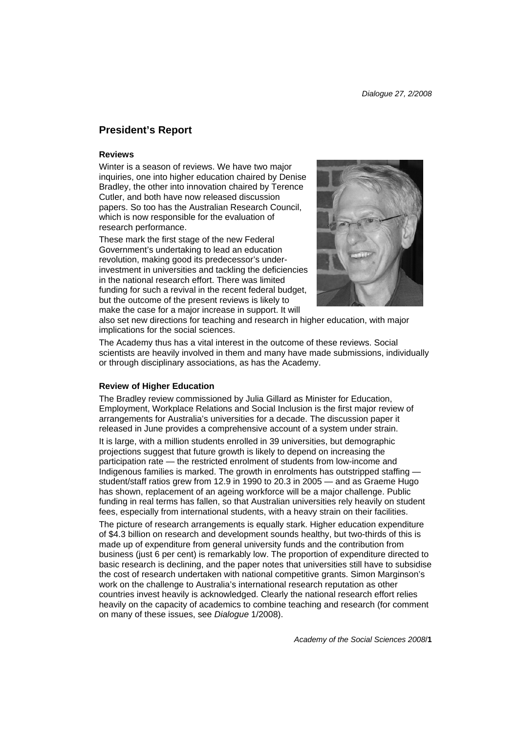# **President's Report**

#### **Reviews**

Winter is a season of reviews. We have two major inquiries, one into higher education chaired by Denise Bradley, the other into innovation chaired by Terence Cutler, and both have now released discussion papers. So too has the Australian Research Council, which is now responsible for the evaluation of research performance.

These mark the first stage of the new Federal Government's undertaking to lead an education revolution, making good its predecessor's underinvestment in universities and tackling the deficiencies in the national research effort. There was limited funding for such a revival in the recent federal budget, but the outcome of the present reviews is likely to make the case for a major increase in support. It will



also set new directions for teaching and research in higher education, with major implications for the social sciences.

The Academy thus has a vital interest in the outcome of these reviews. Social scientists are heavily involved in them and many have made submissions, individually or through disciplinary associations, as has the Academy.

#### **Review of Higher Education**

The Bradley review commissioned by Julia Gillard as Minister for Education, Employment, Workplace Relations and Social Inclusion is the first major review of arrangements for Australia's universities for a decade. The discussion paper it released in June provides a comprehensive account of a system under strain.

It is large, with a million students enrolled in 39 universities, but demographic projections suggest that future growth is likely to depend on increasing the participation rate — the restricted enrolment of students from low-income and Indigenous families is marked. The growth in enrolments has outstripped staffing student/staff ratios grew from 12.9 in 1990 to 20.3 in 2005 — and as Graeme Hugo has shown, replacement of an ageing workforce will be a major challenge. Public funding in real terms has fallen, so that Australian universities rely heavily on student fees, especially from international students, with a heavy strain on their facilities.

The picture of research arrangements is equally stark. Higher education expenditure of \$4.3 billion on research and development sounds healthy, but two-thirds of this is made up of expenditure from general university funds and the contribution from business (just 6 per cent) is remarkably low. The proportion of expenditure directed to basic research is declining, and the paper notes that universities still have to subsidise the cost of research undertaken with national competitive grants. Simon Marginson's work on the challenge to Australia's international research reputation as other countries invest heavily is acknowledged. Clearly the national research effort relies heavily on the capacity of academics to combine teaching and research (for comment on many of these issues, see *Dialogue* 1/2008).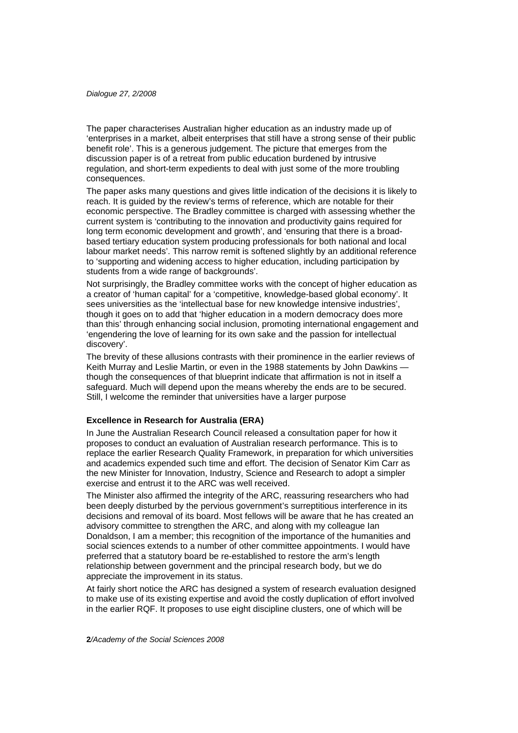The paper characterises Australian higher education as an industry made up of 'enterprises in a market, albeit enterprises that still have a strong sense of their public benefit role'. This is a generous judgement. The picture that emerges from the discussion paper is of a retreat from public education burdened by intrusive regulation, and short-term expedients to deal with just some of the more troubling consequences.

The paper asks many questions and gives little indication of the decisions it is likely to reach. It is guided by the review's terms of reference, which are notable for their economic perspective. The Bradley committee is charged with assessing whether the current system is 'contributing to the innovation and productivity gains required for long term economic development and growth', and 'ensuring that there is a broadbased tertiary education system producing professionals for both national and local labour market needs'. This narrow remit is softened slightly by an additional reference to 'supporting and widening access to higher education, including participation by students from a wide range of backgrounds'.

Not surprisingly, the Bradley committee works with the concept of higher education as a creator of 'human capital' for a 'competitive, knowledge-based global economy'. It sees universities as the 'intellectual base for new knowledge intensive industries', though it goes on to add that 'higher education in a modern democracy does more than this' through enhancing social inclusion, promoting international engagement and 'engendering the love of learning for its own sake and the passion for intellectual discovery'.

The brevity of these allusions contrasts with their prominence in the earlier reviews of Keith Murray and Leslie Martin, or even in the 1988 statements by John Dawkins though the consequences of that blueprint indicate that affirmation is not in itself a safeguard. Much will depend upon the means whereby the ends are to be secured. Still, I welcome the reminder that universities have a larger purpose

#### **Excellence in Research for Australia (ERA)**

In June the Australian Research Council released a consultation paper for how it proposes to conduct an evaluation of Australian research performance. This is to replace the earlier Research Quality Framework, in preparation for which universities and academics expended such time and effort. The decision of Senator Kim Carr as the new Minister for Innovation, Industry, Science and Research to adopt a simpler exercise and entrust it to the ARC was well received.

The Minister also affirmed the integrity of the ARC, reassuring researchers who had been deeply disturbed by the pervious government's surreptitious interference in its decisions and removal of its board. Most fellows will be aware that he has created an advisory committee to strengthen the ARC, and along with my colleague Ian Donaldson, I am a member; this recognition of the importance of the humanities and social sciences extends to a number of other committee appointments. I would have preferred that a statutory board be re-established to restore the arm's length relationship between government and the principal research body, but we do appreciate the improvement in its status.

At fairly short notice the ARC has designed a system of research evaluation designed to make use of its existing expertise and avoid the costly duplication of effort involved in the earlier RQF. It proposes to use eight discipline clusters, one of which will be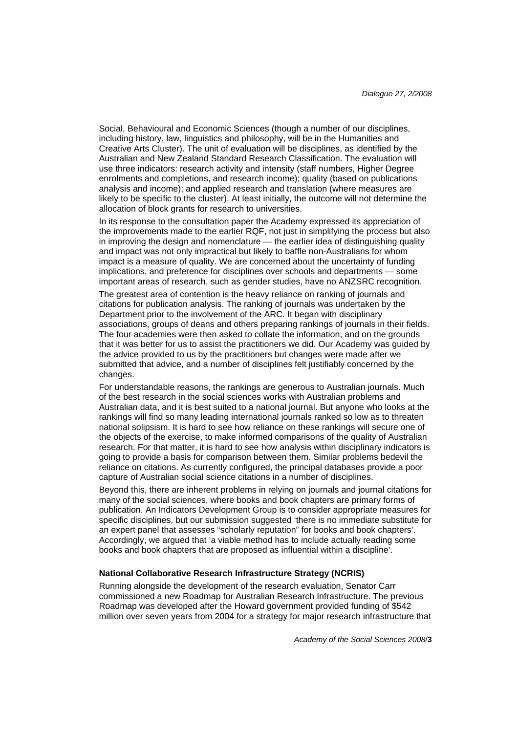Social, Behavioural and Economic Sciences (though a number of our disciplines, including history, law, linguistics and philosophy, will be in the Humanities and Creative Arts Cluster). The unit of evaluation will be disciplines, as identified by the Australian and New Zealand Standard Research Classification. The evaluation will use three indicators: research activity and intensity (staff numbers, Higher Degree enrolments and completions, and research income); quality (based on publications analysis and income); and applied research and translation (where measures are likely to be specific to the cluster). At least initially, the outcome will not determine the allocation of block grants for research to universities.

In its response to the consultation paper the Academy expressed its appreciation of the improvements made to the earlier RQF, not just in simplifying the process but also in improving the design and nomenclature — the earlier idea of distinguishing quality and impact was not only impractical but likely to baffle non-Australians for whom impact is a measure of quality. We are concerned about the uncertainty of funding implications, and preference for disciplines over schools and departments — some important areas of research, such as gender studies, have no ANZSRC recognition.

The greatest area of contention is the heavy reliance on ranking of journals and citations for publication analysis. The ranking of journals was undertaken by the Department prior to the involvement of the ARC. It began with disciplinary associations, groups of deans and others preparing rankings of journals in their fields. The four academies were then asked to collate the information, and on the grounds that it was better for us to assist the practitioners we did. Our Academy was guided by the advice provided to us by the practitioners but changes were made after we submitted that advice, and a number of disciplines felt justifiably concerned by the changes.

For understandable reasons, the rankings are generous to Australian journals. Much of the best research in the social sciences works with Australian problems and Australian data, and it is best suited to a national journal. But anyone who looks at the rankings will find so many leading international journals ranked so low as to threaten national solipsism. It is hard to see how reliance on these rankings will secure one of the objects of the exercise, to make informed comparisons of the quality of Australian research. For that matter, it is hard to see how analysis within disciplinary indicators is going to provide a basis for comparison between them. Similar problems bedevil the reliance on citations. As currently configured, the principal databases provide a poor capture of Australian social science citations in a number of disciplines.

Beyond this, there are inherent problems in relying on journals and journal citations for many of the social sciences, where books and book chapters are primary forms of publication. An Indicators Development Group is to consider appropriate measures for specific disciplines, but our submission suggested 'there is no immediate substitute for an expert panel that assesses "scholarly reputation" for books and book chapters'. Accordingly, we argued that 'a viable method has to include actually reading some books and book chapters that are proposed as influential within a discipline'.

### **National Collaborative Research Infrastructure Strategy (NCRIS)**

Running alongside the development of the research evaluation, Senator Carr commissioned a new Roadmap for Australian Research Infrastructure. The previous Roadmap was developed after the Howard government provided funding of \$542 million over seven years from 2004 for a strategy for major research infrastructure that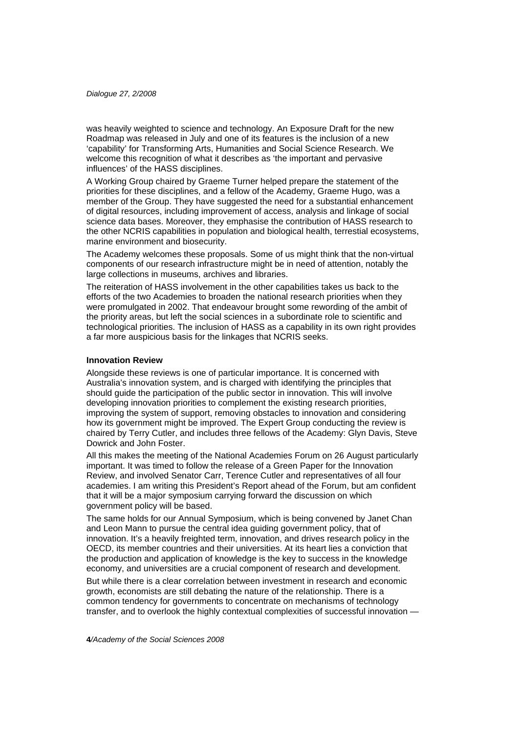was heavily weighted to science and technology. An Exposure Draft for the new Roadmap was released in July and one of its features is the inclusion of a new 'capability' for Transforming Arts, Humanities and Social Science Research. We welcome this recognition of what it describes as 'the important and pervasive influences' of the HASS disciplines.

A Working Group chaired by Graeme Turner helped prepare the statement of the priorities for these disciplines, and a fellow of the Academy, Graeme Hugo, was a member of the Group. They have suggested the need for a substantial enhancement of digital resources, including improvement of access, analysis and linkage of social science data bases. Moreover, they emphasise the contribution of HASS research to the other NCRIS capabilities in population and biological health, terrestial ecosystems, marine environment and biosecurity.

The Academy welcomes these proposals. Some of us might think that the non-virtual components of our research infrastructure might be in need of attention, notably the large collections in museums, archives and libraries.

The reiteration of HASS involvement in the other capabilities takes us back to the efforts of the two Academies to broaden the national research priorities when they were promulgated in 2002. That endeavour brought some rewording of the ambit of the priority areas, but left the social sciences in a subordinate role to scientific and technological priorities. The inclusion of HASS as a capability in its own right provides a far more auspicious basis for the linkages that NCRIS seeks.

#### **Innovation Review**

Alongside these reviews is one of particular importance. It is concerned with Australia's innovation system, and is charged with identifying the principles that should guide the participation of the public sector in innovation. This will involve developing innovation priorities to complement the existing research priorities, improving the system of support, removing obstacles to innovation and considering how its government might be improved. The Expert Group conducting the review is chaired by Terry Cutler, and includes three fellows of the Academy: Glyn Davis, Steve Dowrick and John Foster.

All this makes the meeting of the National Academies Forum on 26 August particularly important. It was timed to follow the release of a Green Paper for the Innovation Review, and involved Senator Carr, Terence Cutler and representatives of all four academies. I am writing this President's Report ahead of the Forum, but am confident that it will be a major symposium carrying forward the discussion on which government policy will be based.

The same holds for our Annual Symposium, which is being convened by Janet Chan and Leon Mann to pursue the central idea guiding government policy, that of innovation. It's a heavily freighted term, innovation, and drives research policy in the OECD, its member countries and their universities. At its heart lies a conviction that the production and application of knowledge is the key to success in the knowledge economy, and universities are a crucial component of research and development.

But while there is a clear correlation between investment in research and economic growth, economists are still debating the nature of the relationship. There is a common tendency for governments to concentrate on mechanisms of technology transfer, and to overlook the highly contextual complexities of successful innovation —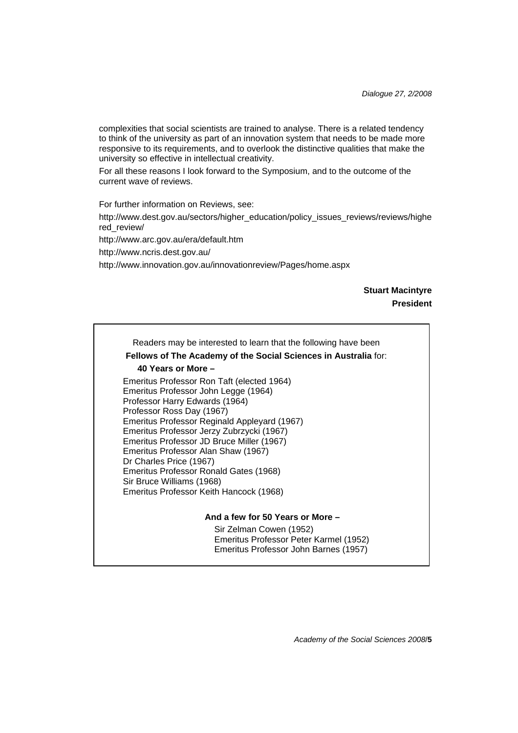complexities that social scientists are trained to analyse. There is a related tendency to think of the university as part of an innovation system that needs to be made more responsive to its requirements, and to overlook the distinctive qualities that make the university so effective in intellectual creativity.

For all these reasons I look forward to the Symposium, and to the outcome of the current wave of reviews.

For further information on Reviews, see: http://www.dest.gov.au/sectors/higher\_education/policy\_issues\_reviews/reviews/highe red\_review/ http://www.arc.gov.au/era/default.htm http://www.ncris.dest.gov.au/ http://www.innovation.gov.au/innovationreview/Pages/home.aspx

> **Stuart Macintyre President**

Readers may be interested to learn that the following have been **Fellows of The Academy of the Social Sciences in Australia** for:

#### **40 Years or More –**

 Emeritus Professor Ron Taft (elected 1964) Emeritus Professor John Legge (1964) Professor Harry Edwards (1964) Professor Ross Day (1967) Emeritus Professor Reginald Appleyard (1967) Emeritus Professor Jerzy Zubrzycki (1967) Emeritus Professor JD Bruce Miller (1967) Emeritus Professor Alan Shaw (1967) Dr Charles Price (1967) Emeritus Professor Ronald Gates (1968) Sir Bruce Williams (1968) Emeritus Professor Keith Hancock (1968)

#### **And a few for 50 Years or More –**

 Sir Zelman Cowen (1952) Emeritus Professor Peter Karmel (1952) Emeritus Professor John Barnes (1957)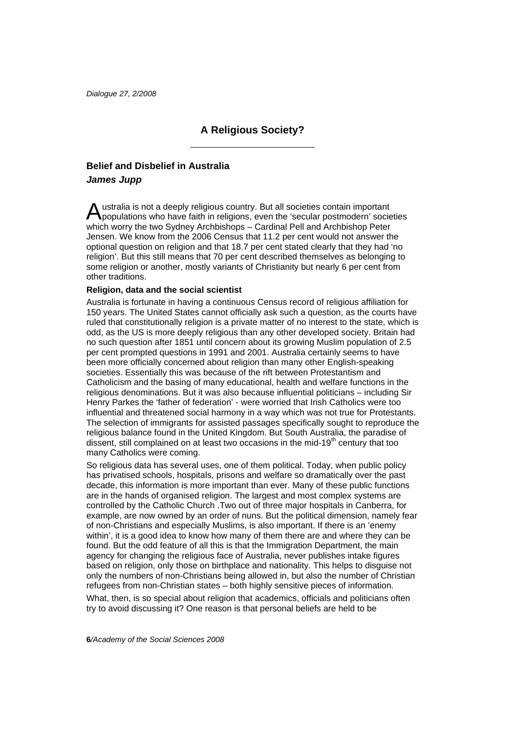# **A Religious Society?**

### **Belief and Disbelief in Australia**

### *James Jupp*

ustralia is not a deeply religious country. But all societies contain important A ustralia is not a deeply religious country. But all societies contain important<br>populations who have faith in religions, even the 'secular postmodern' societies which worry the two Sydney Archbishops – Cardinal Pell and Archbishop Peter Jensen. We know from the 2006 Census that 11.2 per cent would not answer the optional question on religion and that 18.7 per cent stated clearly that they had 'no religion'. But this still means that 70 per cent described themselves as belonging to some religion or another, mostly variants of Christianity but nearly 6 per cent from other traditions.

#### **Religion, data and the social scientist**

Australia is fortunate in having a continuous Census record of religious affiliation for 150 years. The United States cannot officially ask such a question, as the courts have ruled that constitutionally religion is a private matter of no interest to the state, which is odd, as the US is more deeply religious than any other developed society. Britain had no such question after 1851 until concern about its growing Muslim population of 2.5 per cent prompted questions in 1991 and 2001. Australia certainly seems to have been more officially concerned about religion than many other English-speaking societies. Essentially this was because of the rift between Protestantism and Catholicism and the basing of many educational, health and welfare functions in the religious denominations. But it was also because influential politicians – including Sir Henry Parkes the 'father of federation' - were worried that Irish Catholics were too influential and threatened social harmony in a way which was not true for Protestants. The selection of immigrants for assisted passages specifically sought to reproduce the religious balance found in the United Kingdom. But South Australia, the paradise of dissent, still complained on at least two occasions in the mid-19 $<sup>th</sup>$  century that too</sup> many Catholics were coming.

So religious data has several uses, one of them political. Today, when public policy has privatised schools, hospitals, prisons and welfare so dramatically over the past decade, this information is more important than ever. Many of these public functions are in the hands of organised religion. The largest and most complex systems are controlled by the Catholic Church .Two out of three major hospitals in Canberra, for example, are now owned by an order of nuns. But the political dimension, namely fear of non-Christians and especially Muslims, is also important. If there is an 'enemy within', it is a good idea to know how many of them there are and where they can be found. But the odd feature of all this is that the Immigration Department, the main agency for changing the religious face of Australia, never publishes intake figures based on religion, only those on birthplace and nationality. This helps to disguise not only the numbers of non-Christians being allowed in, but also the number of Christian refugees from non-Christian states – both highly sensitive pieces of information. What, then, is so special about religion that academics, officials and politicians often try to avoid discussing it? One reason is that personal beliefs are held to be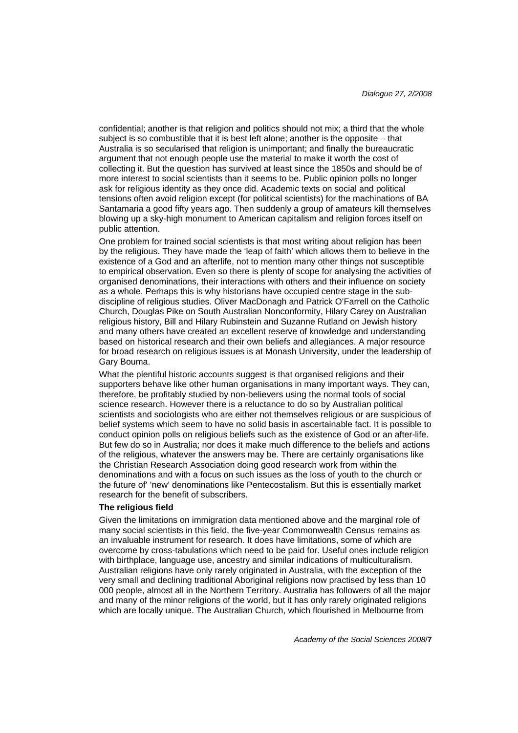confidential; another is that religion and politics should not mix; a third that the whole subject is so combustible that it is best left alone; another is the opposite – that Australia is so secularised that religion is unimportant; and finally the bureaucratic argument that not enough people use the material to make it worth the cost of collecting it. But the question has survived at least since the 1850s and should be of more interest to social scientists than it seems to be. Public opinion polls no longer ask for religious identity as they once did. Academic texts on social and political tensions often avoid religion except (for political scientists) for the machinations of BA Santamaria a good fifty years ago. Then suddenly a group of amateurs kill themselves blowing up a sky-high monument to American capitalism and religion forces itself on public attention.

One problem for trained social scientists is that most writing about religion has been by the religious. They have made the 'leap of faith' which allows them to believe in the existence of a God and an afterlife, not to mention many other things not susceptible to empirical observation. Even so there is plenty of scope for analysing the activities of organised denominations, their interactions with others and their influence on society as a whole. Perhaps this is why historians have occupied centre stage in the subdiscipline of religious studies. Oliver MacDonagh and Patrick O'Farrell on the Catholic Church, Douglas Pike on South Australian Nonconformity, Hilary Carey on Australian religious history, Bill and Hilary Rubinstein and Suzanne Rutland on Jewish history and many others have created an excellent reserve of knowledge and understanding based on historical research and their own beliefs and allegiances. A major resource for broad research on religious issues is at Monash University, under the leadership of Gary Bouma.

What the plentiful historic accounts suggest is that organised religions and their supporters behave like other human organisations in many important ways. They can, therefore, be profitably studied by non-believers using the normal tools of social science research. However there is a reluctance to do so by Australian political scientists and sociologists who are either not themselves religious or are suspicious of belief systems which seem to have no solid basis in ascertainable fact. It is possible to conduct opinion polls on religious beliefs such as the existence of God or an after-life. But few do so in Australia; nor does it make much difference to the beliefs and actions of the religious, whatever the answers may be. There are certainly organisations like the Christian Research Association doing good research work from within the denominations and with a focus on such issues as the loss of youth to the church or the future of' 'new' denominations like Pentecostalism. But this is essentially market research for the benefit of subscribers.

#### **The religious field**

Given the limitations on immigration data mentioned above and the marginal role of many social scientists in this field, the five-year Commonwealth Census remains as an invaluable instrument for research. It does have limitations, some of which are overcome by cross-tabulations which need to be paid for. Useful ones include religion with birthplace, language use, ancestry and similar indications of multiculturalism. Australian religions have only rarely originated in Australia, with the exception of the very small and declining traditional Aboriginal religions now practised by less than 10 000 people, almost all in the Northern Territory. Australia has followers of all the major and many of the minor religions of the world, but it has only rarely originated religions which are locally unique. The Australian Church, which flourished in Melbourne from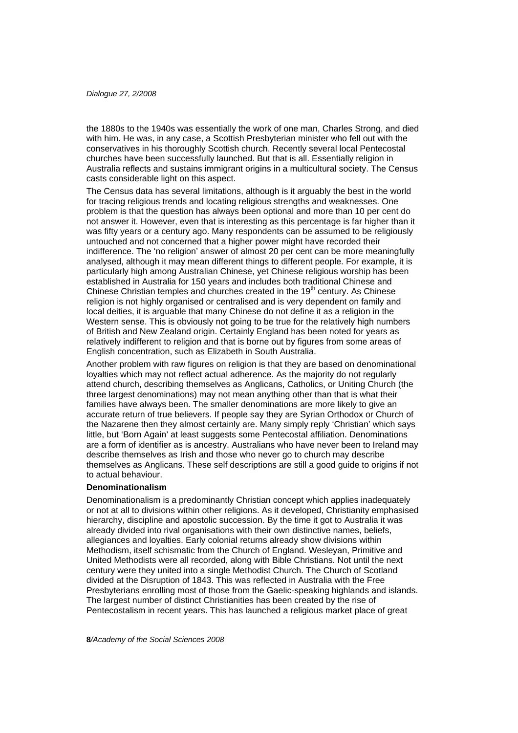the 1880s to the 1940s was essentially the work of one man, Charles Strong, and died with him. He was, in any case, a Scottish Presbyterian minister who fell out with the conservatives in his thoroughly Scottish church. Recently several local Pentecostal churches have been successfully launched. But that is all. Essentially religion in Australia reflects and sustains immigrant origins in a multicultural society. The Census casts considerable light on this aspect.

The Census data has several limitations, although is it arguably the best in the world for tracing religious trends and locating religious strengths and weaknesses. One problem is that the question has always been optional and more than 10 per cent do not answer it. However, even that is interesting as this percentage is far higher than it was fifty years or a century ago. Many respondents can be assumed to be religiously untouched and not concerned that a higher power might have recorded their indifference. The 'no religion' answer of almost 20 per cent can be more meaningfully analysed, although it may mean different things to different people. For example, it is particularly high among Australian Chinese, yet Chinese religious worship has been established in Australia for 150 years and includes both traditional Chinese and Chinese Christian temples and churches created in the  $19<sup>th</sup>$  century. As Chinese religion is not highly organised or centralised and is very dependent on family and local deities, it is arguable that many Chinese do not define it as a religion in the Western sense. This is obviously not going to be true for the relatively high numbers of British and New Zealand origin. Certainly England has been noted for years as relatively indifferent to religion and that is borne out by figures from some areas of English concentration, such as Elizabeth in South Australia.

Another problem with raw figures on religion is that they are based on denominational loyalties which may not reflect actual adherence. As the majority do not regularly attend church, describing themselves as Anglicans, Catholics, or Uniting Church (the three largest denominations) may not mean anything other than that is what their families have always been. The smaller denominations are more likely to give an accurate return of true believers. If people say they are Syrian Orthodox or Church of the Nazarene then they almost certainly are. Many simply reply 'Christian' which says little, but 'Born Again' at least suggests some Pentecostal affiliation. Denominations are a form of identifier as is ancestry. Australians who have never been to Ireland may describe themselves as Irish and those who never go to church may describe themselves as Anglicans. These self descriptions are still a good guide to origins if not to actual behaviour.

#### **Denominationalism**

Denominationalism is a predominantly Christian concept which applies inadequately or not at all to divisions within other religions. As it developed, Christianity emphasised hierarchy, discipline and apostolic succession. By the time it got to Australia it was already divided into rival organisations with their own distinctive names, beliefs, allegiances and loyalties. Early colonial returns already show divisions within Methodism, itself schismatic from the Church of England. Wesleyan, Primitive and United Methodists were all recorded, along with Bible Christians. Not until the next century were they united into a single Methodist Church. The Church of Scotland divided at the Disruption of 1843. This was reflected in Australia with the Free Presbyterians enrolling most of those from the Gaelic-speaking highlands and islands. The largest number of distinct Christianities has been created by the rise of Pentecostalism in recent years. This has launched a religious market place of great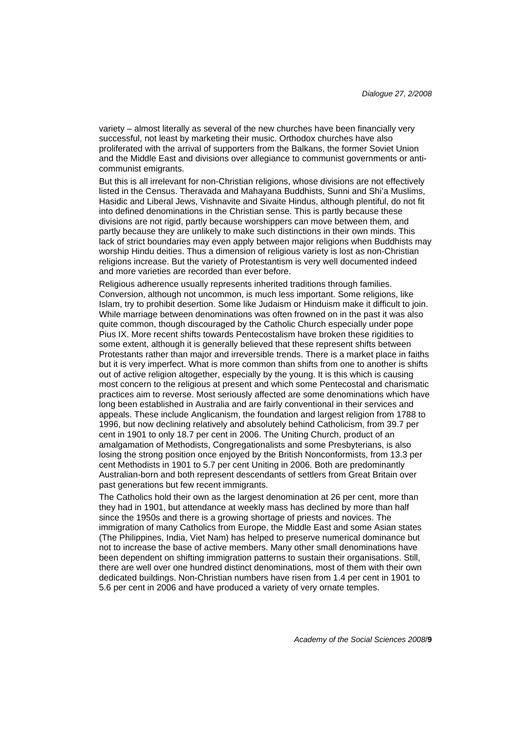variety – almost literally as several of the new churches have been financially very successful, not least by marketing their music. Orthodox churches have also proliferated with the arrival of supporters from the Balkans, the former Soviet Union and the Middle East and divisions over allegiance to communist governments or anticommunist emigrants.

But this is all irrelevant for non-Christian religions, whose divisions are not effectively listed in the Census. Theravada and Mahayana Buddhists, Sunni and Shi'a Muslims, Hasidic and Liberal Jews, Vishnavite and Sivaite Hindus, although plentiful, do not fit into defined denominations in the Christian sense. This is partly because these divisions are not rigid, partly because worshippers can move between them, and partly because they are unlikely to make such distinctions in their own minds. This lack of strict boundaries may even apply between major religions when Buddhists may worship Hindu deities. Thus a dimension of religious variety is lost as non-Christian religions increase. But the variety of Protestantism is very well documented indeed and more varieties are recorded than ever before.

Religious adherence usually represents inherited traditions through families. Conversion, although not uncommon, is much less important. Some religions, like Islam, try to prohibit desertion. Some like Judaism or Hinduism make it difficult to join. While marriage between denominations was often frowned on in the past it was also quite common, though discouraged by the Catholic Church especially under pope Pius IX. More recent shifts towards Pentecostalism have broken these rigidities to some extent, although it is generally believed that these represent shifts between Protestants rather than major and irreversible trends. There is a market place in faiths but it is very imperfect. What is more common than shifts from one to another is shifts out of active religion altogether, especially by the young. It is this which is causing most concern to the religious at present and which some Pentecostal and charismatic practices aim to reverse. Most seriously affected are some denominations which have long been established in Australia and are fairly conventional in their services and appeals. These include Anglicanism, the foundation and largest religion from 1788 to 1996, but now declining relatively and absolutely behind Catholicism, from 39.7 per cent in 1901 to only 18.7 per cent in 2006. The Uniting Church, product of an amalgamation of Methodists, Congregationalists and some Presbyterians, is also losing the strong position once enjoyed by the British Nonconformists, from 13.3 per cent Methodists in 1901 to 5.7 per cent Uniting in 2006. Both are predominantly Australian-born and both represent descendants of settlers from Great Britain over past generations but few recent immigrants.

The Catholics hold their own as the largest denomination at 26 per cent, more than they had in 1901, but attendance at weekly mass has declined by more than half since the 1950s and there is a growing shortage of priests and novices. The immigration of many Catholics from Europe, the Middle East and some Asian states (The Philippines, India, Viet Nam) has helped to preserve numerical dominance but not to increase the base of active members. Many other small denominations have been dependent on shifting immigration patterns to sustain their organisations. Still, there are well over one hundred distinct denominations, most of them with their own dedicated buildings. Non-Christian numbers have risen from 1.4 per cent in 1901 to 5.6 per cent in 2006 and have produced a variety of very ornate temples.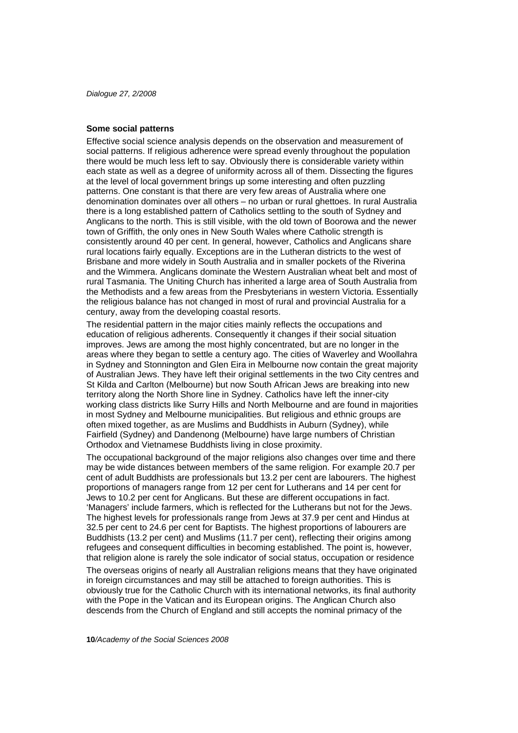#### **Some social patterns**

Effective social science analysis depends on the observation and measurement of social patterns. If religious adherence were spread evenly throughout the population there would be much less left to say. Obviously there is considerable variety within each state as well as a degree of uniformity across all of them. Dissecting the figures at the level of local government brings up some interesting and often puzzling patterns. One constant is that there are very few areas of Australia where one denomination dominates over all others – no urban or rural ghettoes. In rural Australia there is a long established pattern of Catholics settling to the south of Sydney and Anglicans to the north. This is still visible, with the old town of Boorowa and the newer town of Griffith, the only ones in New South Wales where Catholic strength is consistently around 40 per cent. In general, however, Catholics and Anglicans share rural locations fairly equally. Exceptions are in the Lutheran districts to the west of Brisbane and more widely in South Australia and in smaller pockets of the Riverina and the Wimmera. Anglicans dominate the Western Australian wheat belt and most of rural Tasmania. The Uniting Church has inherited a large area of South Australia from the Methodists and a few areas from the Presbyterians in western Victoria. Essentially the religious balance has not changed in most of rural and provincial Australia for a century, away from the developing coastal resorts.

The residential pattern in the major cities mainly reflects the occupations and education of religious adherents. Consequently it changes if their social situation improves. Jews are among the most highly concentrated, but are no longer in the areas where they began to settle a century ago. The cities of Waverley and Woollahra in Sydney and Stonnington and Glen Eira in Melbourne now contain the great majority of Australian Jews. They have left their original settlements in the two City centres and St Kilda and Carlton (Melbourne) but now South African Jews are breaking into new territory along the North Shore line in Sydney. Catholics have left the inner-city working class districts like Surry Hills and North Melbourne and are found in majorities in most Sydney and Melbourne municipalities. But religious and ethnic groups are often mixed together, as are Muslims and Buddhists in Auburn (Sydney), while Fairfield (Sydney) and Dandenong (Melbourne) have large numbers of Christian Orthodox and Vietnamese Buddhists living in close proximity.

The occupational background of the major religions also changes over time and there may be wide distances between members of the same religion. For example 20.7 per cent of adult Buddhists are professionals but 13.2 per cent are labourers. The highest proportions of managers range from 12 per cent for Lutherans and 14 per cent for Jews to 10.2 per cent for Anglicans. But these are different occupations in fact. 'Managers' include farmers, which is reflected for the Lutherans but not for the Jews. The highest levels for professionals range from Jews at 37.9 per cent and Hindus at 32.5 per cent to 24.6 per cent for Baptists. The highest proportions of labourers are Buddhists (13.2 per cent) and Muslims (11.7 per cent), reflecting their origins among refugees and consequent difficulties in becoming established. The point is, however, that religion alone is rarely the sole indicator of social status, occupation or residence

The overseas origins of nearly all Australian religions means that they have originated in foreign circumstances and may still be attached to foreign authorities. This is obviously true for the Catholic Church with its international networks, its final authority with the Pope in the Vatican and its European origins. The Anglican Church also descends from the Church of England and still accepts the nominal primacy of the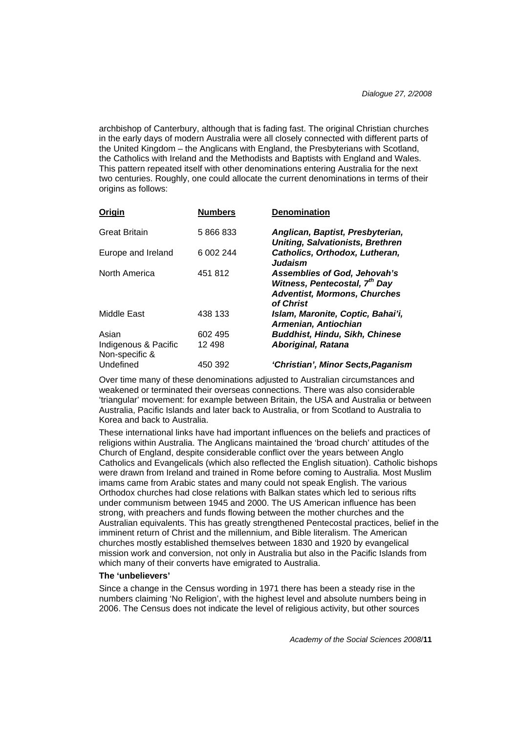archbishop of Canterbury, although that is fading fast. The original Christian churches in the early days of modern Australia were all closely connected with different parts of the United Kingdom – the Anglicans with England, the Presbyterians with Scotland, the Catholics with Ireland and the Methodists and Baptists with England and Wales. This pattern repeated itself with other denominations entering Australia for the next two centuries. Roughly, one could allocate the current denominations in terms of their origins as follows:

| Origin                                 | <b>Numbers</b> | <b>Denomination</b>                                                                                                                  |
|----------------------------------------|----------------|--------------------------------------------------------------------------------------------------------------------------------------|
| <b>Great Britain</b>                   | 5866833        | Anglican, Baptist, Presbyterian,<br><b>Uniting, Salvationists, Brethren</b>                                                          |
| Europe and Ireland                     | 6 002 244      | Catholics, Orthodox, Lutheran,<br>Judaism                                                                                            |
| North America                          | 451812         | <b>Assemblies of God, Jehovah's</b><br>Witness, Pentecostal, 7 <sup>th</sup> Day<br><b>Adventist, Mormons, Churches</b><br>of Christ |
| Middle East                            | 438 133        | Islam, Maronite, Coptic, Bahai'i,<br>Armenian, Antiochian                                                                            |
| Asian                                  | 602 495        | <b>Buddhist, Hindu, Sikh, Chinese</b>                                                                                                |
| Indigenous & Pacific<br>Non-specific & | 12 498         | <b>Aboriginal, Ratana</b>                                                                                                            |
| Undefined                              | 450 392        | 'Christian', Minor Sects, Paganism                                                                                                   |

Over time many of these denominations adjusted to Australian circumstances and weakened or terminated their overseas connections. There was also considerable 'triangular' movement: for example between Britain, the USA and Australia or between Australia, Pacific Islands and later back to Australia, or from Scotland to Australia to Korea and back to Australia.

These international links have had important influences on the beliefs and practices of religions within Australia. The Anglicans maintained the 'broad church' attitudes of the Church of England, despite considerable conflict over the years between Anglo Catholics and Evangelicals (which also reflected the English situation). Catholic bishops were drawn from Ireland and trained in Rome before coming to Australia. Most Muslim imams came from Arabic states and many could not speak English. The various Orthodox churches had close relations with Balkan states which led to serious rifts under communism between 1945 and 2000. The US American influence has been strong, with preachers and funds flowing between the mother churches and the Australian equivalents. This has greatly strengthened Pentecostal practices, belief in the imminent return of Christ and the millennium, and Bible literalism. The American churches mostly established themselves between 1830 and 1920 by evangelical mission work and conversion, not only in Australia but also in the Pacific Islands from which many of their converts have emigrated to Australia.

#### **The 'unbelievers'**

Since a change in the Census wording in 1971 there has been a steady rise in the numbers claiming 'No Religion', with the highest level and absolute numbers being in 2006. The Census does not indicate the level of religious activity, but other sources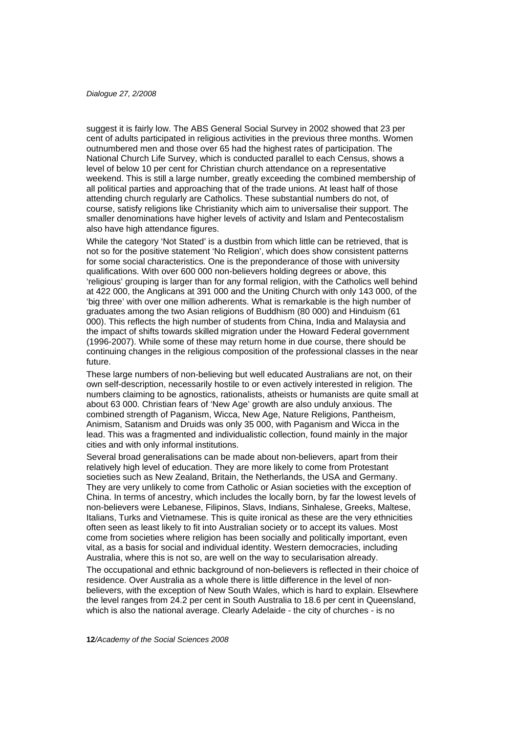suggest it is fairly low. The ABS General Social Survey in 2002 showed that 23 per cent of adults participated in religious activities in the previous three months. Women outnumbered men and those over 65 had the highest rates of participation. The National Church Life Survey, which is conducted parallel to each Census, shows a level of below 10 per cent for Christian church attendance on a representative weekend. This is still a large number, greatly exceeding the combined membership of all political parties and approaching that of the trade unions. At least half of those attending church regularly are Catholics. These substantial numbers do not, of course, satisfy religions like Christianity which aim to universalise their support. The smaller denominations have higher levels of activity and Islam and Pentecostalism also have high attendance figures.

While the category 'Not Stated' is a dustbin from which little can be retrieved, that is not so for the positive statement 'No Religion', which does show consistent patterns for some social characteristics. One is the preponderance of those with university qualifications. With over 600 000 non-believers holding degrees or above, this 'religious' grouping is larger than for any formal religion, with the Catholics well behind at 422 000, the Anglicans at 391 000 and the Uniting Church with only 143 000, of the 'big three' with over one million adherents. What is remarkable is the high number of graduates among the two Asian religions of Buddhism (80 000) and Hinduism (61 000). This reflects the high number of students from China, India and Malaysia and the impact of shifts towards skilled migration under the Howard Federal government (1996-2007). While some of these may return home in due course, there should be continuing changes in the religious composition of the professional classes in the near future.

These large numbers of non-believing but well educated Australians are not, on their own self-description, necessarily hostile to or even actively interested in religion. The numbers claiming to be agnostics, rationalists, atheists or humanists are quite small at about 63 000. Christian fears of 'New Age' growth are also unduly anxious. The combined strength of Paganism, Wicca, New Age, Nature Religions, Pantheism, Animism, Satanism and Druids was only 35 000, with Paganism and Wicca in the lead. This was a fragmented and individualistic collection, found mainly in the major cities and with only informal institutions.

Several broad generalisations can be made about non-believers, apart from their relatively high level of education. They are more likely to come from Protestant societies such as New Zealand, Britain, the Netherlands, the USA and Germany. They are very unlikely to come from Catholic or Asian societies with the exception of China. In terms of ancestry, which includes the locally born, by far the lowest levels of non-believers were Lebanese, Filipinos, Slavs, Indians, Sinhalese, Greeks, Maltese, Italians, Turks and Vietnamese. This is quite ironical as these are the very ethnicities often seen as least likely to fit into Australian society or to accept its values. Most come from societies where religion has been socially and politically important, even vital, as a basis for social and individual identity. Western democracies, including Australia, where this is not so, are well on the way to secularisation already.

The occupational and ethnic background of non-believers is reflected in their choice of residence. Over Australia as a whole there is little difference in the level of nonbelievers, with the exception of New South Wales, which is hard to explain. Elsewhere the level ranges from 24.2 per cent in South Australia to 18.6 per cent in Queensland, which is also the national average. Clearly Adelaide - the city of churches - is no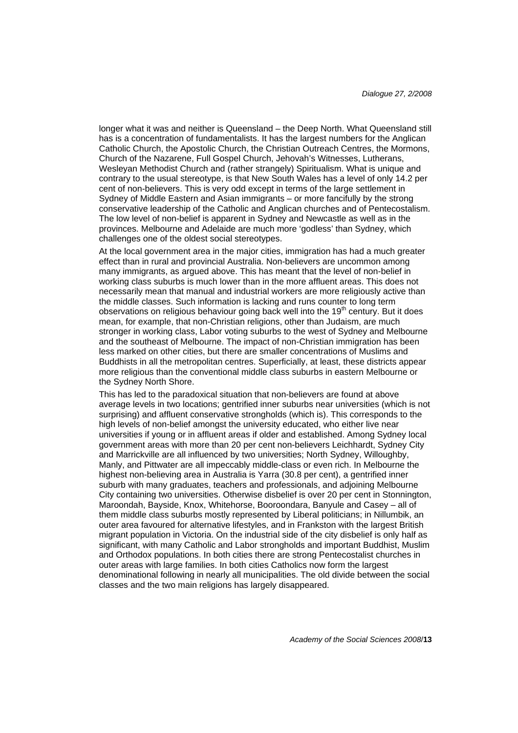longer what it was and neither is Queensland – the Deep North. What Queensland still has is a concentration of fundamentalists. It has the largest numbers for the Anglican Catholic Church, the Apostolic Church, the Christian Outreach Centres, the Mormons, Church of the Nazarene, Full Gospel Church, Jehovah's Witnesses, Lutherans, Wesleyan Methodist Church and (rather strangely) Spiritualism. What is unique and contrary to the usual stereotype, is that New South Wales has a level of only 14.2 per cent of non-believers. This is very odd except in terms of the large settlement in Sydney of Middle Eastern and Asian immigrants – or more fancifully by the strong conservative leadership of the Catholic and Anglican churches and of Pentecostalism. The low level of non-belief is apparent in Sydney and Newcastle as well as in the provinces. Melbourne and Adelaide are much more 'godless' than Sydney, which challenges one of the oldest social stereotypes.

At the local government area in the major cities, immigration has had a much greater effect than in rural and provincial Australia. Non-believers are uncommon among many immigrants, as argued above. This has meant that the level of non-belief in working class suburbs is much lower than in the more affluent areas. This does not necessarily mean that manual and industrial workers are more religiously active than the middle classes. Such information is lacking and runs counter to long term observations on religious behaviour going back well into the  $19<sup>th</sup>$  century. But it does mean, for example, that non-Christian religions, other than Judaism, are much stronger in working class, Labor voting suburbs to the west of Sydney and Melbourne and the southeast of Melbourne. The impact of non-Christian immigration has been less marked on other cities, but there are smaller concentrations of Muslims and Buddhists in all the metropolitan centres. Superficially, at least, these districts appear more religious than the conventional middle class suburbs in eastern Melbourne or the Sydney North Shore.

This has led to the paradoxical situation that non-believers are found at above average levels in two locations; gentrified inner suburbs near universities (which is not surprising) and affluent conservative strongholds (which is). This corresponds to the high levels of non-belief amongst the university educated, who either live near universities if young or in affluent areas if older and established. Among Sydney local government areas with more than 20 per cent non-believers Leichhardt, Sydney City and Marrickville are all influenced by two universities; North Sydney, Willoughby, Manly, and Pittwater are all impeccably middle-class or even rich. In Melbourne the highest non-believing area in Australia is Yarra (30.8 per cent), a gentrified inner suburb with many graduates, teachers and professionals, and adjoining Melbourne City containing two universities. Otherwise disbelief is over 20 per cent in Stonnington, Maroondah, Bayside, Knox, Whitehorse, Booroondara, Banyule and Casey – all of them middle class suburbs mostly represented by Liberal politicians; in Nillumbik, an outer area favoured for alternative lifestyles, and in Frankston with the largest British migrant population in Victoria. On the industrial side of the city disbelief is only half as significant, with many Catholic and Labor strongholds and important Buddhist, Muslim and Orthodox populations. In both cities there are strong Pentecostalist churches in outer areas with large families. In both cities Catholics now form the largest denominational following in nearly all municipalities. The old divide between the social classes and the two main religions has largely disappeared.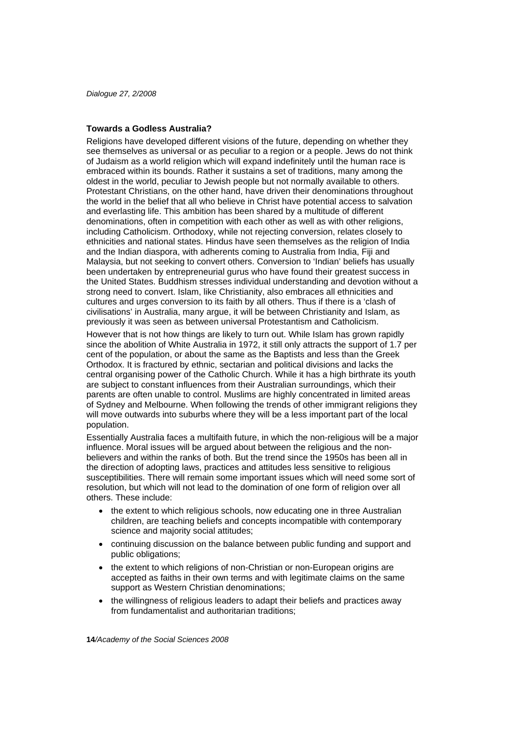### **Towards a Godless Australia?**

Religions have developed different visions of the future, depending on whether they see themselves as universal or as peculiar to a region or a people. Jews do not think of Judaism as a world religion which will expand indefinitely until the human race is embraced within its bounds. Rather it sustains a set of traditions, many among the oldest in the world, peculiar to Jewish people but not normally available to others. Protestant Christians, on the other hand, have driven their denominations throughout the world in the belief that all who believe in Christ have potential access to salvation and everlasting life. This ambition has been shared by a multitude of different denominations, often in competition with each other as well as with other religions, including Catholicism. Orthodoxy, while not rejecting conversion, relates closely to ethnicities and national states. Hindus have seen themselves as the religion of India and the Indian diaspora, with adherents coming to Australia from India, Fiji and Malaysia, but not seeking to convert others. Conversion to 'Indian' beliefs has usually been undertaken by entrepreneurial gurus who have found their greatest success in the United States. Buddhism stresses individual understanding and devotion without a strong need to convert. Islam, like Christianity, also embraces all ethnicities and cultures and urges conversion to its faith by all others. Thus if there is a 'clash of civilisations' in Australia, many argue, it will be between Christianity and Islam, as previously it was seen as between universal Protestantism and Catholicism.

However that is not how things are likely to turn out. While Islam has grown rapidly since the abolition of White Australia in 1972, it still only attracts the support of 1.7 per cent of the population, or about the same as the Baptists and less than the Greek Orthodox. It is fractured by ethnic, sectarian and political divisions and lacks the central organising power of the Catholic Church. While it has a high birthrate its youth are subject to constant influences from their Australian surroundings, which their parents are often unable to control. Muslims are highly concentrated in limited areas of Sydney and Melbourne. When following the trends of other immigrant religions they will move outwards into suburbs where they will be a less important part of the local population.

Essentially Australia faces a multifaith future, in which the non-religious will be a major influence. Moral issues will be argued about between the religious and the nonbelievers and within the ranks of both. But the trend since the 1950s has been all in the direction of adopting laws, practices and attitudes less sensitive to religious susceptibilities. There will remain some important issues which will need some sort of resolution, but which will not lead to the domination of one form of religion over all others. These include:

- the extent to which religious schools, now educating one in three Australian children, are teaching beliefs and concepts incompatible with contemporary science and majority social attitudes;
- continuing discussion on the balance between public funding and support and public obligations;
- the extent to which religions of non-Christian or non-European origins are accepted as faiths in their own terms and with legitimate claims on the same support as Western Christian denominations;
- the willingness of religious leaders to adapt their beliefs and practices away from fundamentalist and authoritarian traditions;

**14***/Academy of the Social Sciences 2008*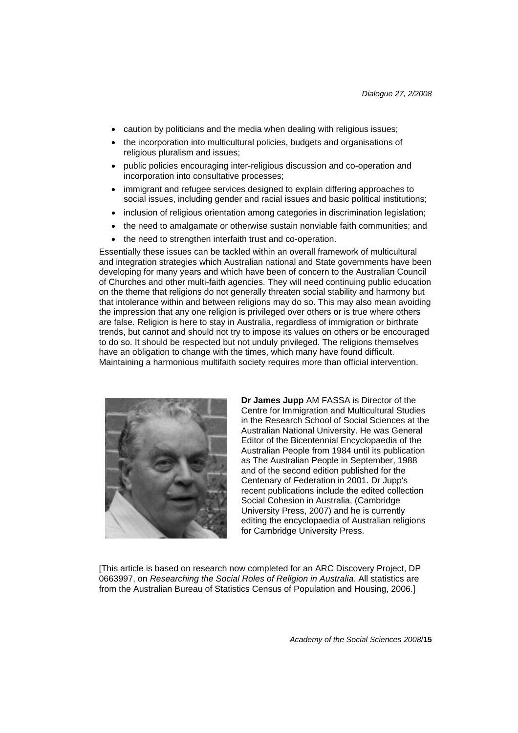- caution by politicians and the media when dealing with religious issues;
- the incorporation into multicultural policies, budgets and organisations of religious pluralism and issues:
- public policies encouraging inter-religious discussion and co-operation and incorporation into consultative processes;
- immigrant and refugee services designed to explain differing approaches to social issues, including gender and racial issues and basic political institutions;
- inclusion of religious orientation among categories in discrimination legislation;
- the need to amalgamate or otherwise sustain nonviable faith communities; and
- the need to strengthen interfaith trust and co-operation.

Essentially these issues can be tackled within an overall framework of multicultural and integration strategies which Australian national and State governments have been developing for many years and which have been of concern to the Australian Council of Churches and other multi-faith agencies. They will need continuing public education on the theme that religions do not generally threaten social stability and harmony but that intolerance within and between religions may do so. This may also mean avoiding the impression that any one religion is privileged over others or is true where others are false. Religion is here to stay in Australia, regardless of immigration or birthrate trends, but cannot and should not try to impose its values on others or be encouraged to do so. It should be respected but not unduly privileged. The religions themselves have an obligation to change with the times, which many have found difficult. Maintaining a harmonious multifaith society requires more than official intervention.



**Dr James Jupp** AM FASSA is Director of the Centre for Immigration and Multicultural Studies in the Research School of Social Sciences at the Australian National University. He was General Editor of the Bicentennial Encyclopaedia of the Australian People from 1984 until its publication as The Australian People in September, 1988 and of the second edition published for the Centenary of Federation in 2001. Dr Jupp's recent publications include the edited collection Social Cohesion in Australia, (Cambridge University Press, 2007) and he is currently editing the encyclopaedia of Australian religions for Cambridge University Press.

[This article is based on research now completed for an ARC Discovery Project, DP 0663997, on *Researching the Social Roles of Religion in Australia*. All statistics are from the Australian Bureau of Statistics Census of Population and Housing, 2006.]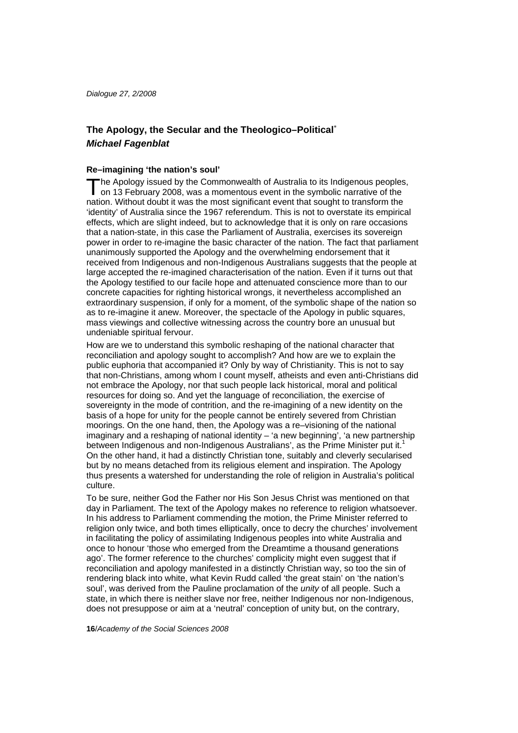# **The Apology, the Secular and the Theologico–Political**<sup>∗</sup> *Michael Fagenblat*

#### **Re–imagining 'the nation's soul'**

he Apology issued by the Commonwealth of Australia to its Indigenous peoples, The Apology issued by the Commonwealth of Australia to its Indigenous peoples<br>on 13 February 2008, was a momentous event in the symbolic narrative of the nation. Without doubt it was the most significant event that sought to transform the 'identity' of Australia since the 1967 referendum. This is not to overstate its empirical effects, which are slight indeed, but to acknowledge that it is only on rare occasions that a nation-state, in this case the Parliament of Australia, exercises its sovereign power in order to re-imagine the basic character of the nation. The fact that parliament unanimously supported the Apology and the overwhelming endorsement that it received from Indigenous and non-Indigenous Australians suggests that the people at large accepted the re-imagined characterisation of the nation. Even if it turns out that the Apology testified to our facile hope and attenuated conscience more than to our concrete capacities for righting historical wrongs, it nevertheless accomplished an extraordinary suspension, if only for a moment, of the symbolic shape of the nation so as to re-imagine it anew. Moreover, the spectacle of the Apology in public squares, mass viewings and collective witnessing across the country bore an unusual but undeniable spiritual fervour.

How are we to understand this symbolic reshaping of the national character that reconciliation and apology sought to accomplish? And how are we to explain the public euphoria that accompanied it? Only by way of Christianity. This is not to say that non-Christians, among whom I count myself, atheists and even anti-Christians did not embrace the Apology, nor that such people lack historical, moral and political resources for doing so. And yet the language of reconciliation, the exercise of sovereignty in the mode of contrition, and the re-imagining of a new identity on the basis of a hope for unity for the people cannot be entirely severed from Christian moorings. On the one hand, then, the Apology was a re–visioning of the national imaginary and a reshaping of national identity – 'a new beginning', 'a new partnership between Indigenous and non-Indigenous Australians', as the Prime Minister put it.<sup>1</sup> On the other hand, it had a distinctly Christian tone, suitably and cleverly secularised but by no means detached from its religious element and inspiration. The Apology thus presents a watershed for understanding the role of religion in Australia's political culture.

To be sure, neither God the Father nor His Son Jesus Christ was mentioned on that day in Parliament. The text of the Apology makes no reference to religion whatsoever. In his address to Parliament commending the motion, the Prime Minister referred to religion only twice, and both times elliptically, once to decry the churches' involvement in facilitating the policy of assimilating Indigenous peoples into white Australia and once to honour 'those who emerged from the Dreamtime a thousand generations ago'. The former reference to the churches' complicity might even suggest that if reconciliation and apology manifested in a distinctly Christian way, so too the sin of rendering black into white, what Kevin Rudd called 'the great stain' on 'the nation's soul', was derived from the Pauline proclamation of the *unity* of all people. Such a state, in which there is neither slave nor free, neither Indigenous nor non-Indigenous, does not presuppose or aim at a 'neutral' conception of unity but, on the contrary,

**16**/*Academy of the Social Sciences 2008*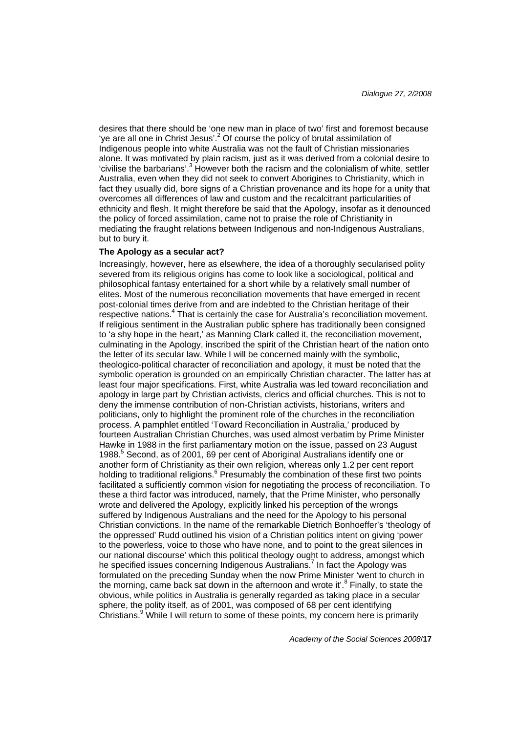desires that there should be 'one new man in place of two' first and foremost because 'ye are all one in Christ Jesus'.<sup>2</sup> Of course the policy of brutal assimilation of Indigenous people into white Australia was not the fault of Christian missionaries alone. It was motivated by plain racism, just as it was derived from a colonial desire to 'civilise the barbarians'.<sup>3</sup> However both the racism and the colonialism of white, settler Australia, even when they did not seek to convert Aborigines to Christianity, which in fact they usually did, bore signs of a Christian provenance and its hope for a unity that overcomes all differences of law and custom and the recalcitrant particularities of ethnicity and flesh. It might therefore be said that the Apology, insofar as it denounced the policy of forced assimilation, came not to praise the role of Christianity in mediating the fraught relations between Indigenous and non-Indigenous Australians, but to bury it.

#### **The Apology as a secular act?**

Increasingly, however, here as elsewhere, the idea of a thoroughly secularised polity severed from its religious origins has come to look like a sociological, political and philosophical fantasy entertained for a short while by a relatively small number of elites. Most of the numerous reconciliation movements that have emerged in recent post-colonial times derive from and are indebted to the Christian heritage of their .<br>respective nations.<sup>4</sup> That is certainly the case for Australia's reconciliation movement. If religious sentiment in the Australian public sphere has traditionally been consigned to 'a shy hope in the heart,' as Manning Clark called it, the reconciliation movement, culminating in the Apology, inscribed the spirit of the Christian heart of the nation onto the letter of its secular law. While I will be concerned mainly with the symbolic, theologico-political character of reconciliation and apology, it must be noted that the symbolic operation is grounded on an empirically Christian character. The latter has at least four major specifications. First, white Australia was led toward reconciliation and apology in large part by Christian activists, clerics and official churches. This is not to deny the immense contribution of non-Christian activists, historians, writers and politicians, only to highlight the prominent role of the churches in the reconciliation process. A pamphlet entitled 'Toward Reconciliation in Australia,' produced by fourteen Australian Christian Churches, was used almost verbatim by Prime Minister Hawke in 1988 in the first parliamentary motion on the issue, passed on 23 August 1988.<sup>5</sup> Second, as of 2001, 69 per cent of Aboriginal Australians identify one or another form of Christianity as their own religion, whereas only 1.2 per cent report holding to traditional religions.<sup>6</sup> Presumably the combination of these first two points facilitated a sufficiently common vision for negotiating the process of reconciliation. To these a third factor was introduced, namely, that the Prime Minister, who personally wrote and delivered the Apology, explicitly linked his perception of the wrongs suffered by Indigenous Australians and the need for the Apology to his personal Christian convictions. In the name of the remarkable Dietrich Bonhoeffer's 'theology of the oppressed' Rudd outlined his vision of a Christian politics intent on giving 'power to the powerless, voice to those who have none, and to point to the great silences in our national discourse' which this political theology ought to address, amongst which he specified issues concerning Indigenous Australians.<sup>7</sup> In fact the Apology was formulated on the preceding Sunday when the now Prime Minister 'went to church in the morning, came back sat down in the afternoon and wrote it'.<sup>8</sup> Finally, to state the obvious, while politics in Australia is generally regarded as taking place in a secular sphere, the polity itself, as of 2001, was composed of 68 per cent identifying Christians.<sup>9</sup> While I will return to some of these points, my concern here is primarily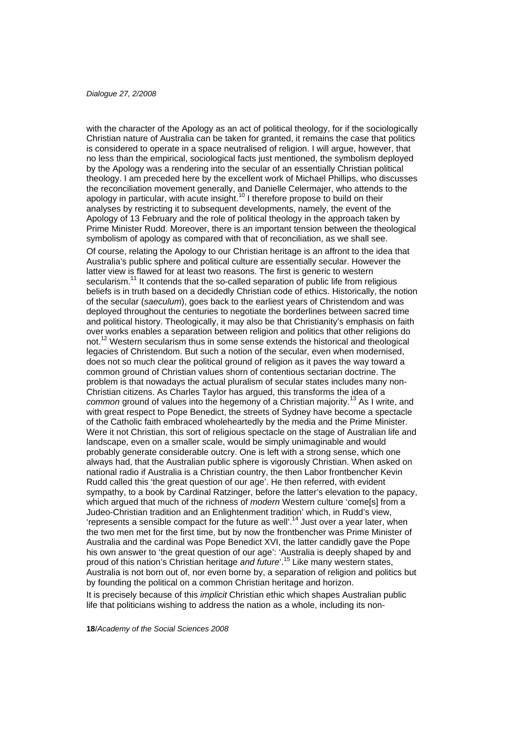with the character of the Apology as an act of political theology, for if the sociologically Christian nature of Australia can be taken for granted, it remains the case that politics is considered to operate in a space neutralised of religion. I will argue, however, that no less than the empirical, sociological facts just mentioned, the symbolism deployed by the Apology was a rendering into the secular of an essentially Christian political theology. I am preceded here by the excellent work of Michael Phillips, who discusses the reconciliation movement generally, and Danielle Celermajer, who attends to the apology in particular, with acute insight.<sup>10</sup> I therefore propose to build on their analyses by restricting it to subsequent developments, namely, the event of the Apology of 13 February and the role of political theology in the approach taken by Prime Minister Rudd. Moreover, there is an important tension between the theological symbolism of apology as compared with that of reconciliation, as we shall see. Of course, relating the Apology to our Christian heritage is an affront to the idea that Australia's public sphere and political culture are essentially secular. However the latter view is flawed for at least two reasons. The first is generic to western secularism.<sup>11</sup> It contends that the so-called separation of public life from religious beliefs is in truth based on a decidedly Christian code of ethics. Historically, the notion of the secular (*saeculum*), goes back to the earliest years of Christendom and was deployed throughout the centuries to negotiate the borderlines between sacred time and political history. Theologically, it may also be that Christianity's emphasis on faith over works enables a separation between religion and politics that other religions do not.12 Western secularism thus in some sense extends the historical and theological legacies of Christendom. But such a notion of the secular, even when modernised, does not so much clear the political ground of religion as it paves the way toward a common ground of Christian values shorn of contentious sectarian doctrine. The problem is that nowadays the actual pluralism of secular states includes many non-Christian citizens. As Charles Taylor has argued, this transforms the idea of a *common* ground of values into the hegemony of a Christian majority.<sup>13</sup> As I write, and with great respect to Pope Benedict, the streets of Sydney have become a spectacle of the Catholic faith embraced wholeheartedly by the media and the Prime Minister. Were it not Christian, this sort of religious spectacle on the stage of Australian life and landscape, even on a smaller scale, would be simply unimaginable and would probably generate considerable outcry. One is left with a strong sense, which one always had, that the Australian public sphere is vigorously Christian. When asked on national radio if Australia is a Christian country, the then Labor frontbencher Kevin Rudd called this 'the great question of our age'. He then referred, with evident sympathy, to a book by Cardinal Ratzinger, before the latter's elevation to the papacy, which argued that much of the richness of *modern* Western culture 'come[s] from a Judeo-Christian tradition and an Enlightenment tradition' which, in Rudd's view, 'represents a sensible compact for the future as well'.14 Just over a year later, when the two men met for the first time, but by now the frontbencher was Prime Minister of Australia and the cardinal was Pope Benedict XVI, the latter candidly gave the Pope his own answer to 'the great question of our age': 'Australia is deeply shaped by and proud of this nation's Christian heritage *and future*'.15 Like many western states, Australia is not born out of, nor even borne by, a separation of religion and politics but by founding the political on a common Christian heritage and horizon.

It is precisely because of this *implicit* Christian ethic which shapes Australian public life that politicians wishing to address the nation as a whole, including its non-

**18**/*Academy of the Social Sciences 2008*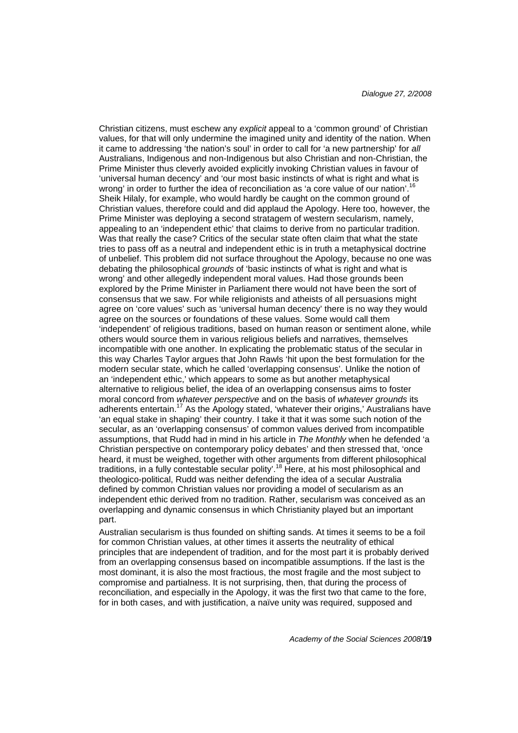Christian citizens, must eschew any *explicit* appeal to a 'common ground' of Christian values, for that will only undermine the imagined unity and identity of the nation. When it came to addressing 'the nation's soul' in order to call for 'a new partnership' for *all*  Australians, Indigenous and non-Indigenous but also Christian and non-Christian, the Prime Minister thus cleverly avoided explicitly invoking Christian values in favour of 'universal human decency' and 'our most basic instincts of what is right and what is wrong' in order to further the idea of reconciliation as 'a core value of our nation'.<sup>16</sup> Sheik Hilaly, for example, who would hardly be caught on the common ground of Christian values, therefore could and did applaud the Apology. Here too, however, the Prime Minister was deploying a second stratagem of western secularism, namely, appealing to an 'independent ethic' that claims to derive from no particular tradition. Was that really the case? Critics of the secular state often claim that what the state tries to pass off as a neutral and independent ethic is in truth a metaphysical doctrine of unbelief. This problem did not surface throughout the Apology, because no one was debating the philosophical *grounds* of 'basic instincts of what is right and what is wrong' and other allegedly independent moral values. Had those grounds been explored by the Prime Minister in Parliament there would not have been the sort of consensus that we saw. For while religionists and atheists of all persuasions might agree on 'core values' such as 'universal human decency' there is no way they would agree on the sources or foundations of these values. Some would call them 'independent' of religious traditions, based on human reason or sentiment alone, while others would source them in various religious beliefs and narratives, themselves incompatible with one another. In explicating the problematic status of the secular in this way Charles Taylor argues that John Rawls 'hit upon the best formulation for the modern secular state, which he called 'overlapping consensus'. Unlike the notion of an 'independent ethic,' which appears to some as but another metaphysical alternative to religious belief, the idea of an overlapping consensus aims to foster moral concord from *whatever perspective* and on the basis of *whatever grounds* its adherents entertain.<sup>17</sup> As the Apology stated, 'whatever their origins,' Australians have 'an equal stake in shaping' their country. I take it that it was some such notion of the secular, as an 'overlapping consensus' of common values derived from incompatible assumptions, that Rudd had in mind in his article in *The Monthly* when he defended 'a Christian perspective on contemporary policy debates' and then stressed that, 'once heard, it must be weighed, together with other arguments from different philosophical traditions, in a fully contestable secular polity'.18 Here, at his most philosophical and theologico-political, Rudd was neither defending the idea of a secular Australia defined by common Christian values nor providing a model of secularism as an independent ethic derived from no tradition. Rather, secularism was conceived as an overlapping and dynamic consensus in which Christianity played but an important part.

Australian secularism is thus founded on shifting sands. At times it seems to be a foil for common Christian values, at other times it asserts the neutrality of ethical principles that are independent of tradition, and for the most part it is probably derived from an overlapping consensus based on incompatible assumptions. If the last is the most dominant, it is also the most fractious, the most fragile and the most subject to compromise and partialness. It is not surprising, then, that during the process of reconciliation, and especially in the Apology, it was the first two that came to the fore, for in both cases, and with justification, a naïve unity was required, supposed and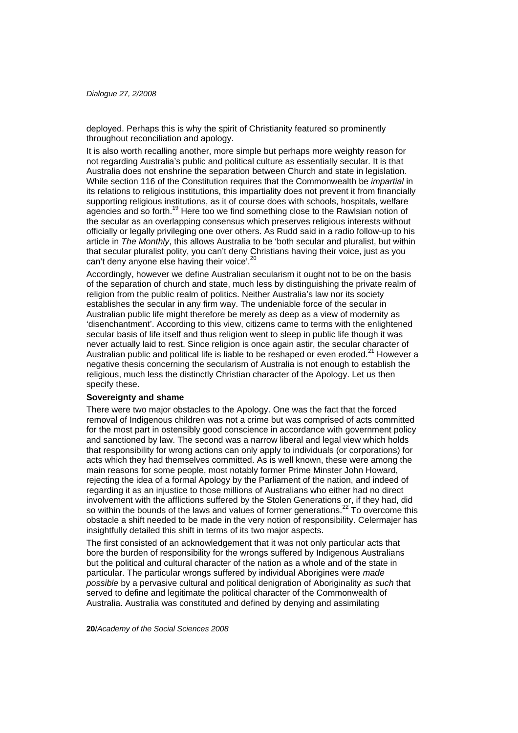deployed. Perhaps this is why the spirit of Christianity featured so prominently throughout reconciliation and apology.

It is also worth recalling another, more simple but perhaps more weighty reason for not regarding Australia's public and political culture as essentially secular. It is that Australia does not enshrine the separation between Church and state in legislation. While section 116 of the Constitution requires that the Commonwealth be *impartial* in its relations to religious institutions, this impartiality does not prevent it from financially supporting religious institutions, as it of course does with schools, hospitals, welfare agencies and so forth.19 Here too we find something close to the Rawlsian notion of the secular as an overlapping consensus which preserves religious interests without officially or legally privileging one over others. As Rudd said in a radio follow-up to his article in *The Monthly*, this allows Australia to be 'both secular and pluralist, but within that secular pluralist polity, you can't deny Christians having their voice, just as you can't deny anyone else having their voice'.<sup>20</sup>

Accordingly, however we define Australian secularism it ought not to be on the basis of the separation of church and state, much less by distinguishing the private realm of religion from the public realm of politics. Neither Australia's law nor its society establishes the secular in any firm way. The undeniable force of the secular in Australian public life might therefore be merely as deep as a view of modernity as 'disenchantment'. According to this view, citizens came to terms with the enlightened secular basis of life itself and thus religion went to sleep in public life though it was never actually laid to rest. Since religion is once again astir, the secular character of Australian public and political life is liable to be reshaped or even eroded.<sup>21</sup> However a negative thesis concerning the secularism of Australia is not enough to establish the religious, much less the distinctly Christian character of the Apology. Let us then specify these.

#### **Sovereignty and shame**

There were two major obstacles to the Apology. One was the fact that the forced removal of Indigenous children was not a crime but was comprised of acts committed for the most part in ostensibly good conscience in accordance with government policy and sanctioned by law. The second was a narrow liberal and legal view which holds that responsibility for wrong actions can only apply to individuals (or corporations) for acts which they had themselves committed. As is well known, these were among the main reasons for some people, most notably former Prime Minster John Howard, rejecting the idea of a formal Apology by the Parliament of the nation, and indeed of regarding it as an injustice to those millions of Australians who either had no direct involvement with the afflictions suffered by the Stolen Generations or, if they had, did so within the bounds of the laws and values of former generations.<sup>22</sup> To overcome this obstacle a shift needed to be made in the very notion of responsibility. Celermajer has insightfully detailed this shift in terms of its two major aspects.

The first consisted of an acknowledgement that it was not only particular acts that bore the burden of responsibility for the wrongs suffered by Indigenous Australians but the political and cultural character of the nation as a whole and of the state in particular. The particular wrongs suffered by individual Aborigines were *made possible* by a pervasive cultural and political denigration of Aboriginality *as such* that served to define and legitimate the political character of the Commonwealth of Australia. Australia was constituted and defined by denying and assimilating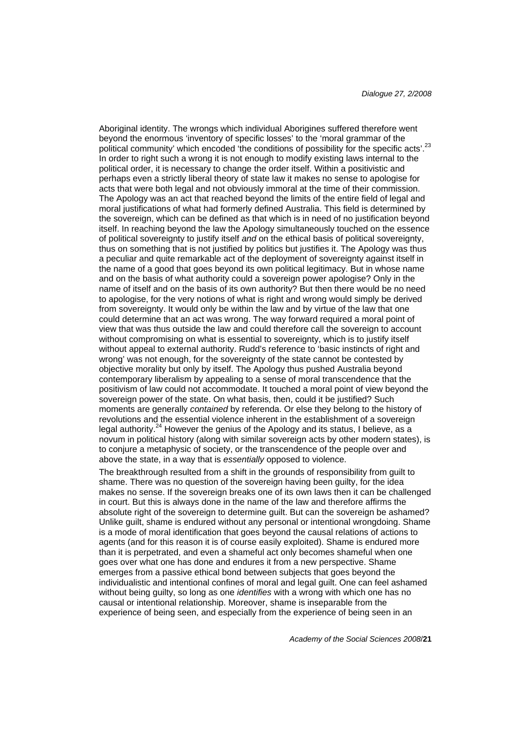Aboriginal identity. The wrongs which individual Aborigines suffered therefore went beyond the enormous 'inventory of specific losses' to the 'moral grammar of the political community' which encoded 'the conditions of possibility for the specific acts'.<sup>23</sup> In order to right such a wrong it is not enough to modify existing laws internal to the political order, it is necessary to change the order itself. Within a positivistic and perhaps even a strictly liberal theory of state law it makes no sense to apologise for acts that were both legal and not obviously immoral at the time of their commission. The Apology was an act that reached beyond the limits of the entire field of legal and moral justifications of what had formerly defined Australia. This field is determined by the sovereign, which can be defined as that which is in need of no justification beyond itself. In reaching beyond the law the Apology simultaneously touched on the essence of political sovereignty to justify itself *and* on the ethical basis of political sovereignty, thus on something that is not justified by politics but justifies it. The Apology was thus a peculiar and quite remarkable act of the deployment of sovereignty against itself in the name of a good that goes beyond its own political legitimacy. But in whose name and on the basis of what authority could a sovereign power apologise? Only in the name of itself and on the basis of its own authority? But then there would be no need to apologise, for the very notions of what is right and wrong would simply be derived from sovereignty. It would only be within the law and by virtue of the law that one could determine that an act was wrong. The way forward required a moral point of view that was thus outside the law and could therefore call the sovereign to account without compromising on what is essential to sovereignty, which is to justify itself without appeal to external authority. Rudd's reference to 'basic instincts of right and wrong' was not enough, for the sovereignty of the state cannot be contested by objective morality but only by itself. The Apology thus pushed Australia beyond contemporary liberalism by appealing to a sense of moral transcendence that the positivism of law could not accommodate. It touched a moral point of view beyond the sovereign power of the state. On what basis, then, could it be justified? Such moments are generally *contained* by referenda. Or else they belong to the history of revolutions and the essential violence inherent in the establishment of a sovereign legal authority.<sup>24</sup> However the genius of the Apology and its status, I believe, as a novum in political history (along with similar sovereign acts by other modern states), is to conjure a metaphysic of society, or the transcendence of the people over and above the state, in a way that is *essentially* opposed to violence.

The breakthrough resulted from a shift in the grounds of responsibility from guilt to shame. There was no question of the sovereign having been guilty, for the idea makes no sense. If the sovereign breaks one of its own laws then it can be challenged in court. But this is always done in the name of the law and therefore affirms the absolute right of the sovereign to determine guilt. But can the sovereign be ashamed? Unlike guilt, shame is endured without any personal or intentional wrongdoing. Shame is a mode of moral identification that goes beyond the causal relations of actions to agents (and for this reason it is of course easily exploited). Shame is endured more than it is perpetrated, and even a shameful act only becomes shameful when one goes over what one has done and endures it from a new perspective. Shame emerges from a passive ethical bond between subjects that goes beyond the individualistic and intentional confines of moral and legal guilt. One can feel ashamed without being guilty, so long as one *identifies* with a wrong with which one has no causal or intentional relationship. Moreover, shame is inseparable from the experience of being seen, and especially from the experience of being seen in an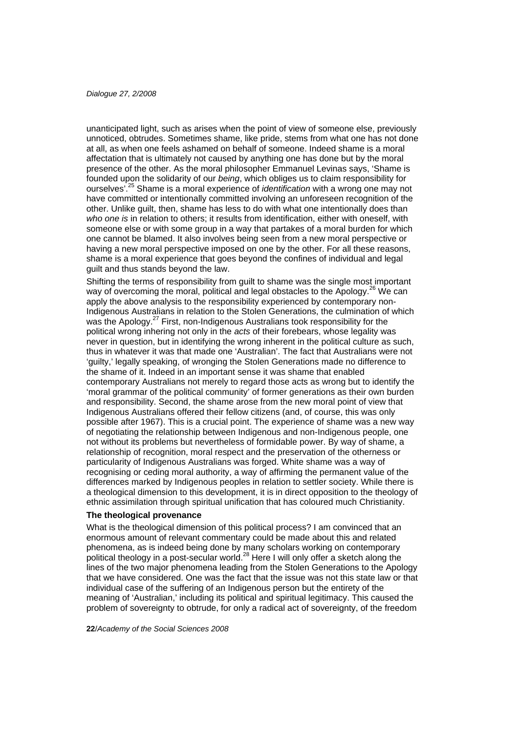unanticipated light, such as arises when the point of view of someone else, previously unnoticed, obtrudes. Sometimes shame, like pride, stems from what one has not done at all, as when one feels ashamed on behalf of someone. Indeed shame is a moral affectation that is ultimately not caused by anything one has done but by the moral presence of the other. As the moral philosopher Emmanuel Levinas says, 'Shame is founded upon the solidarity of our *being*, which obliges us to claim responsibility for ourselves'.25 Shame is a moral experience of *identification* with a wrong one may not have committed or intentionally committed involving an unforeseen recognition of the other. Unlike guilt, then, shame has less to do with what one intentionally does than *who one is* in relation to others; it results from identification, either with oneself, with someone else or with some group in a way that partakes of a moral burden for which one cannot be blamed. It also involves being seen from a new moral perspective or having a new moral perspective imposed on one by the other. For all these reasons, shame is a moral experience that goes beyond the confines of individual and legal guilt and thus stands beyond the law.

Shifting the terms of responsibility from guilt to shame was the single most important way of overcoming the moral, political and legal obstacles to the Apology.<sup>26</sup> We can apply the above analysis to the responsibility experienced by contemporary non-Indigenous Australians in relation to the Stolen Generations, the culmination of which was the Apology.<sup>27</sup> First, non-Indigenous Australians took responsibility for the political wrong inhering not only in the *acts* of their forebears, whose legality was never in question, but in identifying the wrong inherent in the political culture as such, thus in whatever it was that made one 'Australian'. The fact that Australians were not 'guilty,' legally speaking, of wronging the Stolen Generations made no difference to the shame of it. Indeed in an important sense it was shame that enabled contemporary Australians not merely to regard those acts as wrong but to identify the 'moral grammar of the political community' of former generations as their own burden and responsibility. Second, the shame arose from the new moral point of view that Indigenous Australians offered their fellow citizens (and, of course, this was only possible after 1967). This is a crucial point. The experience of shame was a new way of negotiating the relationship between Indigenous and non-Indigenous people, one not without its problems but nevertheless of formidable power. By way of shame, a relationship of recognition, moral respect and the preservation of the otherness or particularity of Indigenous Australians was forged. White shame was a way of recognising or ceding moral authority, a way of affirming the permanent value of the differences marked by Indigenous peoples in relation to settler society. While there is a theological dimension to this development, it is in direct opposition to the theology of ethnic assimilation through spiritual unification that has coloured much Christianity.

#### **The theological provenance**

What is the theological dimension of this political process? I am convinced that an enormous amount of relevant commentary could be made about this and related phenomena, as is indeed being done by many scholars working on contemporary political theology in a post-secular world.<sup>28</sup> Here I will only offer a sketch along the lines of the two major phenomena leading from the Stolen Generations to the Apology that we have considered. One was the fact that the issue was not this state law or that individual case of the suffering of an Indigenous person but the entirety of the meaning of 'Australian,' including its political and spiritual legitimacy. This caused the problem of sovereignty to obtrude, for only a radical act of sovereignty, of the freedom

**22**/*Academy of the Social Sciences 2008*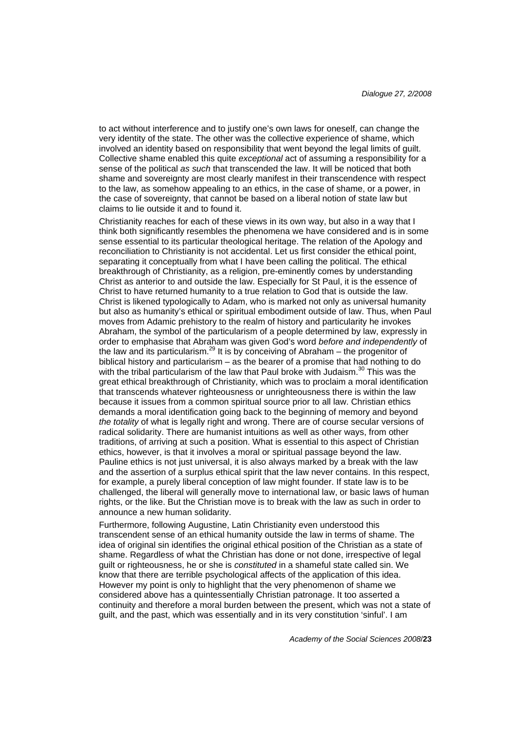to act without interference and to justify one's own laws for oneself, can change the very identity of the state. The other was the collective experience of shame, which involved an identity based on responsibility that went beyond the legal limits of guilt. Collective shame enabled this quite *exceptional* act of assuming a responsibility for a sense of the political *as such* that transcended the law. It will be noticed that both shame and sovereignty are most clearly manifest in their transcendence with respect to the law, as somehow appealing to an ethics, in the case of shame, or a power, in the case of sovereignty, that cannot be based on a liberal notion of state law but claims to lie outside it and to found it.

Christianity reaches for each of these views in its own way, but also in a way that I think both significantly resembles the phenomena we have considered and is in some sense essential to its particular theological heritage. The relation of the Apology and reconciliation to Christianity is not accidental. Let us first consider the ethical point, separating it conceptually from what I have been calling the political. The ethical breakthrough of Christianity, as a religion, pre-eminently comes by understanding Christ as anterior to and outside the law. Especially for St Paul, it is the essence of Christ to have returned humanity to a true relation to God that is outside the law. Christ is likened typologically to Adam, who is marked not only as universal humanity but also as humanity's ethical or spiritual embodiment outside of law. Thus, when Paul moves from Adamic prehistory to the realm of history and particularity he invokes Abraham, the symbol of the particularism of a people determined by law, expressly in order to emphasise that Abraham was given God's word *before and independently* of the law and its particularism.29 It is by conceiving of Abraham – the progenitor of biblical history and particularism – as the bearer of a promise that had nothing to do with the tribal particularism of the law that Paul broke with Judaism.<sup>30</sup> This was the great ethical breakthrough of Christianity, which was to proclaim a moral identification that transcends whatever righteousness or unrighteousness there is within the law because it issues from a common spiritual source prior to all law. Christian ethics demands a moral identification going back to the beginning of memory and beyond *the totality* of what is legally right and wrong. There are of course secular versions of radical solidarity. There are humanist intuitions as well as other ways, from other traditions, of arriving at such a position. What is essential to this aspect of Christian ethics, however, is that it involves a moral or spiritual passage beyond the law. Pauline ethics is not just universal, it is also always marked by a break with the law and the assertion of a surplus ethical spirit that the law never contains. In this respect, for example, a purely liberal conception of law might founder. If state law is to be challenged, the liberal will generally move to international law, or basic laws of human rights, or the like. But the Christian move is to break with the law as such in order to announce a new human solidarity.

Furthermore, following Augustine, Latin Christianity even understood this transcendent sense of an ethical humanity outside the law in terms of shame. The idea of original sin identifies the original ethical position of the Christian as a state of shame. Regardless of what the Christian has done or not done, irrespective of legal guilt or righteousness, he or she is *constituted* in a shameful state called sin. We know that there are terrible psychological affects of the application of this idea. However my point is only to highlight that the very phenomenon of shame we considered above has a quintessentially Christian patronage. It too asserted a continuity and therefore a moral burden between the present, which was not a state of guilt, and the past, which was essentially and in its very constitution 'sinful'. I am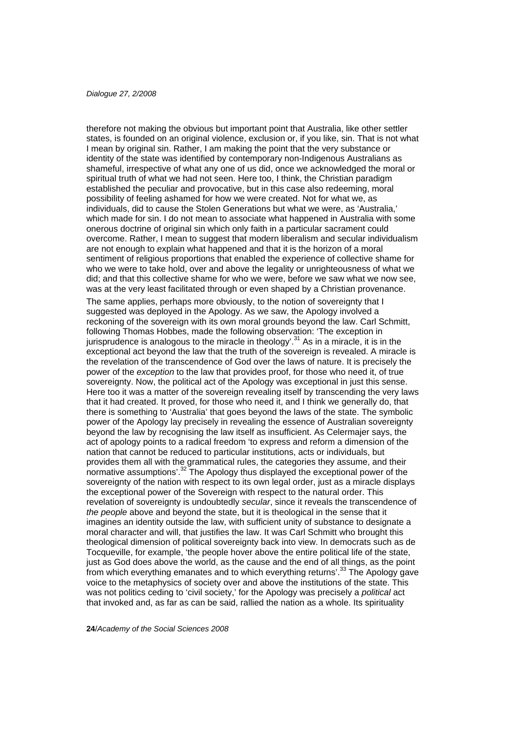therefore not making the obvious but important point that Australia, like other settler states, is founded on an original violence, exclusion or, if you like, sin. That is not what I mean by original sin. Rather, I am making the point that the very substance or identity of the state was identified by contemporary non-Indigenous Australians as shameful, irrespective of what any one of us did, once we acknowledged the moral or spiritual truth of what we had not seen. Here too, I think, the Christian paradigm established the peculiar and provocative, but in this case also redeeming, moral possibility of feeling ashamed for how we were created. Not for what we, as individuals, did to cause the Stolen Generations but what we were, as 'Australia,' which made for sin. I do not mean to associate what happened in Australia with some onerous doctrine of original sin which only faith in a particular sacrament could overcome. Rather, I mean to suggest that modern liberalism and secular individualism are not enough to explain what happened and that it is the horizon of a moral sentiment of religious proportions that enabled the experience of collective shame for who we were to take hold, over and above the legality or unrighteousness of what we did; and that this collective shame for who we were, before we saw what we now see, was at the very least facilitated through or even shaped by a Christian provenance.

The same applies, perhaps more obviously, to the notion of sovereignty that I suggested was deployed in the Apology. As we saw, the Apology involved a reckoning of the sovereign with its own moral grounds beyond the law. Carl Schmitt, following Thomas Hobbes, made the following observation: 'The exception in jurisprudence is analogous to the miracle in theology<sup>', 31</sup> As in a miracle, it is in the exceptional act beyond the law that the truth of the sovereign is revealed. A miracle is the revelation of the transcendence of God over the laws of nature. It is precisely the power of the *exception* to the law that provides proof, for those who need it, of true sovereignty. Now, the political act of the Apology was exceptional in just this sense. Here too it was a matter of the sovereign revealing itself by transcending the very laws that it had created. It proved, for those who need it, and I think we generally do, that there is something to 'Australia' that goes beyond the laws of the state. The symbolic power of the Apology lay precisely in revealing the essence of Australian sovereignty beyond the law by recognising the law itself as insufficient. As Celermajer says, the act of apology points to a radical freedom 'to express and reform a dimension of the nation that cannot be reduced to particular institutions, acts or individuals, but provides them all with the grammatical rules, the categories they assume, and their normative assumptions<sup>'32</sup> The Apology thus displayed the exceptional power of the sovereignty of the nation with respect to its own legal order, just as a miracle displays the exceptional power of the Sovereign with respect to the natural order. This revelation of sovereignty is undoubtedly *secular*, since it reveals the transcendence of *the people* above and beyond the state, but it is theological in the sense that it imagines an identity outside the law, with sufficient unity of substance to designate a moral character and will, that justifies the law. It was Carl Schmitt who brought this theological dimension of political sovereignty back into view. In democrats such as de Tocqueville, for example, 'the people hover above the entire political life of the state, just as God does above the world, as the cause and the end of all things, as the point from which everything emanates and to which everything returns'.<sup>33</sup> The Apology gave voice to the metaphysics of society over and above the institutions of the state. This was not politics ceding to 'civil society,' for the Apology was precisely a *political* act that invoked and, as far as can be said, rallied the nation as a whole. Its spirituality

**24**/*Academy of the Social Sciences 2008*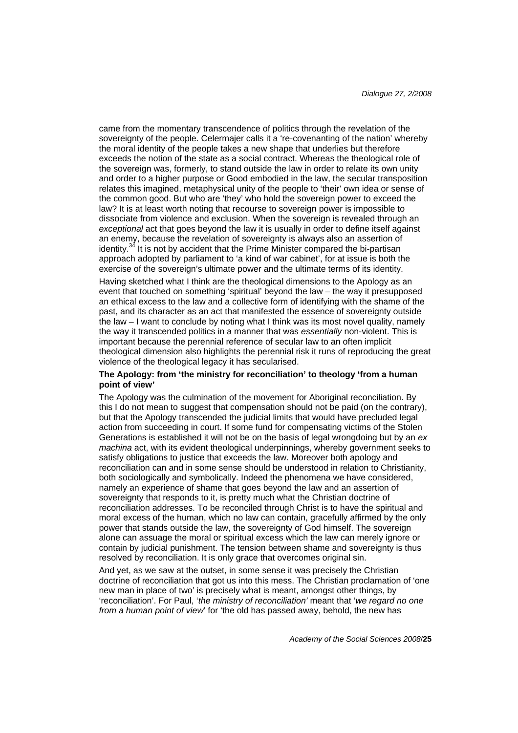came from the momentary transcendence of politics through the revelation of the sovereignty of the people. Celermajer calls it a 're-covenanting of the nation' whereby the moral identity of the people takes a new shape that underlies but therefore exceeds the notion of the state as a social contract. Whereas the theological role of the sovereign was, formerly, to stand outside the law in order to relate its own unity and order to a higher purpose or Good embodied in the law, the secular transposition relates this imagined, metaphysical unity of the people to 'their' own idea or sense of the common good. But who are 'they' who hold the sovereign power to exceed the law? It is at least worth noting that recourse to sovereign power is impossible to dissociate from violence and exclusion. When the sovereign is revealed through an *exceptional* act that goes beyond the law it is usually in order to define itself against an enemy, because the revelation of sovereignty is always also an assertion of identity.<sup>34</sup> It is not by accident that the Prime Minister compared the bi-partisan approach adopted by parliament to 'a kind of war cabinet', for at issue is both the exercise of the sovereign's ultimate power and the ultimate terms of its identity.

Having sketched what I think are the theological dimensions to the Apology as an event that touched on something 'spiritual' beyond the law – the way it presupposed an ethical excess to the law and a collective form of identifying with the shame of the past, and its character as an act that manifested the essence of sovereignty outside the law – I want to conclude by noting what I think was its most novel quality, namely the way it transcended politics in a manner that was *essentially* non-violent. This is important because the perennial reference of secular law to an often implicit theological dimension also highlights the perennial risk it runs of reproducing the great violence of the theological legacy it has secularised.

#### **The Apology: from 'the ministry for reconciliation' to theology 'from a human point of view'**

The Apology was the culmination of the movement for Aboriginal reconciliation. By this I do not mean to suggest that compensation should not be paid (on the contrary), but that the Apology transcended the judicial limits that would have precluded legal action from succeeding in court. If some fund for compensating victims of the Stolen Generations is established it will not be on the basis of legal wrongdoing but by an *ex machina* act, with its evident theological underpinnings, whereby government seeks to satisfy obligations to justice that exceeds the law. Moreover both apology and reconciliation can and in some sense should be understood in relation to Christianity, both sociologically and symbolically. Indeed the phenomena we have considered, namely an experience of shame that goes beyond the law and an assertion of sovereignty that responds to it, is pretty much what the Christian doctrine of reconciliation addresses. To be reconciled through Christ is to have the spiritual and moral excess of the human, which no law can contain, gracefully affirmed by the only power that stands outside the law, the sovereignty of God himself. The sovereign alone can assuage the moral or spiritual excess which the law can merely ignore or contain by judicial punishment. The tension between shame and sovereignty is thus resolved by reconciliation. It is only grace that overcomes original sin.

And yet, as we saw at the outset, in some sense it was precisely the Christian doctrine of reconciliation that got us into this mess. The Christian proclamation of 'one new man in place of two' is precisely what is meant, amongst other things, by 'reconciliation'. For Paul, '*the ministry of reconciliation'* meant that '*we regard no one from a human point of view*' for 'the old has passed away, behold, the new has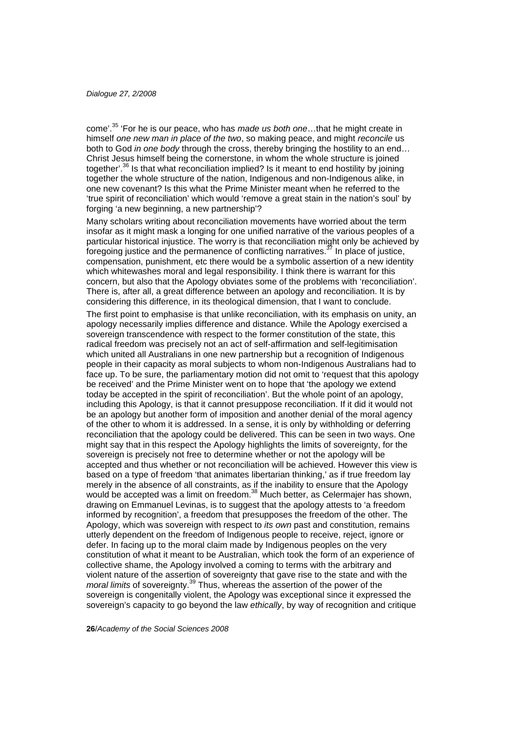come'.35 'For he is our peace, who has *made us both one*…that he might create in himself *one new man in place of the two*, so making peace, and might *reconcile* us both to God *in one body* through the cross, thereby bringing the hostility to an end… Christ Jesus himself being the cornerstone, in whom the whole structure is joined together'.<sup>36</sup> Is that what reconciliation implied? Is it meant to end hostility by joining together the whole structure of the nation, Indigenous and non-Indigenous alike, in one new covenant? Is this what the Prime Minister meant when he referred to the 'true spirit of reconciliation' which would 'remove a great stain in the nation's soul' by forging 'a new beginning, a new partnership'?

Many scholars writing about reconciliation movements have worried about the term insofar as it might mask a longing for one unified narrative of the various peoples of a particular historical injustice. The worry is that reconciliation might only be achieved by foregoing justice and the permanence of conflicting narratives. $37$  In place of justice, compensation, punishment, etc there would be a symbolic assertion of a new identity which whitewashes moral and legal responsibility. I think there is warrant for this concern, but also that the Apology obviates some of the problems with 'reconciliation'. There is, after all, a great difference between an apology and reconciliation. It is by considering this difference, in its theological dimension, that I want to conclude.

The first point to emphasise is that unlike reconciliation, with its emphasis on unity, an apology necessarily implies difference and distance. While the Apology exercised a sovereign transcendence with respect to the former constitution of the state, this radical freedom was precisely not an act of self-affirmation and self-legitimisation which united all Australians in one new partnership but a recognition of Indigenous people in their capacity as moral subjects to whom non-Indigenous Australians had to face up. To be sure, the parliamentary motion did not omit to 'request that this apology be received' and the Prime Minister went on to hope that 'the apology we extend today be accepted in the spirit of reconciliation'. But the whole point of an apology, including this Apology, is that it cannot presuppose reconciliation. If it did it would not be an apology but another form of imposition and another denial of the moral agency of the other to whom it is addressed. In a sense, it is only by withholding or deferring reconciliation that the apology could be delivered. This can be seen in two ways. One might say that in this respect the Apology highlights the limits of sovereignty, for the sovereign is precisely not free to determine whether or not the apology will be accepted and thus whether or not reconciliation will be achieved. However this view is based on a type of freedom 'that animates libertarian thinking,' as if true freedom lay merely in the absence of all constraints, as if the inability to ensure that the Apology would be accepted was a limit on freedom.<sup>38</sup> Much better, as Celermajer has shown, drawing on Emmanuel Levinas, is to suggest that the apology attests to 'a freedom informed by recognition', a freedom that presupposes the freedom of the other. The Apology, which was sovereign with respect to *its own* past and constitution, remains utterly dependent on the freedom of Indigenous people to receive, reject, ignore or defer. In facing up to the moral claim made by Indigenous peoples on the very constitution of what it meant to be Australian, which took the form of an experience of collective shame, the Apology involved a coming to terms with the arbitrary and violent nature of the assertion of sovereignty that gave rise to the state and with the moral limits of sovereignty.<sup>39</sup> Thus, whereas the assertion of the power of the sovereign is congenitally violent, the Apology was exceptional since it expressed the sovereign's capacity to go beyond the law *ethically*, by way of recognition and critique

**26**/*Academy of the Social Sciences 2008*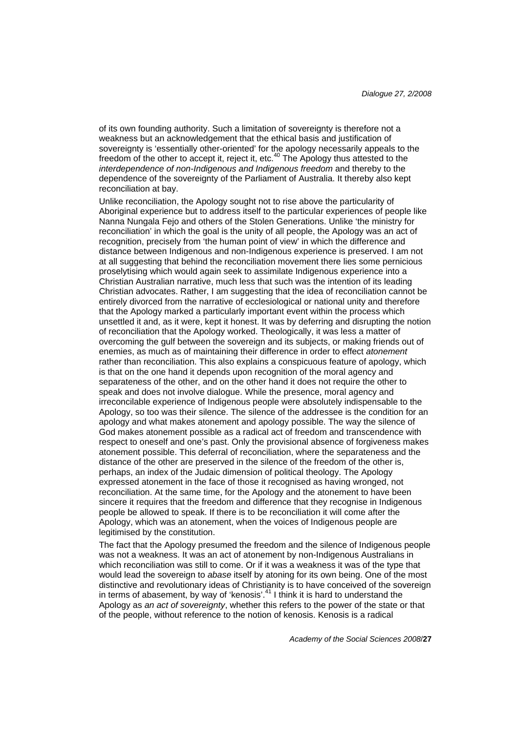of its own founding authority. Such a limitation of sovereignty is therefore not a weakness but an acknowledgement that the ethical basis and justification of sovereignty is 'essentially other-oriented' for the apology necessarily appeals to the freedom of the other to accept it, reject it, etc.<sup>40</sup> The Apology thus attested to the *interdependence of non-Indigenous and Indigenous freedom* and thereby to the dependence of the sovereignty of the Parliament of Australia. It thereby also kept reconciliation at bay.

Unlike reconciliation, the Apology sought not to rise above the particularity of Aboriginal experience but to address itself to the particular experiences of people like Nanna Nungala Fejo and others of the Stolen Generations. Unlike 'the ministry for reconciliation' in which the goal is the unity of all people, the Apology was an act of recognition, precisely from 'the human point of view' in which the difference and distance between Indigenous and non-Indigenous experience is preserved. I am not at all suggesting that behind the reconciliation movement there lies some pernicious proselytising which would again seek to assimilate Indigenous experience into a Christian Australian narrative, much less that such was the intention of its leading Christian advocates. Rather, I am suggesting that the idea of reconciliation cannot be entirely divorced from the narrative of ecclesiological or national unity and therefore that the Apology marked a particularly important event within the process which unsettled it and, as it were, kept it honest. It was by deferring and disrupting the notion of reconciliation that the Apology worked. Theologically, it was less a matter of overcoming the gulf between the sovereign and its subjects, or making friends out of enemies, as much as of maintaining their difference in order to effect *atonement* rather than reconciliation. This also explains a conspicuous feature of apology, which is that on the one hand it depends upon recognition of the moral agency and separateness of the other, and on the other hand it does not require the other to speak and does not involve dialogue. While the presence, moral agency and irreconcilable experience of Indigenous people were absolutely indispensable to the Apology, so too was their silence. The silence of the addressee is the condition for an apology and what makes atonement and apology possible. The way the silence of God makes atonement possible as a radical act of freedom and transcendence with respect to oneself and one's past. Only the provisional absence of forgiveness makes atonement possible. This deferral of reconciliation, where the separateness and the distance of the other are preserved in the silence of the freedom of the other is, perhaps, an index of the Judaic dimension of political theology. The Apology expressed atonement in the face of those it recognised as having wronged, not reconciliation. At the same time, for the Apology and the atonement to have been sincere it requires that the freedom and difference that they recognise in Indigenous people be allowed to speak. If there is to be reconciliation it will come after the Apology, which was an atonement, when the voices of Indigenous people are legitimised by the constitution.

The fact that the Apology presumed the freedom and the silence of Indigenous people was not a weakness. It was an act of atonement by non-Indigenous Australians in which reconciliation was still to come. Or if it was a weakness it was of the type that would lead the sovereign to *abase* itself by atoning for its own being. One of the most distinctive and revolutionary ideas of Christianity is to have conceived of the sovereign in terms of abasement, by way of 'kenosis'. $41$  I think it is hard to understand the Apology as *an act of sovereignty*, whether this refers to the power of the state or that of the people, without reference to the notion of kenosis. Kenosis is a radical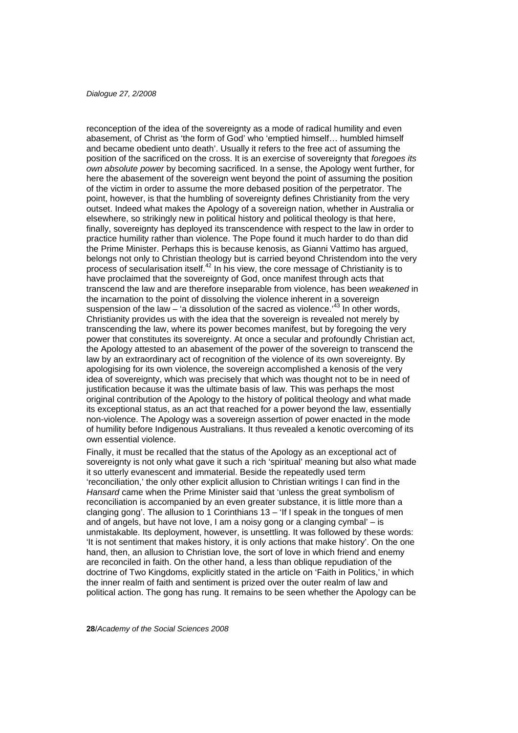reconception of the idea of the sovereignty as a mode of radical humility and even abasement, of Christ as 'the form of God' who 'emptied himself… humbled himself and became obedient unto death'. Usually it refers to the free act of assuming the position of the sacrificed on the cross. It is an exercise of sovereignty that *foregoes its own absolute power* by becoming sacrificed. In a sense, the Apology went further, for here the abasement of the sovereign went beyond the point of assuming the position of the victim in order to assume the more debased position of the perpetrator. The point, however, is that the humbling of sovereignty defines Christianity from the very outset. Indeed what makes the Apology of a sovereign nation, whether in Australia or elsewhere, so strikingly new in political history and political theology is that here, finally, sovereignty has deployed its transcendence with respect to the law in order to practice humility rather than violence. The Pope found it much harder to do than did the Prime Minister. Perhaps this is because kenosis, as Gianni Vattimo has argued, belongs not only to Christian theology but is carried beyond Christendom into the very process of secularisation itself.<sup>42</sup> In his view, the core message of Christianity is to have proclaimed that the sovereignty of God, once manifest through acts that transcend the law and are therefore inseparable from violence, has been *weakened* in the incarnation to the point of dissolving the violence inherent in a sovereign suspension of the law  $-$  'a dissolution of the sacred as violence.<sup>43</sup> In other words, Christianity provides us with the idea that the sovereign is revealed not merely by transcending the law, where its power becomes manifest, but by foregoing the very power that constitutes its sovereignty. At once a secular and profoundly Christian act, the Apology attested to an abasement of the power of the sovereign to transcend the law by an extraordinary act of recognition of the violence of its own sovereignty. By apologising for its own violence, the sovereign accomplished a kenosis of the very idea of sovereignty, which was precisely that which was thought not to be in need of justification because it was the ultimate basis of law. This was perhaps the most original contribution of the Apology to the history of political theology and what made its exceptional status, as an act that reached for a power beyond the law, essentially non-violence. The Apology was a sovereign assertion of power enacted in the mode of humility before Indigenous Australians. It thus revealed a kenotic overcoming of its own essential violence.

Finally, it must be recalled that the status of the Apology as an exceptional act of sovereignty is not only what gave it such a rich 'spiritual' meaning but also what made it so utterly evanescent and immaterial. Beside the repeatedly used term 'reconciliation,' the only other explicit allusion to Christian writings I can find in the *Hansard* came when the Prime Minister said that 'unless the great symbolism of reconciliation is accompanied by an even greater substance, it is little more than a clanging gong'. The allusion to 1 Corinthians  $13 - 1$  If I speak in the tongues of men and of angels, but have not love, I am a noisy gong or a clanging cymbal' – is unmistakable. Its deployment, however, is unsettling. It was followed by these words: 'It is not sentiment that makes history, it is only actions that make history'. On the one hand, then, an allusion to Christian love, the sort of love in which friend and enemy are reconciled in faith. On the other hand, a less than oblique repudiation of the doctrine of Two Kingdoms, explicitly stated in the article on 'Faith in Politics,' in which the inner realm of faith and sentiment is prized over the outer realm of law and political action. The gong has rung. It remains to be seen whether the Apology can be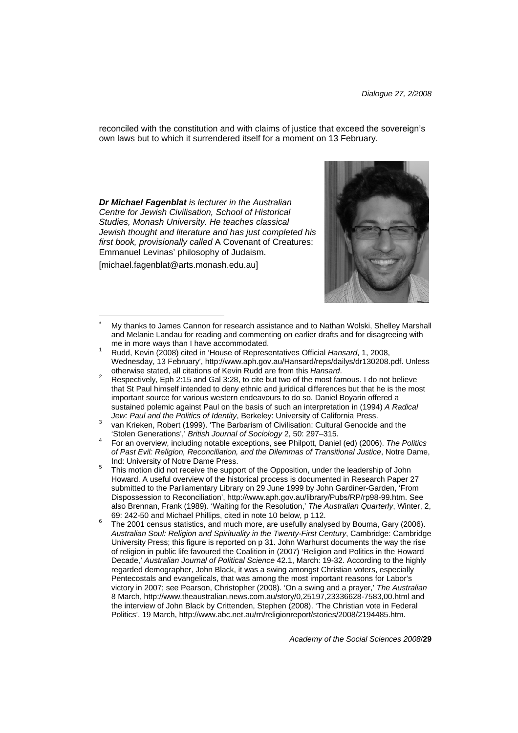reconciled with the constitution and with claims of justice that exceed the sovereign's own laws but to which it surrendered itself for a moment on 13 February.

*Dr Michael Fagenblat is lecturer in the Australian Centre for Jewish Civilisation, School of Historical Studies, Monash University. He teaches classical Jewish thought and literature and has just completed his first book, provisionally called* A Covenant of Creatures: Emmanuel Levinas' philosophy of Judaism.

[michael.fagenblat@arts.monash.edu.au]

 $\overline{a}$ 



- ∗ My thanks to James Cannon for research assistance and to Nathan Wolski, Shelley Marshall and Melanie Landau for reading and commenting on earlier drafts and for disagreeing with me in more ways than I have accommodated.
- Rudd, Kevin (2008) cited in 'House of Representatives Official *Hansard*, 1, 2008, Wednesday, 13 February', http://www.aph.gov.au/Hansard/reps/dailys/dr130208.pdf. Unless otherwise stated, all citations of Kevin Rudd are from this *Hansard*. 2
- Respectively, Eph 2:15 and Gal 3:28, to cite but two of the most famous. I do not believe that St Paul himself intended to deny ethnic and juridical differences but that he is the most important source for various western endeavours to do so. Daniel Boyarin offered a sustained polemic against Paul on the basis of such an interpretation in (1994) *A Radical Jew: Paul and the Politics of Identity*, Berkeley: University of California Press.
- van Krieken, Robert (1999). 'The Barbarism of Civilisation: Cultural Genocide and the 'Stolen Generations',' *British Journal of Sociology* 2, 50: 297–315. 4
- For an overview, including notable exceptions, see Philpott, Daniel (ed) (2006). *The Politics of Past Evil: Religion, Reconciliation, and the Dilemmas of Transitional Justice*, Notre Dame, Ind: University of Notre Dame Press.
- This motion did not receive the support of the Opposition, under the leadership of John Howard. A useful overview of the historical process is documented in Research Paper 27 submitted to the Parliamentary Library on 29 June 1999 by John Gardiner-Garden, 'From Dispossession to Reconciliation', http://www.aph.gov.au/library/Pubs/RP/rp98-99.htm. See also Brennan, Frank (1989). 'Waiting for the Resolution,' *The Australian Quarterly*, Winter, 2, 69: 242-50 and Michael Phillips, cited in note 10 below, p 112. 6
- The 2001 census statistics, and much more, are usefully analysed by Bouma, Gary (2006). *Australian Soul: Religion and Spirituality in the Twenty-First Century*, Cambridge: Cambridge University Press; this figure is reported on p 31. John Warhurst documents the way the rise of religion in public life favoured the Coalition in (2007) 'Religion and Politics in the Howard Decade,' *Australian Journal of Political Science* 42.1, March: 19-32. According to the highly regarded demographer, John Black, it was a swing amongst Christian voters, especially Pentecostals and evangelicals, that was among the most important reasons for Labor's victory in 2007; see Pearson, Christopher (2008). 'On a swing and a prayer,' *The Australian* 8 March, http://www.theaustralian.news.com.au/story/0,25197,23336628-7583,00.html and the interview of John Black by Crittenden, Stephen (2008). 'The Christian vote in Federal Politics', 19 March, http://www.abc.net.au/rn/religionreport/stories/2008/2194485.htm.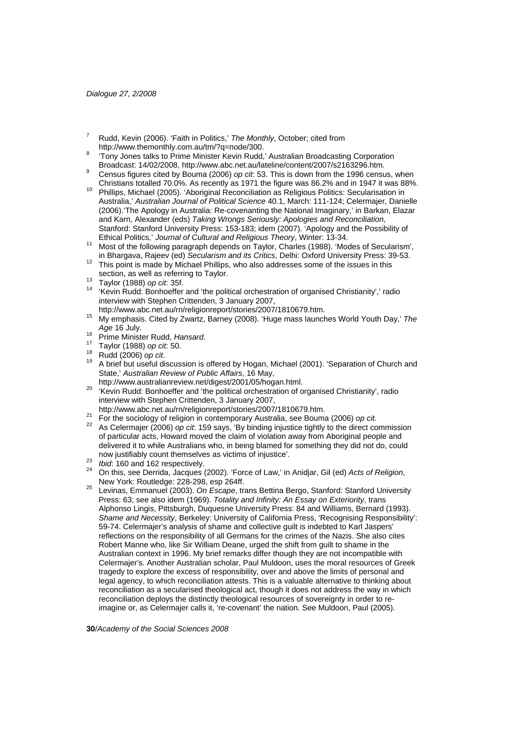- 7 Rudd, Kevin (2006). 'Faith in Politics,' *The Monthly*, October; cited from http://www.themonthly.com.au/tm/?q=node/300.
- 'Tony Jones talks to Prime Minister Kevin Rudd,' Australian Broadcasting Corporation Broadcast: 14/02/2008, http://www.abc.net.au/lateline/content/2007/s2163296.htm. 9
- Census figures cited by Bouma (2006) *op cit*: 53. This is down from the 1996 census, when
- Christians totalled 70.0%. As recently as 1971 the figure was 86.2% and in 1947 it was 88%.<br><sup>10</sup> Phillips, Michael (2005). 'Aboriginal Reconciliation as Religious Politics: Secularisation in Australia,' *Australian Journal of Political Science* 40.1, March: 111-124; Celermajer, Danielle (2006).'The Apology in Australia: Re-covenanting the National Imaginary,' in Barkan, Elazar and Karn, Alexander (eds) *Taking Wrongs Seriously: Apologies and Reconciliation*, Stanford: Stanford University Press: 153-183; idem (2007). Apology and the Possibility of Ethical Politics,' Journal of Cultural and Religious Theory, Winter: 13-34.
- Ethical Politics, Volume: 21 Cultural and Religious Process, Winter: 1388). 'Modes of Secularism',<br>In Bhargava, Rajeev (ed) Secularism and its Critics, Delhi: Oxford University Press: 39-53.
- <sup>12</sup> This point is made by Michael Phillips, who also addresses some of the issues in this
- 
- section, as well as referring to Taylor.<br><sup>13</sup> Taylor (1988) *op cit*: 35f.<br><sup>14</sup> 'Kevin Rudd: Bonhoeffer and 'the political orchestration of organised Christianity',' radio interview with Stephen Crittenden, 3 January 2007,<br>http://www.abc.net.au/rn/religionreport/stories/2007/1810679.htm.
- 
- http://www.abc.net.au/religionreport/stories/2007/2007/2007/1810679.html<br>
My emphasis. Cited by Zwartz, Barney (2008). 'Huge mass launches World Youth Day,' The *Age* 16 July.
- 
- 
- 
- <sup>16</sup> Prime Minister Rudd, *Hansard.*<br><sup>17</sup> Taylor (1988) *op cit*: 50.<br><sup>18</sup> Rudd (2006) *op cit*.<br><sup>19</sup> A brief but useful discussion is offered by Hogan, Michael (2001). 'Separation of Church and State,' *Australian Review of Public Affairs*, 16 May,
- nter/www.australianreview.net/digest.com/es/mogan.html. 20<br><sup>20</sup> 'Kevin Rudd: Bonhoeffer and 'the political orchestration of organised Christianity', radio interview with Stephen Crittenden, 3 January 2007,<br>http://www.abc.net.au/rn/religionreport/stories/2007/1810679.htm.
- 
- <sup>21</sup> For the sociology of religion in contemporary Australia, see Bouma (2006) op cit.<br><sup>22</sup> As Celermaier (2006) op cit: 159 says, 'By binding injustice tightly to the direct commission
- of particular acts, Howard moved the claim of violation away from Aboriginal people and delivered it to while Australians who, in being blamed for something they did not do, could
- 
- now justifiably count themselves as victims of injustice'.<br>
<sup>23</sup> *Ibid*: 160 and 162 respectively.<br>
<sup>24</sup> On this, see Derrida, Jacques (2002). 'Force of Law,' in Anidjar, Gil (ed) *Acts of Religion*,<br>
New York: Routledge:
- 25 Levinas, Emmanuel (2003). On Escape, trans Bettina Bergo, Stanford: Stanford University Press: 63; see also idem (1969). *Totality and Infinity: An Essay on Exteriority*, trans Alphonso Lingis, Pittsburgh, Duquesne University Press: 84 and Williams, Bernard (1993). *Shame and Necessity*, Berkeley: University of California Press, 'Recognising Responsibility': 59-74. Celermajer's analysis of shame and collective guilt is indebted to Karl Jaspers' reflections on the responsibility of all Germans for the crimes of the Nazis. She also cites Robert Manne who, like Sir William Deane, urged the shift from guilt to shame in the Australian context in 1996. My brief remarks differ though they are not incompatible with Celermajer's. Another Australian scholar, Paul Muldoon, uses the moral resources of Greek tragedy to explore the excess of responsibility, over and above the limits of personal and legal agency, to which reconciliation attests. This is a valuable alternative to thinking about reconciliation as a secularised theological act, though it does not address the way in which reconciliation deploys the distinctly theological resources of sovereignty in order to reimagine or, as Celermajer calls it, 're-covenant' the nation. See Muldoon, Paul (2005).

**30**/*Academy of the Social Sciences 2008*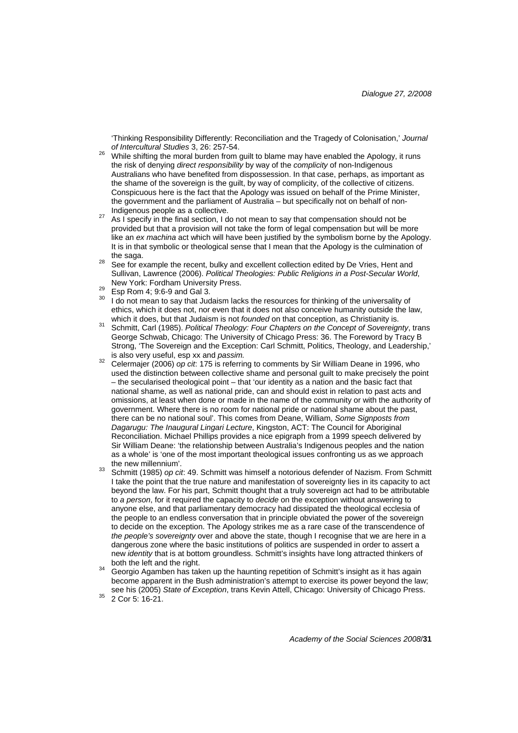'Thinking Responsibility Differently: Reconciliation and the Tragedy of Colonisation,' *Journal* 

- *of Intercultural Studies* 3, 26: 257-54. 26 While shifting the moral burden from guilt to blame may have enabled the Apology, it runs the risk of denying *direct responsibility* by way of the *complicity* of non-Indigenous Australians who have benefited from dispossession. In that case, perhaps, as important as the shame of the sovereign is the guilt, by way of complicity, of the collective of citizens. Conspicuous here is the fact that the Apology was issued on behalf of the Prime Minister, the government and the parliament of Australia – but specifically not on behalf of non-
- Indigenous people as a collective.<br><sup>27</sup> As I specify in the final section, I do not mean to say that compensation should not be provided but that a provision will not take the form of legal compensation but will be more like an *ex machina* act which will have been justified by the symbolism borne by the Apology. It is in that symbolic or theological sense that I mean that the Apology is the culmination of
- the saga.<br><sup>28</sup> See for example the recent, bulky and excellent collection edited by De Vries, Hent and Sullivan, Lawrence (2006). *Political Theologies: Public Religions in a Post-Secular World*,
- 
- New York: Fordham University Press.<br><sup>29</sup> Esp Rom 4; 9:6-9 and Gal 3.<br><sup>30</sup> I do not mean to say that Judaism lacks the resources for thinking of the universality of ethics, which it does not, nor even that it does not also conceive humanity outside the law,
- which it does, but that Judaism is not *founded* on that conception, as Christianity is.<br>Schmitt, Carl (1985). *Political Theology: Four Chapters on the Concept of Sovereignty*, trans George Schwab, Chicago: The University of Chicago Press: 36. The Foreword by Tracy B Strong, 'The Sovereign and the Exception: Carl Schmitt, Politics, Theology, and Leadership,'
- is also very useful, esp xx and *passim.* 32 Celermajer (2006) *op cit*: 175 is referring to comments by Sir William Deane in 1996, who used the distinction between collective shame and personal guilt to make precisely the point – the secularised theological point – that 'our identity as a nation and the basic fact that national shame, as well as national pride, can and should exist in relation to past acts and omissions, at least when done or made in the name of the community or with the authority of government. Where there is no room for national pride or national shame about the past, there can be no national soul'. This comes from Deane, William, *Some Signposts from Dagarugu: The Inaugural Lingari Lecture*, Kingston, ACT: The Council for Aboriginal Reconciliation. Michael Phillips provides a nice epigraph from a 1999 speech delivered by Sir William Deane: 'the relationship between Australia's Indigenous peoples and the nation as a whole' is 'one of the most important theological issues confronting us as we approach the new millennium'. 33 Schmitt (1985) *op cit*: 49. Schmitt was himself a notorious defender of Nazism. From Schmitt
- I take the point that the true nature and manifestation of sovereignty lies in its capacity to act beyond the law. For his part, Schmitt thought that a truly sovereign act had to be attributable to *a person*, for it required the capacity to *decide* on the exception without answering to anyone else, and that parliamentary democracy had dissipated the theological ecclesia of the people to an endless conversation that in principle obviated the power of the sovereign to decide on the exception. The Apology strikes me as a rare case of the transcendence of *the people's sovereignty* over and above the state, though I recognise that we are here in a dangerous zone where the basic institutions of politics are suspended in order to assert a new *identity* that is at bottom groundless. Schmitt's insights have long attracted thinkers of
- both the left and the right.<br><sup>34</sup> Georgio Agamben has taken up the haunting repetition of Schmitt's insight as it has again become apparent in the Bush administration's attempt to exercise its power beyond the law; see his (2005) *State of Exception*, trans Kevin Attell, Chicago: University of Chicago Press. 35 2 Cor 5: 16-21.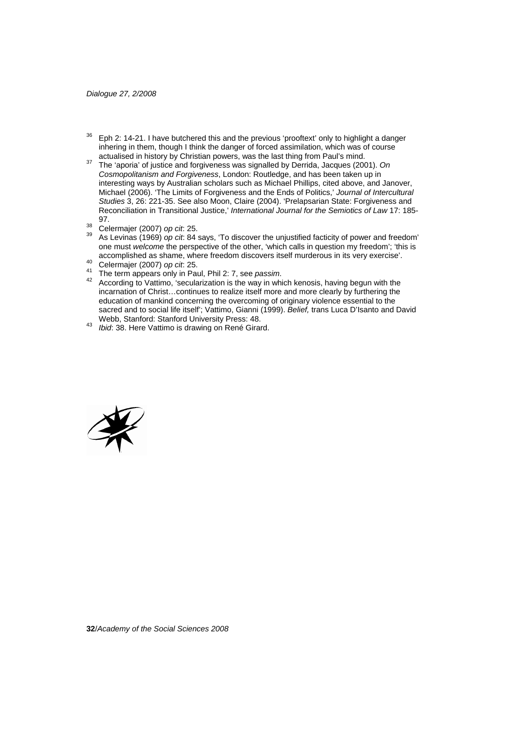- $36$  Eph 2: 14-21. I have butchered this and the previous 'prooftext' only to highlight a danger inhering in them, though I think the danger of forced assimilation, which was of course actualised in history by Christian powers, was the last thing from Paul's mind.
- actualised in history by Christian powers, was the last thing from Paul's mind. 37 The 'aporia' of justice and forgiveness was signalled by Derrida, Jacques (2001). *On Cosmopolitanism and Forgiveness*, London: Routledge, and has been taken up in interesting ways by Australian scholars such as Michael Phillips, cited above, and Janover, Michael (2006). 'The Limits of Forgiveness and the Ends of Politics,' *Journal of Intercultural Studies* 3, 26: 221-35. See also Moon, Claire (2004). 'Prelapsarian State: Forgiveness and Reconciliation in Transitional Justice,' *International Journal for the Semiotics of Law* 17: 185- 97. 38 Celermajer (2007) *op cit*: 25. 39 As Levinas (1969) *op cit*: 84 says, 'To discover the unjustified facticity of power and freedom'
- 
- one must *welcome* the perspective of the other, 'which calls in question my freedom'; 'this is
- 
- 
- accomplished as shame, where freedom discovers itself murderous in its very exercise'.<br>
<sup>40</sup> Celermajer (2007) op cit. 25.<br>
<sup>41</sup> The term appears only in Paul, Phil 2: 7, see passim.<br>
<sup>42</sup> According to Vattimo, 'seculariza incarnation of Christ…continues to realize itself more and more clearly by furthering the education of mankind concerning the overcoming of originary violence essential to the sacred and to social life itself'; Vattimo, Gianni (1999). *Belief,* trans Luca D'Isanto and David
- Webb, Stanford: Stanford University Press: 48. 43 *Ibid*: 38. Here Vattimo is drawing on René Girard.

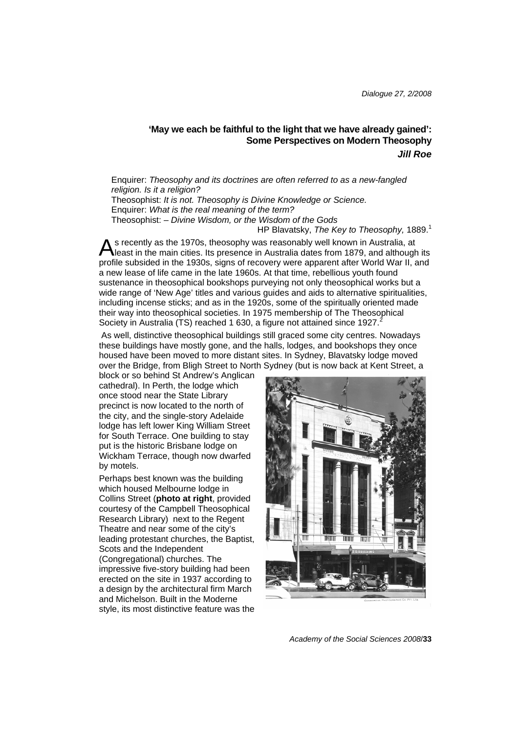# **'May we each be faithful to the light that we have already gained': Some Perspectives on Modern Theosophy**  *Jill Roe*

Enquirer: *Theosophy and its doctrines are often referred to as a new-fangled religion. Is it a religion?*

Theosophist: *It is not. Theosophy is Divine Knowledge or Science.* Enquirer: *What is the real meaning of the term?*  Theosophist: – *Divine Wisdom, or the Wisdom of the Gods*

HP Blavatsky, *The Key to Theosophy,* 1889.<sup>1</sup>

As recently as the 1970s, theosophy was reasonably well known in Australia, at least in the main cities. Its presence in Australia dates from 1879, and although least in the main cities. Its presence in Australia dates from 1879, and although its profile subsided in the 1930s, signs of recovery were apparent after World War II, and a new lease of life came in the late 1960s. At that time, rebellious youth found sustenance in theosophical bookshops purveying not only theosophical works but a wide range of 'New Age' titles and various guides and aids to alternative spiritualities, including incense sticks; and as in the 1920s, some of the spiritually oriented made their way into theosophical societies. In 1975 membership of The Theosophical Society in Australia (TS) reached 1 630, a figure not attained since 1927.

 As well, distinctive theosophical buildings still graced some city centres. Nowadays these buildings have mostly gone, and the halls, lodges, and bookshops they once housed have been moved to more distant sites. In Sydney, Blavatsky lodge moved over the Bridge, from Bligh Street to North Sydney (but is now back at Kent Street, a

block or so behind St Andrew's Anglican cathedral). In Perth, the lodge which once stood near the State Library precinct is now located to the north of the city, and the single-story Adelaide lodge has left lower King William Street for South Terrace. One building to stay put is the historic Brisbane lodge on Wickham Terrace, though now dwarfed by motels.

Perhaps best known was the building which housed Melbourne lodge in Collins Street (**photo at right**, provided courtesy of the Campbell Theosophical Research Library) next to the Regent Theatre and near some of the city's leading protestant churches, the Baptist, Scots and the Independent (Congregational) churches. The impressive five-story building had been erected on the site in 1937 according to a design by the architectural firm March and Michelson. Built in the Moderne style, its most distinctive feature was the



*Academy of the Social Sciences 2008*/**33**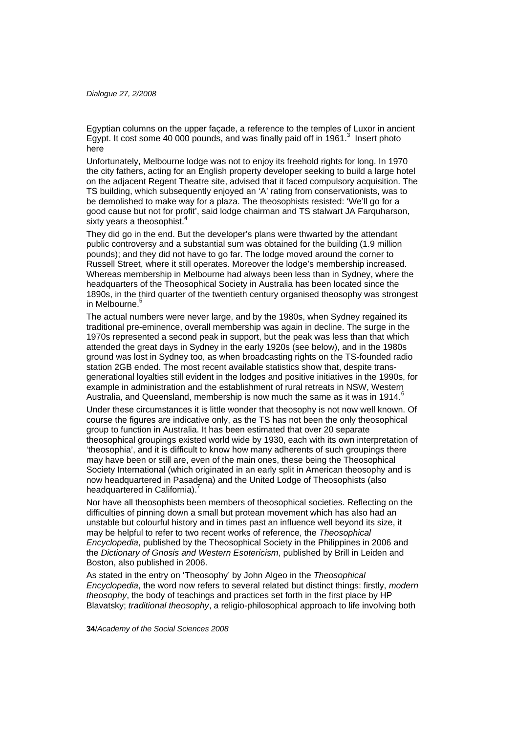Egyptian columns on the upper façade, a reference to the temples of Luxor in ancient Egypt. It cost some 40 000 pounds, and was finally paid off in 1961.<sup>3</sup> Insert photo here

Unfortunately, Melbourne lodge was not to enjoy its freehold rights for long. In 1970 the city fathers, acting for an English property developer seeking to build a large hotel on the adjacent Regent Theatre site, advised that it faced compulsory acquisition. The TS building, which subsequently enjoyed an 'A' rating from conservationists, was to be demolished to make way for a plaza. The theosophists resisted: 'We'll go for a good cause but not for profit', said lodge chairman and TS stalwart JA Farquharson, sixty years a theosophist.<sup>4</sup>

They did go in the end. But the developer's plans were thwarted by the attendant public controversy and a substantial sum was obtained for the building (1.9 million pounds); and they did not have to go far. The lodge moved around the corner to Russell Street, where it still operates. Moreover the lodge's membership increased. Whereas membership in Melbourne had always been less than in Sydney, where the headquarters of the Theosophical Society in Australia has been located since the 1890s, in the third quarter of the twentieth century organised theosophy was strongest in Melbourne.<sup>5</sup>

The actual numbers were never large, and by the 1980s, when Sydney regained its traditional pre-eminence, overall membership was again in decline. The surge in the 1970s represented a second peak in support, but the peak was less than that which attended the great days in Sydney in the early 1920s (see below), and in the 1980s ground was lost in Sydney too, as when broadcasting rights on the TS-founded radio station 2GB ended. The most recent available statistics show that, despite transgenerational loyalties still evident in the lodges and positive initiatives in the 1990s, for example in administration and the establishment of rural retreats in NSW, Western Australia, and Queensland, membership is now much the same as it was in 1914.

Under these circumstances it is little wonder that theosophy is not now well known. Of course the figures are indicative only, as the TS has not been the only theosophical group to function in Australia. It has been estimated that over 20 separate theosophical groupings existed world wide by 1930, each with its own interpretation of 'theosophia', and it is difficult to know how many adherents of such groupings there may have been or still are, even of the main ones, these being the Theosophical Society International (which originated in an early split in American theosophy and is now headquartered in Pasadena) and the United Lodge of Theosophists (also headquartered in California).<sup>7</sup>

Nor have all theosophists been members of theosophical societies. Reflecting on the difficulties of pinning down a small but protean movement which has also had an unstable but colourful history and in times past an influence well beyond its size, it may be helpful to refer to two recent works of reference, the *Theosophical Encyclopedia*, published by the Theosophical Society in the Philippines in 2006 and the *Dictionary of Gnosis and Western Esotericism*, published by Brill in Leiden and Boston, also published in 2006.

As stated in the entry on 'Theosophy' by John Algeo in the *Theosophical Encyclopedia*, the word now refers to several related but distinct things: firstly, *modern theosophy*, the body of teachings and practices set forth in the first place by HP Blavatsky; *traditional theosophy*, a religio-philosophical approach to life involving both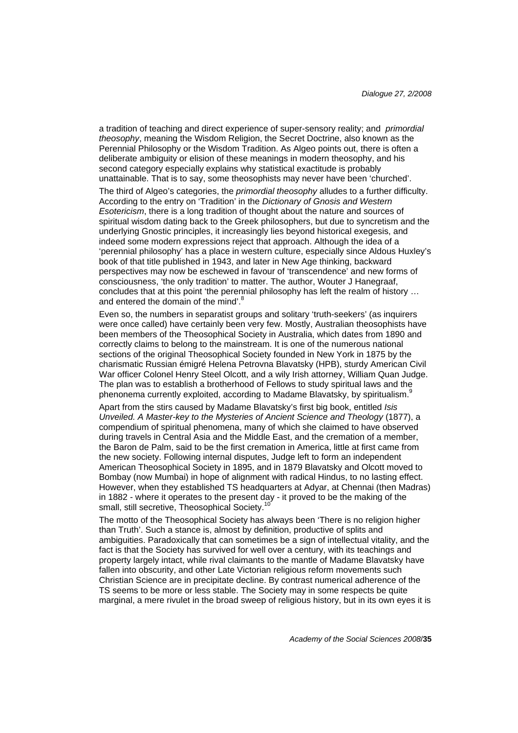a tradition of teaching and direct experience of super-sensory reality; and *primordial theosophy*, meaning the Wisdom Religion, the Secret Doctrine, also known as the Perennial Philosophy or the Wisdom Tradition. As Algeo points out, there is often a deliberate ambiguity or elision of these meanings in modern theosophy, and his second category especially explains why statistical exactitude is probably unattainable. That is to say, some theosophists may never have been 'churched'.

The third of Algeo's categories, the *primordial theosophy* alludes to a further difficulty. According to the entry on 'Tradition' in the *Dictionary of Gnosis and Western Esotericism*, there is a long tradition of thought about the nature and sources of spiritual wisdom dating back to the Greek philosophers, but due to syncretism and the underlying Gnostic principles, it increasingly lies beyond historical exegesis, and indeed some modern expressions reject that approach. Although the idea of a 'perennial philosophy' has a place in western culture, especially since Aldous Huxley's book of that title published in 1943, and later in New Age thinking, backward perspectives may now be eschewed in favour of 'transcendence' and new forms of consciousness, 'the only tradition' to matter. The author, Wouter J Hanegraaf, concludes that at this point 'the perennial philosophy has left the realm of history … and entered the domain of the mind'.<sup>8</sup>

Even so, the numbers in separatist groups and solitary 'truth-seekers' (as inquirers were once called) have certainly been very few. Mostly, Australian theosophists have been members of the Theosophical Society in Australia, which dates from 1890 and correctly claims to belong to the mainstream. It is one of the numerous national sections of the original Theosophical Society founded in New York in 1875 by the charismatic Russian émigré Helena Petrovna Blavatsky (HPB), sturdy American Civil War officer Colonel Henry Steel Olcott, and a wily Irish attorney, William Quan Judge. The plan was to establish a brotherhood of Fellows to study spiritual laws and the phenonema currently exploited, according to Madame Blavatsky, by spiritualism.<sup>9</sup>

Apart from the stirs caused by Madame Blavatsky's first big book, entitled *Isis Unveiled. A Master-key to the Mysteries of Ancient Science and Theology* (1877), a compendium of spiritual phenomena, many of which she claimed to have observed during travels in Central Asia and the Middle East, and the cremation of a member, the Baron de Palm, said to be the first cremation in America, little at first came from the new society. Following internal disputes, Judge left to form an independent American Theosophical Society in 1895, and in 1879 Blavatsky and Olcott moved to Bombay (now Mumbai) in hope of alignment with radical Hindus, to no lasting effect. However, when they established TS headquarters at Adyar, at Chennai (then Madras) in 1882 - where it operates to the present day - it proved to be the making of the small, still secretive, Theosophical Society.

The motto of the Theosophical Society has always been 'There is no religion higher than Truth'. Such a stance is, almost by definition, productive of splits and ambiguities. Paradoxically that can sometimes be a sign of intellectual vitality, and the fact is that the Society has survived for well over a century, with its teachings and property largely intact, while rival claimants to the mantle of Madame Blavatsky have fallen into obscurity, and other Late Victorian religious reform movements such Christian Science are in precipitate decline. By contrast numerical adherence of the TS seems to be more or less stable. The Society may in some respects be quite marginal, a mere rivulet in the broad sweep of religious history, but in its own eyes it is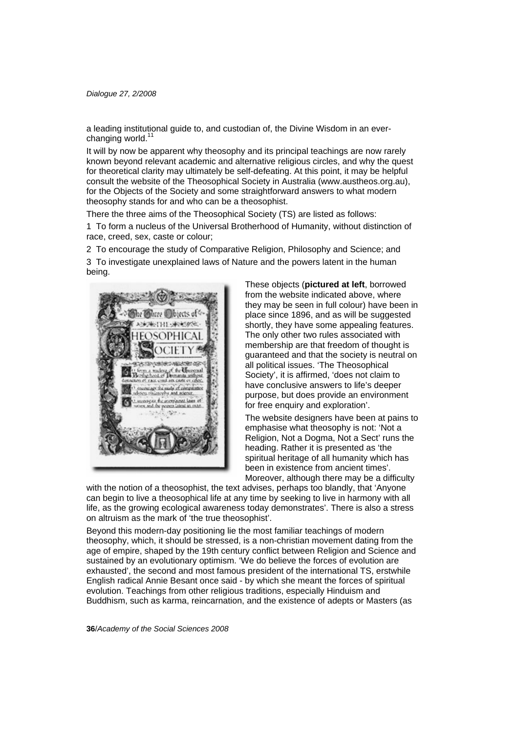a leading institutional guide to, and custodian of, the Divine Wisdom in an everchanging world.<sup>11</sup>

It will by now be apparent why theosophy and its principal teachings are now rarely known beyond relevant academic and alternative religious circles, and why the quest for theoretical clarity may ultimately be self-defeating. At this point, it may be helpful consult the website of the Theosophical Society in Australia (www.austheos.org.au), for the Objects of the Society and some straightforward answers to what modern theosophy stands for and who can be a theosophist.

There the three aims of the Theosophical Society (TS) are listed as follows:

1 To form a nucleus of the Universal Brotherhood of Humanity, without distinction of race, creed, sex, caste or colour;

2 To encourage the study of Comparative Religion, Philosophy and Science; and 3 To investigate unexplained laws of Nature and the powers latent in the human being.



These objects (**pictured at left**, borrowed from the website indicated above, where they may be seen in full colour) have been in place since 1896, and as will be suggested shortly, they have some appealing features. The only other two rules associated with membership are that freedom of thought is guaranteed and that the society is neutral on all political issues. 'The Theosophical Society', it is affirmed, 'does not claim to have conclusive answers to life's deeper purpose, but does provide an environment for free enquiry and exploration'.

The website designers have been at pains to emphasise what theosophy is not: 'Not a Religion, Not a Dogma, Not a Sect' runs the heading. Rather it is presented as 'the spiritual heritage of all humanity which has been in existence from ancient times'. Moreover, although there may be a difficulty

with the notion of a theosophist, the text advises, perhaps too blandly, that 'Anyone can begin to live a theosophical life at any time by seeking to live in harmony with all life, as the growing ecological awareness today demonstrates'. There is also a stress on altruism as the mark of 'the true theosophist'.

Beyond this modern-day positioning lie the most familiar teachings of modern theosophy, which, it should be stressed, is a non-christian movement dating from the age of empire, shaped by the 19th century conflict between Religion and Science and sustained by an evolutionary optimism. 'We do believe the forces of evolution are exhausted', the second and most famous president of the international TS, erstwhile English radical Annie Besant once said - by which she meant the forces of spiritual evolution. Teachings from other religious traditions, especially Hinduism and Buddhism, such as karma, reincarnation, and the existence of adepts or Masters (as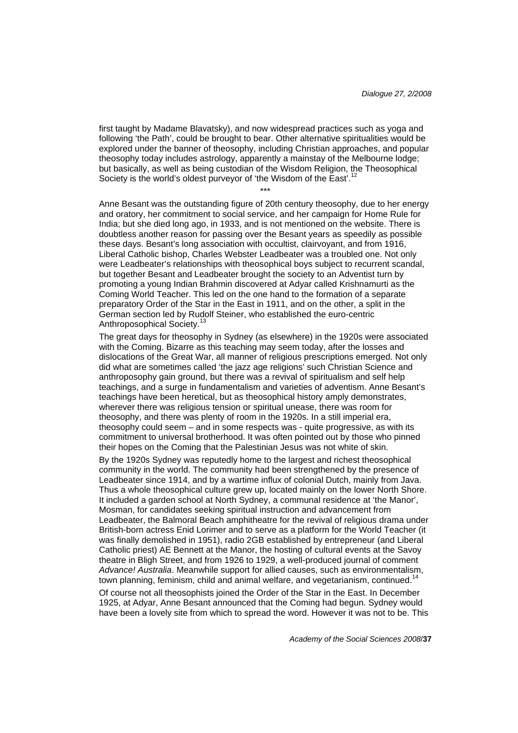first taught by Madame Blavatsky), and now widespread practices such as yoga and following 'the Path', could be brought to bear. Other alternative spiritualities would be explored under the banner of theosophy, including Christian approaches, and popular theosophy today includes astrology, apparently a mainstay of the Melbourne lodge; but basically, as well as being custodian of the Wisdom Religion, the Theosophical Society is the world's oldest purveyor of 'the Wisdom of the East'.<sup>12</sup>

\*\*\*

Anne Besant was the outstanding figure of 20th century theosophy, due to her energy and oratory, her commitment to social service, and her campaign for Home Rule for India; but she died long ago, in 1933, and is not mentioned on the website. There is doubtless another reason for passing over the Besant years as speedily as possible these days. Besant's long association with occultist, clairvoyant, and from 1916, Liberal Catholic bishop, Charles Webster Leadbeater was a troubled one. Not only were Leadbeater's relationships with theosophical boys subject to recurrent scandal, but together Besant and Leadbeater brought the society to an Adventist turn by promoting a young Indian Brahmin discovered at Adyar called Krishnamurti as the Coming World Teacher. This led on the one hand to the formation of a separate preparatory Order of the Star in the East in 1911, and on the other, a split in the German section led by Rudolf Steiner, who established the euro-centric Anthroposophical Society.<sup>13</sup>

The great days for theosophy in Sydney (as elsewhere) in the 1920s were associated with the Coming. Bizarre as this teaching may seem today, after the losses and dislocations of the Great War, all manner of religious prescriptions emerged. Not only did what are sometimes called 'the jazz age religions' such Christian Science and anthroposophy gain ground, but there was a revival of spiritualism and self help teachings, and a surge in fundamentalism and varieties of adventism. Anne Besant's teachings have been heretical, but as theosophical history amply demonstrates, wherever there was religious tension or spiritual unease, there was room for theosophy, and there was plenty of room in the 1920s. In a still imperial era, theosophy could seem – and in some respects was - quite progressive, as with its commitment to universal brotherhood. It was often pointed out by those who pinned their hopes on the Coming that the Palestinian Jesus was not white of skin.

By the 1920s Sydney was reputedly home to the largest and richest theosophical community in the world. The community had been strengthened by the presence of Leadbeater since 1914, and by a wartime influx of colonial Dutch, mainly from Java. Thus a whole theosophical culture grew up, located mainly on the lower North Shore. It included a garden school at North Sydney, a communal residence at 'the Manor', Mosman, for candidates seeking spiritual instruction and advancement from Leadbeater, the Balmoral Beach amphitheatre for the revival of religious drama under British-born actress Enid Lorimer and to serve as a platform for the World Teacher (it was finally demolished in 1951), radio 2GB established by entrepreneur (and Liberal Catholic priest) AE Bennett at the Manor, the hosting of cultural events at the Savoy theatre in Bligh Street, and from 1926 to 1929, a well-produced journal of comment *Advance! Australia*. Meanwhile support for allied causes, such as environmentalism, town planning, feminism, child and animal welfare, and vegetarianism, continued.<sup>14</sup> Of course not all theosophists joined the Order of the Star in the East. In December 1925, at Adyar, Anne Besant announced that the Coming had begun. Sydney would have been a lovely site from which to spread the word. However it was not to be. This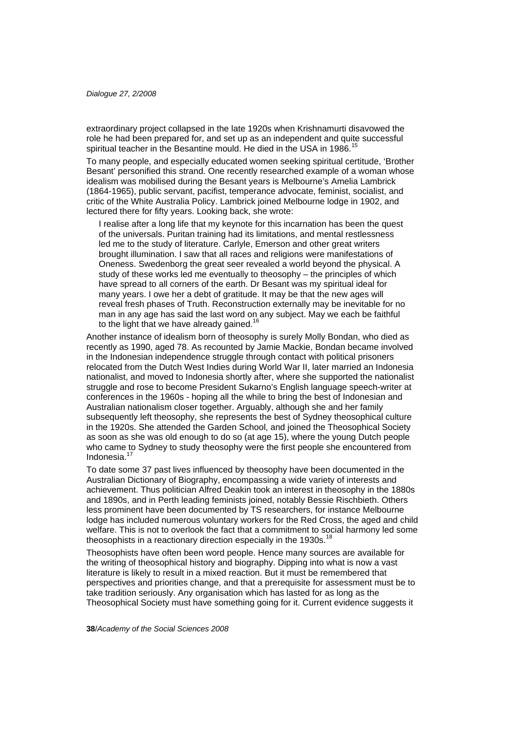extraordinary project collapsed in the late 1920s when Krishnamurti disavowed the role he had been prepared for, and set up as an independent and quite successful spiritual teacher in the Besantine mould. He died in the USA in 1986.<sup>15</sup>

To many people, and especially educated women seeking spiritual certitude, 'Brother Besant' personified this strand. One recently researched example of a woman whose idealism was mobilised during the Besant years is Melbourne's Amelia Lambrick (1864-1965), public servant, pacifist, temperance advocate, feminist, socialist, and critic of the White Australia Policy. Lambrick joined Melbourne lodge in 1902, and lectured there for fifty years. Looking back, she wrote:

I realise after a long life that my keynote for this incarnation has been the quest of the universals. Puritan training had its limitations, and mental restlessness led me to the study of literature. Carlyle, Emerson and other great writers brought illumination. I saw that all races and religions were manifestations of Oneness. Swedenborg the great seer revealed a world beyond the physical. A study of these works led me eventually to theosophy – the principles of which have spread to all corners of the earth. Dr Besant was my spiritual ideal for many years. I owe her a debt of gratitude. It may be that the new ages will reveal fresh phases of Truth. Reconstruction externally may be inevitable for no man in any age has said the last word on any subject. May we each be faithful to the light that we have already gained.<sup>16</sup>

Another instance of idealism born of theosophy is surely Molly Bondan, who died as recently as 1990, aged 78. As recounted by Jamie Mackie, Bondan became involved in the Indonesian independence struggle through contact with political prisoners relocated from the Dutch West Indies during World War II, later married an Indonesia nationalist, and moved to Indonesia shortly after, where she supported the nationalist struggle and rose to become President Sukarno's English language speech-writer at conferences in the 1960s - hoping all the while to bring the best of Indonesian and Australian nationalism closer together. Arguably, although she and her family subsequently left theosophy, she represents the best of Sydney theosophical culture in the 1920s. She attended the Garden School, and joined the Theosophical Society as soon as she was old enough to do so (at age 15), where the young Dutch people who came to Sydney to study theosophy were the first people she encountered from Indonesia. $<sup>1</sup>$ </sup>

To date some 37 past lives influenced by theosophy have been documented in the Australian Dictionary of Biography, encompassing a wide variety of interests and achievement. Thus politician Alfred Deakin took an interest in theosophy in the 1880s and 1890s, and in Perth leading feminists joined, notably Bessie Rischbieth. Others less prominent have been documented by TS researchers, for instance Melbourne lodge has included numerous voluntary workers for the Red Cross, the aged and child welfare. This is not to overlook the fact that a commitment to social harmony led some theosophists in a reactionary direction especially in the 1930s.<sup>1</sup>

Theosophists have often been word people. Hence many sources are available for the writing of theosophical history and biography. Dipping into what is now a vast literature is likely to result in a mixed reaction. But it must be remembered that perspectives and priorities change, and that a prerequisite for assessment must be to take tradition seriously. Any organisation which has lasted for as long as the Theosophical Society must have something going for it. Current evidence suggests it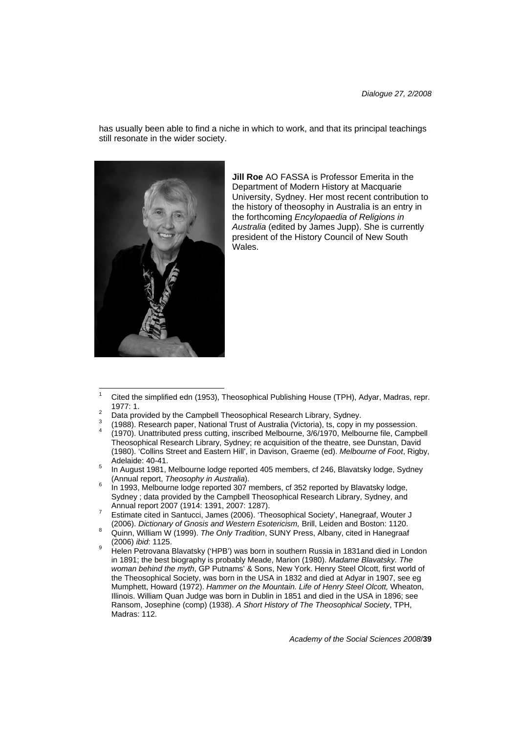has usually been able to find a niche in which to work, and that its principal teachings still resonate in the wider society.



 $\overline{a}$ 

**Jill Roe** AO FASSA is Professor Emerita in the Department of Modern History at Macquarie University, Sydney. Her most recent contribution to the history of theosophy in Australia is an entry in the forthcoming *Encylopaedia of Religions in Australia* (edited by James Jupp). She is currently president of the History Council of New South Wales.

- (1970). Unattributed press cutting, inscribed Melbourne, 3/6/1970, Melbourne file, Campbell Theosophical Research Library, Sydney; re acquisition of the theatre, see Dunstan, David (1980). 'Collins Street and Eastern Hill', in Davison, Graeme (ed). *Melbourne of Foot*, Rigby, Adelaide: 40-41.
- In August 1981, Melbourne lodge reported 405 members, cf 246, Blavatsky lodge, Sydney (Annual report, *Theosophy in Australia*). 6
- In 1993, Melbourne lodge reported 307 members, cf 352 reported by Blavatsky lodge, Sydney ; data provided by the Campbell Theosophical Research Library, Sydney, and Annual report 2007 (1914: 1391, 2007: 1287).
- Estimate cited in Santucci, James (2006). 'Theosophical Society', Hanegraaf, Wouter J (2006). *Dictionary of Gnosis and Western Esotericism,* Brill, Leiden and Boston: 1120. 8
- Quinn, William W (1999). *The Only Tradition*, SUNY Press, Albany, cited in Hanegraaf (2006) *ibid*: 1125. 9
- Helen Petrovana Blavatsky ('HPB') was born in southern Russia in 1831and died in London in 1891; the best biography is probably Meade, Marion (1980). *Madame Blavatsky. The woman behind the myth*, GP Putnams' & Sons, New York. Henry Steel Olcott, first world of the Theosophical Society, was born in the USA in 1832 and died at Adyar in 1907, see eg Mumphett, Howard (1972). *Hammer on the Mountain. Life of Henry Steel Olcott,* Wheaton, Illinois. William Quan Judge was born in Dublin in 1851 and died in the USA in 1896; see Ransom, Josephine (comp) (1938). *A Short History of The Theosophical Society*, TPH, Madras: 112.

<sup>1</sup> Cited the simplified edn (1953), Theosophical Publishing House (TPH), Adyar, Madras, repr.  $1977: 1.$ 

Data provided by the Campbell Theosophical Research Library, Sydney.

<sup>3</sup> (1988). Research paper, National Trust of Australia (Victoria), ts, copy in my possession. 4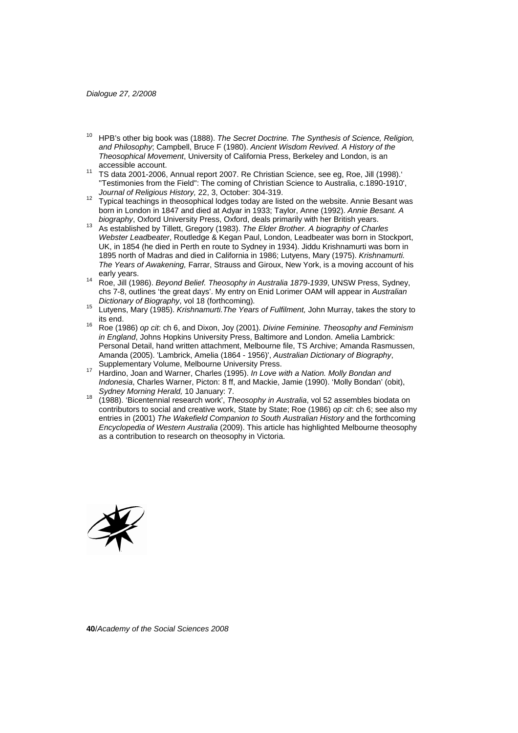- 10 HPB's other big book was (1888). *The Secret Doctrine. The Synthesis of Science, Religion, and Philosophy*; Campbell, Bruce F (1980). *Ancient Wisdom Revived. A History of the Theosophical Movement*, University of California Press, Berkeley and London, is an accessible account. 11 TS data 2001-2006, Annual report 2007. Re Christian Science, see eg, Roe, Jill (1998).'
- ''Testimonies from the Field": The coming of Christian Science to Australia, c.1890-1910',
- *Journal of Religious History, 22, 3, October: 304-319.*<br><sup>12</sup> Typical teachings in theosophical lodges today are listed on the website. Annie Besant was born in London in 1847 and died at Adyar in 1933; Taylor, Anne (1992). *Annie Besant. A*
- *biography*, Oxford University Press, Oxford, deals primarily with her British years. 13 As established by Tillett, Gregory (1983). *The Elder Brother. A biography of Charles Webster Leadbeater*, Routledge & Kegan Paul, London, Leadbeater was born in Stockport, UK, in 1854 (he died in Perth en route to Sydney in 1934). Jiddu Krishnamurti was born in 1895 north of Madras and died in California in 1986; Lutyens, Mary (1975). *Krishnamurti. The Years of Awakening,* Farrar, Strauss and Giroux, New York, is a moving account of his early years. 14 Roe, Jill (1986). *Beyond Belief. Theosophy in Australia 1879-1939*, UNSW Press, Sydney,
- chs 7-8, outlines 'the great days'. My entry on Enid Lorimer OAM will appear in *Australian*
- *Dictionary of Biography*, vol 18 (forthcoming)*.* 15 Lutyens, Mary (1985). *Krishnamurti.The Years of Fulfilment,* John Murray, takes the story to
- its end. 16 Roe (1986) *op cit*: ch 6, and Dixon, Joy (2001). *Divine Feminine. Theosophy and Feminism in England*, Johns Hopkins University Press, Baltimore and London. Amelia Lambrick: Personal Detail, hand written attachment, Melbourne file, TS Archive; Amanda Rasmussen, Amanda (2005). 'Lambrick, Amelia (1864 - 1956)', *Australian Dictionary of Biography*,
- Supplementary Volume, Melbourne University Press. 17 Hardino, Joan and Warner, Charles (1995). *In Love with a Nation. Molly Bondan and Indonesia*, Charles Warner, Picton: 8 ff, and Mackie, Jamie (1990). 'Molly Bondan' (obit),
- *Sydney Morning Herald,* 10 January: 7. 18 (1988). 'Bicentennial research work', *Theosophy in Australia*, vol 52 assembles biodata on contributors to social and creative work, State by State; Roe (1986) *op cit*: ch 6; see also my entries in (2001) *The Wakefield Companion to South Australian History* and the forthcoming *Encyclopedia of Western Australia* (2009). This article has highlighted Melbourne theosophy as a contribution to research on theosophy in Victoria.

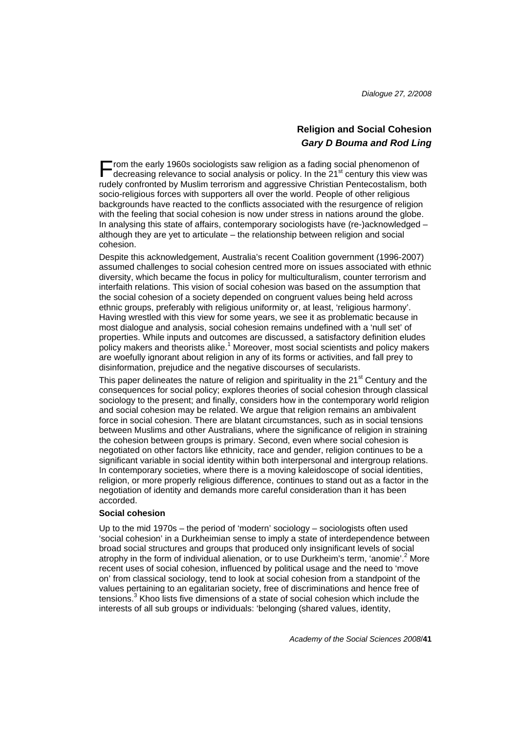# **Religion and Social Cohesion**  *Gary D Bouma and Rod Ling*

From the early 1960s sociologists saw religion as a fading social phenomenon of decreasing relevance to social analysis or policy. In the 21<sup>st</sup> century this view way decreasing relevance to social analysis or policy. In the  $21<sup>st</sup>$  century this view was rudely confronted by Muslim terrorism and aggressive Christian Pentecostalism, both socio-religious forces with supporters all over the world. People of other religious backgrounds have reacted to the conflicts associated with the resurgence of religion with the feeling that social cohesion is now under stress in nations around the globe. In analysing this state of affairs, contemporary sociologists have (re-)acknowledged – although they are yet to articulate – the relationship between religion and social cohesion.

Despite this acknowledgement, Australia's recent Coalition government (1996-2007) assumed challenges to social cohesion centred more on issues associated with ethnic diversity, which became the focus in policy for multiculturalism, counter terrorism and interfaith relations. This vision of social cohesion was based on the assumption that the social cohesion of a society depended on congruent values being held across ethnic groups, preferably with religious uniformity or, at least, 'religious harmony'. Having wrestled with this view for some years, we see it as problematic because in most dialogue and analysis, social cohesion remains undefined with a 'null set' of properties. While inputs and outcomes are discussed, a satisfactory definition eludes policy makers and theorists alike.<sup>1</sup> Moreover, most social scientists and policy makers are woefully ignorant about religion in any of its forms or activities, and fall prey to disinformation, prejudice and the negative discourses of secularists.

This paper delineates the nature of religion and spirituality in the 21<sup>st</sup> Century and the consequences for social policy; explores theories of social cohesion through classical sociology to the present; and finally, considers how in the contemporary world religion and social cohesion may be related. We argue that religion remains an ambivalent force in social cohesion. There are blatant circumstances, such as in social tensions between Muslims and other Australians, where the significance of religion in straining the cohesion between groups is primary. Second, even where social cohesion is negotiated on other factors like ethnicity, race and gender, religion continues to be a significant variable in social identity within both interpersonal and intergroup relations. In contemporary societies, where there is a moving kaleidoscope of social identities, religion, or more properly religious difference, continues to stand out as a factor in the negotiation of identity and demands more careful consideration than it has been accorded.

### **Social cohesion**

Up to the mid 1970s – the period of 'modern' sociology – sociologists often used 'social cohesion' in a Durkheimian sense to imply a state of interdependence between broad social structures and groups that produced only insignificant levels of social atrophy in the form of individual alienation, or to use Durkheim's term, 'anomie'.<sup>2</sup> More recent uses of social cohesion, influenced by political usage and the need to 'move on' from classical sociology, tend to look at social cohesion from a standpoint of the values pertaining to an egalitarian society, free of discriminations and hence free of tensions.<sup>3</sup> Khoo lists five dimensions of a state of social cohesion which include the interests of all sub groups or individuals: 'belonging (shared values, identity,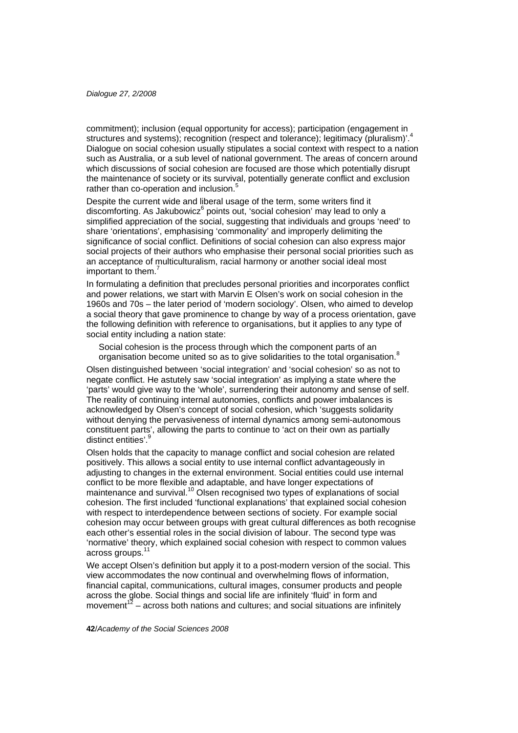commitment); inclusion (equal opportunity for access); participation (engagement in structures and systems); recognition (respect and tolerance); legitimacy (pluralism)'.<sup>4</sup> Dialogue on social cohesion usually stipulates a social context with respect to a nation such as Australia, or a sub level of national government. The areas of concern around which discussions of social cohesion are focused are those which potentially disrupt the maintenance of society or its survival, potentially generate conflict and exclusion rather than co-operation and inclusion.<sup>5</sup>

Despite the current wide and liberal usage of the term, some writers find it discomforting. As Jakubowicz<sup>6</sup> points out, 'social cohesion' may lead to only a simplified appreciation of the social, suggesting that individuals and groups 'need' to share 'orientations', emphasising 'commonality' and improperly delimiting the significance of social conflict. Definitions of social cohesion can also express major social projects of their authors who emphasise their personal social priorities such as an acceptance of multiculturalism, racial harmony or another social ideal most important to them.<sup>7</sup>

In formulating a definition that precludes personal priorities and incorporates conflict and power relations, we start with Marvin E Olsen's work on social cohesion in the 1960s and 70s – the later period of 'modern sociology'. Olsen, who aimed to develop a social theory that gave prominence to change by way of a process orientation, gave the following definition with reference to organisations, but it applies to any type of social entity including a nation state:

Social cohesion is the process through which the component parts of an organisation become united so as to give solidarities to the total organisation.<sup>8</sup>

Olsen distinguished between 'social integration' and 'social cohesion' so as not to negate conflict. He astutely saw 'social integration' as implying a state where the 'parts' would give way to the 'whole', surrendering their autonomy and sense of self. The reality of continuing internal autonomies, conflicts and power imbalances is acknowledged by Olsen's concept of social cohesion, which 'suggests solidarity without denying the pervasiveness of internal dynamics among semi-autonomous constituent parts', allowing the parts to continue to 'act on their own as partially distinct entities'.<sup>9</sup>

Olsen holds that the capacity to manage conflict and social cohesion are related positively. This allows a social entity to use internal conflict advantageously in adjusting to changes in the external environment. Social entities could use internal conflict to be more flexible and adaptable, and have longer expectations of maintenance and survival.<sup>10</sup> Olsen recognised two types of explanations of social cohesion. The first included 'functional explanations' that explained social cohesion with respect to interdependence between sections of society. For example social cohesion may occur between groups with great cultural differences as both recognise each other's essential roles in the social division of labour. The second type was 'normative' theory, which explained social cohesion with respect to common values across groups.<sup>1</sup>

We accept Olsen's definition but apply it to a post-modern version of the social. This view accommodates the now continual and overwhelming flows of information, financial capital, communications, cultural images, consumer products and people across the globe. Social things and social life are infinitely 'fluid' in form and movement<sup>12</sup> – across both nations and cultures; and social situations are infinitely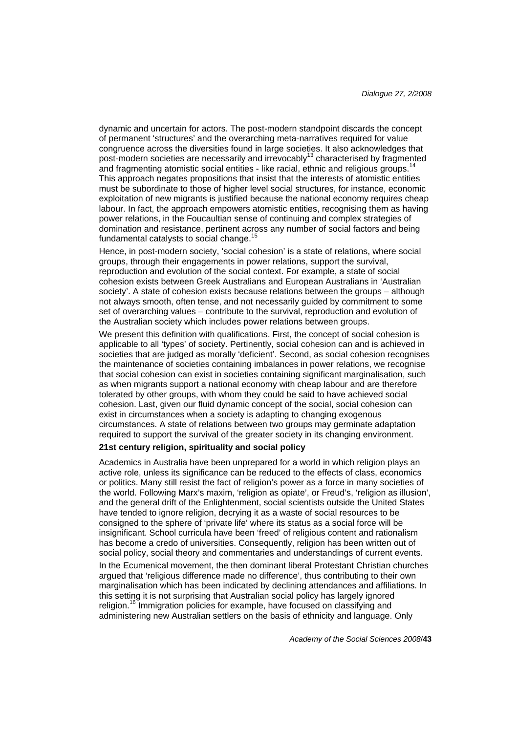dynamic and uncertain for actors. The post-modern standpoint discards the concept of permanent 'structures' and the overarching meta-narratives required for value congruence across the diversities found in large societies. It also acknowledges that post-modern societies are necessarily and irrevocably13 characterised by fragmented and fragmenting atomistic social entities - like racial, ethnic and religious groups.<sup>1</sup> This approach negates propositions that insist that the interests of atomistic entities must be subordinate to those of higher level social structures, for instance, economic exploitation of new migrants is justified because the national economy requires cheap labour. In fact, the approach empowers atomistic entities, recognising them as having power relations, in the Foucaultian sense of continuing and complex strategies of domination and resistance, pertinent across any number of social factors and being fundamental catalysts to social change.<sup>15</sup>

Hence, in post-modern society, 'social cohesion' is a state of relations, where social groups, through their engagements in power relations, support the survival, reproduction and evolution of the social context. For example, a state of social cohesion exists between Greek Australians and European Australians in 'Australian society'. A state of cohesion exists because relations between the groups – although not always smooth, often tense, and not necessarily guided by commitment to some set of overarching values – contribute to the survival, reproduction and evolution of the Australian society which includes power relations between groups.

We present this definition with qualifications. First, the concept of social cohesion is applicable to all 'types' of society. Pertinently, social cohesion can and is achieved in societies that are judged as morally 'deficient'. Second, as social cohesion recognises the maintenance of societies containing imbalances in power relations, we recognise that social cohesion can exist in societies containing significant marginalisation, such as when migrants support a national economy with cheap labour and are therefore tolerated by other groups, with whom they could be said to have achieved social cohesion. Last, given our fluid dynamic concept of the social, social cohesion can exist in circumstances when a society is adapting to changing exogenous circumstances. A state of relations between two groups may germinate adaptation required to support the survival of the greater society in its changing environment.

# **21st century religion, spirituality and social policy**

Academics in Australia have been unprepared for a world in which religion plays an active role, unless its significance can be reduced to the effects of class, economics or politics. Many still resist the fact of religion's power as a force in many societies of the world. Following Marx's maxim, 'religion as opiate', or Freud's, 'religion as illusion', and the general drift of the Enlightenment, social scientists outside the United States have tended to ignore religion, decrying it as a waste of social resources to be consigned to the sphere of 'private life' where its status as a social force will be insignificant. School curricula have been 'freed' of religious content and rationalism has become a credo of universities. Consequently, religion has been written out of social policy, social theory and commentaries and understandings of current events. In the Ecumenical movement, the then dominant liberal Protestant Christian churches argued that 'religious difference made no difference', thus contributing to their own marginalisation which has been indicated by declining attendances and affiliations. In this setting it is not surprising that Australian social policy has largely ignored religion.<sup>16</sup> Immigration policies for example, have focused on classifying and administering new Australian settlers on the basis of ethnicity and language. Only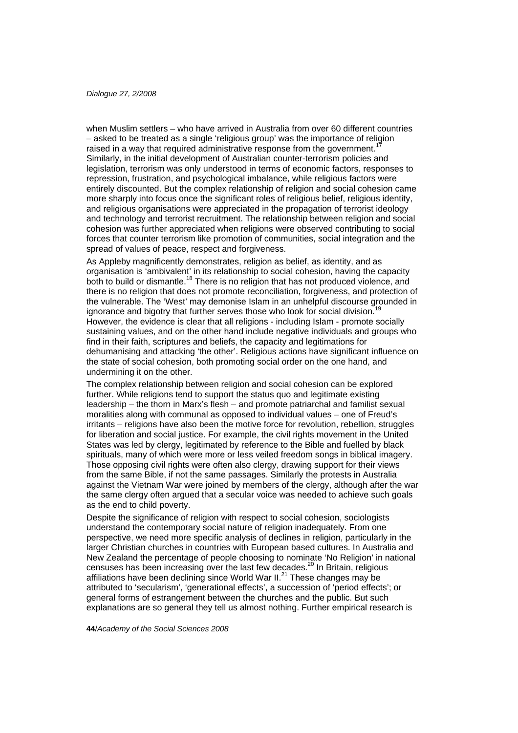when Muslim settlers – who have arrived in Australia from over 60 different countries – asked to be treated as a single 'religious group' was the importance of religion raised in a way that required administrative response from the government. Similarly, in the initial development of Australian counter-terrorism policies and legislation, terrorism was only understood in terms of economic factors, responses to repression, frustration, and psychological imbalance, while religious factors were entirely discounted. But the complex relationship of religion and social cohesion came more sharply into focus once the significant roles of religious belief, religious identity, and religious organisations were appreciated in the propagation of terrorist ideology and technology and terrorist recruitment. The relationship between religion and social cohesion was further appreciated when religions were observed contributing to social forces that counter terrorism like promotion of communities, social integration and the spread of values of peace, respect and forgiveness.

As Appleby magnificently demonstrates, religion as belief, as identity, and as organisation is 'ambivalent' in its relationship to social cohesion, having the capacity both to build or dismantle.<sup>18</sup> There is no religion that has not produced violence, and there is no religion that does not promote reconciliation, forgiveness, and protection of the vulnerable. The 'West' may demonise Islam in an unhelpful discourse grounded in ignorance and bigotry that further serves those who look for social division. However, the evidence is clear that all religions - including Islam - promote socially sustaining values, and on the other hand include negative individuals and groups who find in their faith, scriptures and beliefs, the capacity and legitimations for dehumanising and attacking 'the other'. Religious actions have significant influence on the state of social cohesion, both promoting social order on the one hand, and undermining it on the other.

The complex relationship between religion and social cohesion can be explored further. While religions tend to support the status quo and legitimate existing leadership – the thorn in Marx's flesh – and promote patriarchal and familist sexual moralities along with communal as opposed to individual values – one of Freud's irritants – religions have also been the motive force for revolution, rebellion, struggles for liberation and social justice. For example, the civil rights movement in the United States was led by clergy, legitimated by reference to the Bible and fuelled by black spirituals, many of which were more or less veiled freedom songs in biblical imagery. Those opposing civil rights were often also clergy, drawing support for their views from the same Bible, if not the same passages. Similarly the protests in Australia against the Vietnam War were joined by members of the clergy, although after the war the same clergy often argued that a secular voice was needed to achieve such goals as the end to child poverty.

Despite the significance of religion with respect to social cohesion, sociologists understand the contemporary social nature of religion inadequately. From one perspective, we need more specific analysis of declines in religion, particularly in the larger Christian churches in countries with European based cultures. In Australia and New Zealand the percentage of people choosing to nominate 'No Religion' in national censuses has been increasing over the last few decades.<sup>20</sup> In Britain, religious affiliations have been declining since World War II. $^{21}$  These changes may be attributed to 'secularism', 'generational effects', a succession of 'period effects'; or general forms of estrangement between the churches and the public. But such explanations are so general they tell us almost nothing. Further empirical research is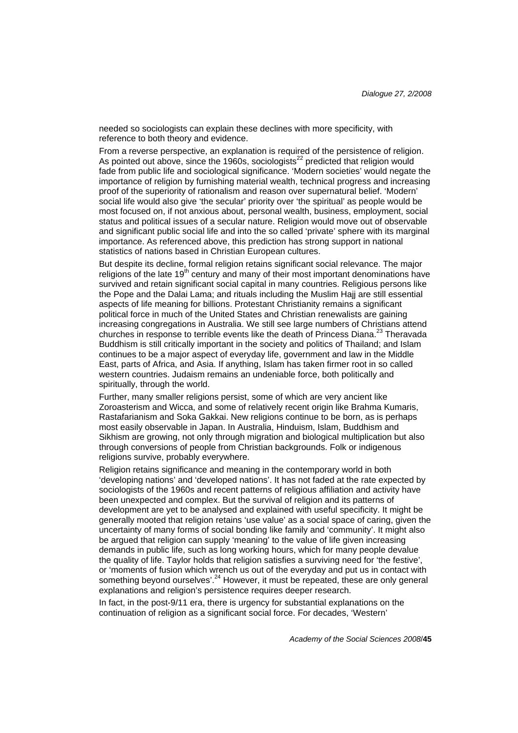needed so sociologists can explain these declines with more specificity, with reference to both theory and evidence.

From a reverse perspective, an explanation is required of the persistence of religion. As pointed out above, since the 1960s, sociologists<sup>22</sup> predicted that religion would fade from public life and sociological significance. 'Modern societies' would negate the importance of religion by furnishing material wealth, technical progress and increasing proof of the superiority of rationalism and reason over supernatural belief. 'Modern' social life would also give 'the secular' priority over 'the spiritual' as people would be most focused on, if not anxious about, personal wealth, business, employment, social status and political issues of a secular nature. Religion would move out of observable and significant public social life and into the so called 'private' sphere with its marginal importance. As referenced above, this prediction has strong support in national statistics of nations based in Christian European cultures.

But despite its decline, formal religion retains significant social relevance. The major religions of the late 19<sup>th</sup> century and many of their most important denominations have survived and retain significant social capital in many countries. Religious persons like the Pope and the Dalai Lama; and rituals including the Muslim Hajj are still essential aspects of life meaning for billions. Protestant Christianity remains a significant political force in much of the United States and Christian renewalists are gaining increasing congregations in Australia. We still see large numbers of Christians attend churches in response to terrible events like the death of Princess Diana.<sup>23</sup> Theravada Buddhism is still critically important in the society and politics of Thailand; and Islam continues to be a major aspect of everyday life, government and law in the Middle East, parts of Africa, and Asia. If anything, Islam has taken firmer root in so called western countries. Judaism remains an undeniable force, both politically and spiritually, through the world.

Further, many smaller religions persist, some of which are very ancient like Zoroasterism and Wicca, and some of relatively recent origin like Brahma Kumaris, Rastafarianism and Soka Gakkai. New religions continue to be born, as is perhaps most easily observable in Japan. In Australia, Hinduism, Islam, Buddhism and Sikhism are growing, not only through migration and biological multiplication but also through conversions of people from Christian backgrounds. Folk or indigenous religions survive, probably everywhere.

Religion retains significance and meaning in the contemporary world in both 'developing nations' and 'developed nations'. It has not faded at the rate expected by sociologists of the 1960s and recent patterns of religious affiliation and activity have been unexpected and complex. But the survival of religion and its patterns of development are yet to be analysed and explained with useful specificity. It might be generally mooted that religion retains 'use value' as a social space of caring, given the uncertainty of many forms of social bonding like family and 'community'. It might also be argued that religion can supply 'meaning' to the value of life given increasing demands in public life, such as long working hours, which for many people devalue the quality of life. Taylor holds that religion satisfies a surviving need for 'the festive', or 'moments of fusion which wrench us out of the everyday and put us in contact with something beyond ourselves'.<sup>24</sup> However, it must be repeated, these are only general explanations and religion's persistence requires deeper research.

In fact, in the post-9/11 era, there is urgency for substantial explanations on the continuation of religion as a significant social force. For decades, 'Western'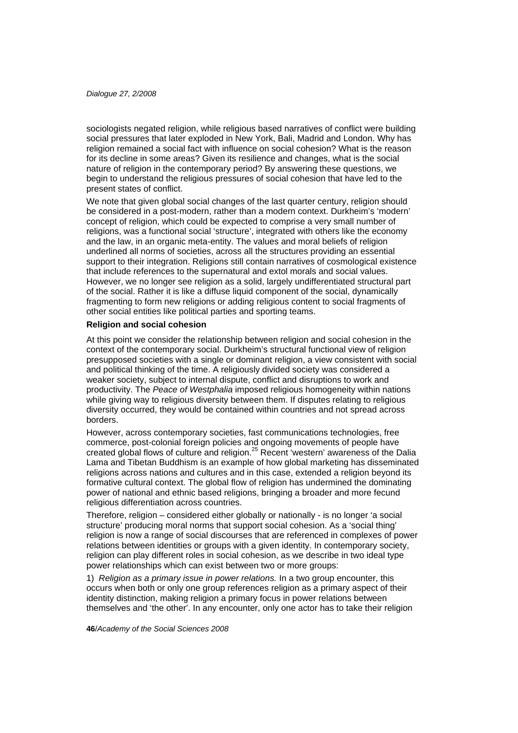sociologists negated religion, while religious based narratives of conflict were building social pressures that later exploded in New York, Bali, Madrid and London. Why has religion remained a social fact with influence on social cohesion? What is the reason for its decline in some areas? Given its resilience and changes, what is the social nature of religion in the contemporary period? By answering these questions, we begin to understand the religious pressures of social cohesion that have led to the present states of conflict.

We note that given global social changes of the last quarter century, religion should be considered in a post-modern, rather than a modern context. Durkheim's 'modern' concept of religion, which could be expected to comprise a very small number of religions, was a functional social 'structure', integrated with others like the economy and the law, in an organic meta-entity. The values and moral beliefs of religion underlined all norms of societies, across all the structures providing an essential support to their integration. Religions still contain narratives of cosmological existence that include references to the supernatural and extol morals and social values. However, we no longer see religion as a solid, largely undifferentiated structural part of the social. Rather it is like a diffuse liquid component of the social, dynamically fragmenting to form new religions or adding religious content to social fragments of other social entities like political parties and sporting teams.

# **Religion and social cohesion**

At this point we consider the relationship between religion and social cohesion in the context of the contemporary social. Durkheim's structural functional view of religion presupposed societies with a single or dominant religion, a view consistent with social and political thinking of the time. A religiously divided society was considered a weaker society, subject to internal dispute, conflict and disruptions to work and productivity. The *Peace of Westphalia* imposed religious homogeneity within nations while giving way to religious diversity between them. If disputes relating to religious diversity occurred, they would be contained within countries and not spread across borders.

However, across contemporary societies, fast communications technologies, free commerce, post-colonial foreign policies and ongoing movements of people have created global flows of culture and religion.<sup>25</sup> Recent 'western' awareness of the Dalia Lama and Tibetan Buddhism is an example of how global marketing has disseminated religions across nations and cultures and in this case, extended a religion beyond its formative cultural context. The global flow of religion has undermined the dominating power of national and ethnic based religions, bringing a broader and more fecund religious differentiation across countries.

Therefore, religion – considered either globally or nationally - is no longer 'a social structure' producing moral norms that support social cohesion. As a 'social thing' religion is now a range of social discourses that are referenced in complexes of power relations between identities or groups with a given identity. In contemporary society, religion can play different roles in social cohesion, as we describe in two ideal type power relationships which can exist between two or more groups:

1) *Religion as a primary issue in power relations.* In a two group encounter, this occurs when both or only one group references religion as a primary aspect of their identity distinction, making religion a primary focus in power relations between themselves and 'the other'. In any encounter, only one actor has to take their religion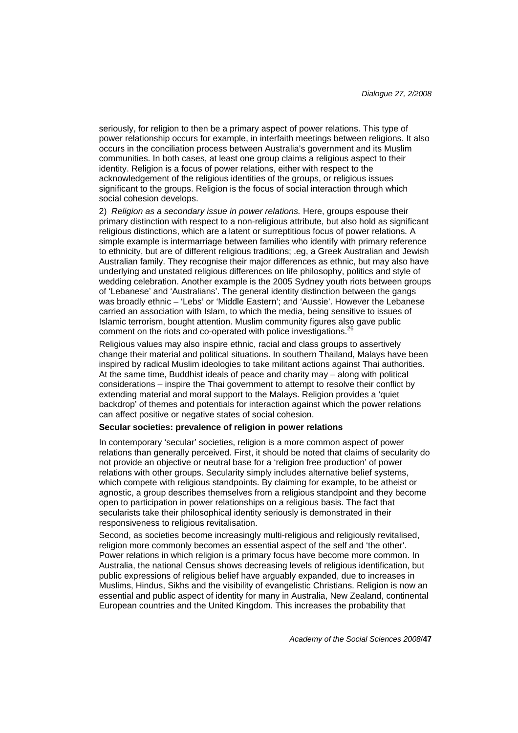seriously, for religion to then be a primary aspect of power relations. This type of power relationship occurs for example, in interfaith meetings between religions. It also occurs in the conciliation process between Australia's government and its Muslim communities. In both cases, at least one group claims a religious aspect to their identity. Religion is a focus of power relations, either with respect to the acknowledgement of the religious identities of the groups, or religious issues significant to the groups. Religion is the focus of social interaction through which social cohesion develops.

2) *Religion as a secondary issue in power relations.* Here, groups espouse their primary distinction with respect to a non-religious attribute, but also hold as significant religious distinctions, which are a latent or surreptitious focus of power relations*.* A simple example is intermarriage between families who identify with primary reference to ethnicity, but are of different religious traditions; .eg, a Greek Australian and Jewish Australian family. They recognise their major differences as ethnic, but may also have underlying and unstated religious differences on life philosophy, politics and style of wedding celebration. Another example is the 2005 Sydney youth riots between groups of 'Lebanese' and 'Australians'. The general identity distinction between the gangs was broadly ethnic – 'Lebs' or 'Middle Eastern'; and 'Aussie'. However the Lebanese carried an association with Islam, to which the media, being sensitive to issues of Islamic terrorism, bought attention. Muslim community figures also gave public comment on the riots and co-operated with police investigations.<sup>26</sup>

Religious values may also inspire ethnic, racial and class groups to assertively change their material and political situations. In southern Thailand, Malays have been inspired by radical Muslim ideologies to take militant actions against Thai authorities. At the same time, Buddhist ideals of peace and charity may – along with political considerations – inspire the Thai government to attempt to resolve their conflict by extending material and moral support to the Malays. Religion provides a 'quiet backdrop' of themes and potentials for interaction against which the power relations can affect positive or negative states of social cohesion.

### **Secular societies: prevalence of religion in power relations**

In contemporary 'secular' societies, religion is a more common aspect of power relations than generally perceived. First, it should be noted that claims of secularity do not provide an objective or neutral base for a 'religion free production' of power relations with other groups. Secularity simply includes alternative belief systems, which compete with religious standpoints. By claiming for example, to be atheist or agnostic, a group describes themselves from a religious standpoint and they become open to participation in power relationships on a religious basis. The fact that secularists take their philosophical identity seriously is demonstrated in their responsiveness to religious revitalisation.

Second, as societies become increasingly multi-religious and religiously revitalised, religion more commonly becomes an essential aspect of the self and 'the other'. Power relations in which religion is a primary focus have become more common. In Australia, the national Census shows decreasing levels of religious identification, but public expressions of religious belief have arguably expanded, due to increases in Muslims, Hindus, Sikhs and the visibility of evangelistic Christians. Religion is now an essential and public aspect of identity for many in Australia, New Zealand, continental European countries and the United Kingdom. This increases the probability that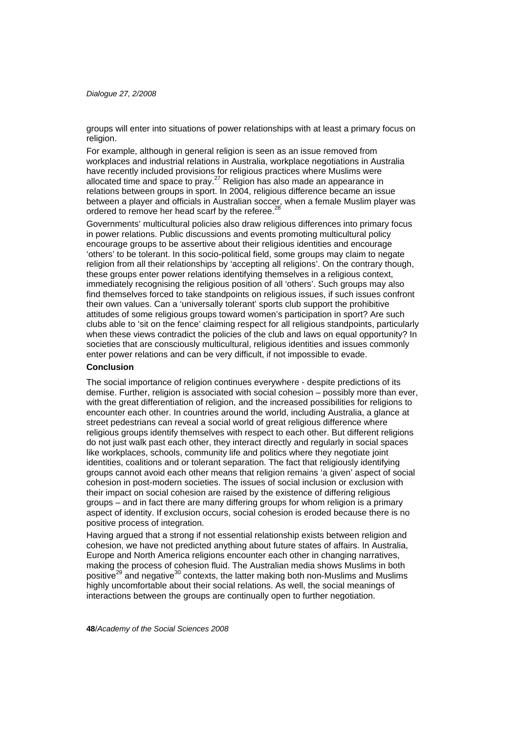groups will enter into situations of power relationships with at least a primary focus on religion.

For example, although in general religion is seen as an issue removed from workplaces and industrial relations in Australia, workplace negotiations in Australia have recently included provisions for religious practices where Muslims were allocated time and space to pray. $27$  Religion has also made an appearance in relations between groups in sport. In 2004, religious difference became an issue between a player and officials in Australian soccer, when a female Muslim player was ordered to remove her head scarf by the referee.<sup>28</sup>

Governments' multicultural policies also draw religious differences into primary focus in power relations. Public discussions and events promoting multicultural policy encourage groups to be assertive about their religious identities and encourage 'others' to be tolerant. In this socio-political field, some groups may claim to negate religion from all their relationships by 'accepting all religions'. On the contrary though, these groups enter power relations identifying themselves in a religious context, immediately recognising the religious position of all 'others'. Such groups may also find themselves forced to take standpoints on religious issues, if such issues confront their own values. Can a 'universally tolerant' sports club support the prohibitive attitudes of some religious groups toward women's participation in sport? Are such clubs able to 'sit on the fence' claiming respect for all religious standpoints, particularly when these views contradict the policies of the club and laws on equal opportunity? In societies that are consciously multicultural, religious identities and issues commonly enter power relations and can be very difficult, if not impossible to evade.

# **Conclusion**

The social importance of religion continues everywhere - despite predictions of its demise. Further, religion is associated with social cohesion – possibly more than ever, with the great differentiation of religion, and the increased possibilities for religions to encounter each other. In countries around the world, including Australia, a glance at street pedestrians can reveal a social world of great religious difference where religious groups identify themselves with respect to each other. But different religions do not just walk past each other, they interact directly and regularly in social spaces like workplaces, schools, community life and politics where they negotiate joint identities, coalitions and or tolerant separation. The fact that religiously identifying groups cannot avoid each other means that religion remains 'a given' aspect of social cohesion in post-modern societies. The issues of social inclusion or exclusion with their impact on social cohesion are raised by the existence of differing religious groups – and in fact there are many differing groups for whom religion is a primary aspect of identity. If exclusion occurs, social cohesion is eroded because there is no positive process of integration.

Having argued that a strong if not essential relationship exists between religion and cohesion, we have not predicted anything about future states of affairs. In Australia, Europe and North America religions encounter each other in changing narratives, making the process of cohesion fluid. The Australian media shows Muslims in both positive<sup>29</sup> and negative<sup>30</sup> contexts, the latter making both non-Muslims and Muslims highly uncomfortable about their social relations. As well, the social meanings of interactions between the groups are continually open to further negotiation.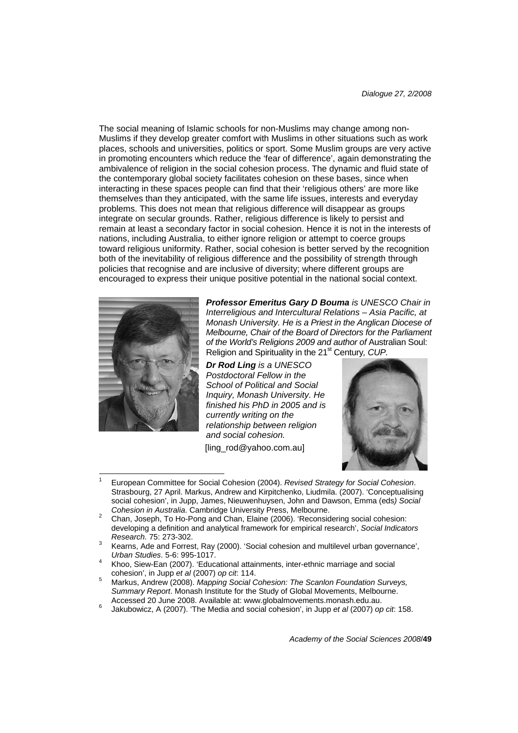The social meaning of Islamic schools for non-Muslims may change among non-Muslims if they develop greater comfort with Muslims in other situations such as work places, schools and universities, politics or sport. Some Muslim groups are very active in promoting encounters which reduce the 'fear of difference', again demonstrating the ambivalence of religion in the social cohesion process. The dynamic and fluid state of the contemporary global society facilitates cohesion on these bases, since when interacting in these spaces people can find that their 'religious others' are more like themselves than they anticipated, with the same life issues, interests and everyday problems. This does not mean that religious difference will disappear as groups integrate on secular grounds. Rather, religious difference is likely to persist and remain at least a secondary factor in social cohesion. Hence it is not in the interests of nations, including Australia, to either ignore religion or attempt to coerce groups toward religious uniformity. Rather, social cohesion is better served by the recognition both of the inevitability of religious difference and the possibility of strength through policies that recognise and are inclusive of diversity; where different groups are encouraged to express their unique positive potential in the national social context.



 $\overline{a}$ 

*Professor Emeritus Gary D Bouma is UNESCO Chair in Interreligious and Intercultural Relations – Asia Pacific, at Monash University. He is a Priest in the Anglican Diocese of Melbourne, Chair of the Board of Directors for the Parliament of the World's Religions 2009 and author of* Australian Soul: Religion and Spirituality in the 21<sup>st</sup> Century, CUP.

*Dr Rod Ling is a UNESCO Postdoctoral Fellow in the School of Political and Social Inquiry, Monash University. He finished his PhD in 2005 and is currently writing on the relationship between religion and social cohesion.* 

[ling\_rod@yahoo.com.au]



- 1 European Committee for Social Cohesion (2004). *Revised Strategy for Social Cohesion*. Strasbourg, 27 April. Markus, Andrew and Kirpitchenko, Liudmila. (2007). 'Conceptualising social cohesion', in Jupp, James, Nieuwenhuysen, John and Dawson, Emma (eds*) Social Cohesion in Australia*. Cambridge University Press, Melbourne. 2
- Chan, Joseph, To Ho-Pong and Chan, Elaine (2006). 'Reconsidering social cohesion: developing a definition and analytical framework for empirical research', *Social Indicators Research.* 75: 273-302. 3
- Kearns, Ade and Forrest, Ray (2000). 'Social cohesion and multilevel urban governance', *Urban Studies*. 5-6: 995-1017. 4
- Khoo, Siew-Ean (2007). 'Educational attainments, inter-ethnic marriage and social cohesion', in Jupp *et al* (2007) op *cit*: 114.
- Markus, Andrew (2008). *Mapping Social Cohesion: The Scanlon Foundation Surveys, Summary Report*. Monash Institute for the Study of Global Movements, Melbourne. Accessed 20 June 2008. Available at: www.globalmovements.monash.edu.au.
- Jakubowicz, A (2007). 'The Media and social cohesion', in Jupp *et al* (2007) *op cit*: 158.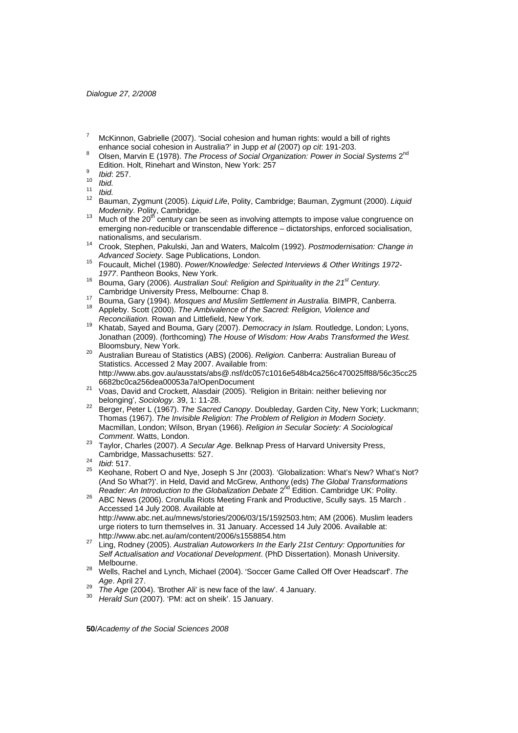- 7 McKinnon, Gabrielle (2007). 'Social cohesion and human rights: would a bill of rights enhance social cohesion in Australia?' in Jupp *et al* (2007) *op cit*: 191-203.
- Olsen, Marvin E (1978). *The Process of Social Organization: Power in Social Systems* 2nd Edition. Holt, Rinehart and Winston, New York: 257<br>Ibid: 257
- 
- 
- 
- *Ibid*: 257. 10 *Ibid.* <sup>11</sup>*Ibid.* 12 Bauman, Zygmunt (2005). *Liquid Life*, Polity, Cambridge; Bauman, Zygmunt (2000). *Liquid*
- *Modernity*. Polity, Cambridge.<br><sup>13</sup> Much of the 20<sup>th</sup> century can be seen as involving attempts to impose value congruence on emerging non-reducible or transcendable difference – dictatorships, enforced socialisation,
- nationalisms, and secularism. 14 Crook, Stephen, Pakulski, Jan and Waters, Malcolm (1992). *Postmodernisation: Change in*
- *Advanced Society*. Sage Publications, London. 15 Foucault, Michel (1980). *Power/Knowledge: Selected Interviews & Other Writings 1972-*
- 1977. Pantheon Books, New York.<br><sup>16</sup> Bouma, Gary (2006). *Australian Soul: Religion and Spirituality in the 21<sup>st</sup> Century.*<br>Cambridge University Press. Melbourne: Chap 8.
- 17 Bouma, Gary (1994). Mosques and Muslim Settlement in Australia. BIMPR, Canberra.<br><sup>18</sup> Appleby. Scott (2000). The Ambivalence of the Sacred: Religion, Violence and
- *Reconciliation.* Rowan and Littlefield, New York.<br>Khatab, Sayed and Bouma, Gary (2007). *Democracy in Islam.* Routledge, London; Lyons, Jonathan (2009). (forthcoming) *The House of Wisdom: How Arabs Transformed the West.*
- Bloomsbury, New York. 20 Australian Bureau of Statistics (ABS) (2006). *Religion.* Canberra: Australian Bureau of Statistics. Accessed 2 May 2007. Available from: http://www.abs.gov.au/ausstats/abs@.nsf/dc057c1016e548b4ca256c470025ff88/56c35cc25
- <sup>21</sup> Voas, David and Crockett, Alasdair (2005). 'Religion in Britain: neither believing nor
- belonging', *Sociology*. 39, 1: 11-28. 22 Berger, Peter L (1967). *The Sacred Canopy*. Doubleday, Garden City, New York; Luckmann; Thomas (1967). *The Invisible Religion: The Problem of Religion in Modern Society*. Macmillan, London; Wilson, Bryan (1966). *Religion in Secular Society: A Sociological Comment*. Watts, London. 23 Taylor, Charles (2007). *A Secular Age*. Belknap Press of Harvard University Press,
- 
- Cambridge, Massachusetts: 527.<br><sup>24</sup> *Ibid:* 517.<br><sup>25</sup> Keohane, Robert O and Nye, Joseph S Jnr (2003). 'Globalization: What's New? What's Not? (And So What?)'. in Held, David and McGrew, Anthony (eds) *The Global Transformations*
- *Reader: An Introduction to the Globalization Debate* 2nd Edition. Cambridge UK: Polity. 26 ABC News (2006). Cronulla Riots Meeting Frank and Productive, Scully says. 15 March . Accessed 14 July 2008. Available at http://www.abc.net.au/mnews/stories/2006/03/15/1592503.htm; AM (2006). Muslim leaders urge rioters to turn themselves in. 31 January. Accessed 14 July 2006. Available at:
- http://www.abc.net.au/am/content/2006/s1558854.htm 27 Ling, Rodney (2005). *Australian Autoworkers In the Early 21st Century: Opportunities for Self Actualisation and Vocational Development*. (PhD Dissertation). Monash University.
- Melbourne. 28 Wells, Rachel and Lynch, Michael (2004). 'Soccer Game Called Off Over Headscarf'. *The*
- *Age*. April 27. 29 *The Age* (2004). 'Brother Ali' is new face of the law'. 4 January. 30 *Herald Sun* (2007). 'PM: act on sheik'. 15 January.
-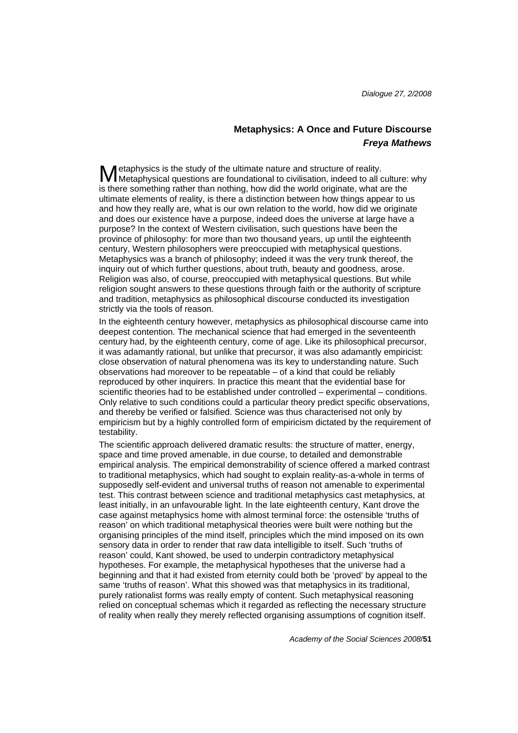# **Metaphysics: A Once and Future Discourse**  *Freya Mathews*

etaphysics is the study of the ultimate nature and structure of reality. Metaphysics is the study of the ultimate nature and structure of reality.<br>Metaphysical questions are foundational to civilisation, indeed to all culture: why is there something rather than nothing, how did the world originate, what are the ultimate elements of reality, is there a distinction between how things appear to us and how they really are, what is our own relation to the world, how did we originate and does our existence have a purpose, indeed does the universe at large have a purpose? In the context of Western civilisation, such questions have been the province of philosophy: for more than two thousand years, up until the eighteenth century, Western philosophers were preoccupied with metaphysical questions. Metaphysics was a branch of philosophy; indeed it was the very trunk thereof, the inquiry out of which further questions, about truth, beauty and goodness, arose. Religion was also, of course, preoccupied with metaphysical questions. But while religion sought answers to these questions through faith or the authority of scripture and tradition, metaphysics as philosophical discourse conducted its investigation strictly via the tools of reason.

In the eighteenth century however, metaphysics as philosophical discourse came into deepest contention. The mechanical science that had emerged in the seventeenth century had, by the eighteenth century, come of age. Like its philosophical precursor, it was adamantly rational, but unlike that precursor, it was also adamantly empiricist: close observation of natural phenomena was its key to understanding nature. Such observations had moreover to be repeatable – of a kind that could be reliably reproduced by other inquirers. In practice this meant that the evidential base for scientific theories had to be established under controlled – experimental – conditions. Only relative to such conditions could a particular theory predict specific observations, and thereby be verified or falsified. Science was thus characterised not only by empiricism but by a highly controlled form of empiricism dictated by the requirement of testability.

The scientific approach delivered dramatic results: the structure of matter, energy, space and time proved amenable, in due course, to detailed and demonstrable empirical analysis. The empirical demonstrability of science offered a marked contrast to traditional metaphysics, which had sought to explain reality-as-a-whole in terms of supposedly self-evident and universal truths of reason not amenable to experimental test. This contrast between science and traditional metaphysics cast metaphysics, at least initially, in an unfavourable light. In the late eighteenth century, Kant drove the case against metaphysics home with almost terminal force: the ostensible 'truths of reason' on which traditional metaphysical theories were built were nothing but the organising principles of the mind itself, principles which the mind imposed on its own sensory data in order to render that raw data intelligible to itself. Such 'truths of reason' could, Kant showed, be used to underpin contradictory metaphysical hypotheses. For example, the metaphysical hypotheses that the universe had a beginning and that it had existed from eternity could both be 'proved' by appeal to the same 'truths of reason'. What this showed was that metaphysics in its traditional, purely rationalist forms was really empty of content. Such metaphysical reasoning relied on conceptual schemas which it regarded as reflecting the necessary structure of reality when really they merely reflected organising assumptions of cognition itself.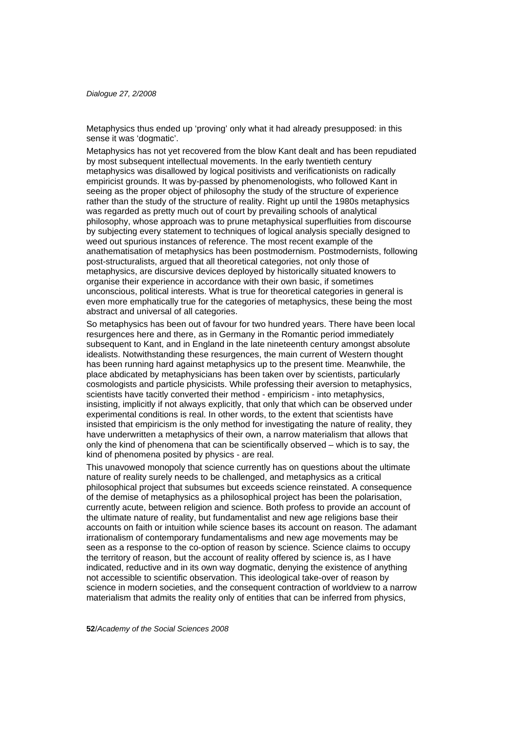Metaphysics thus ended up 'proving' only what it had already presupposed: in this sense it was 'dogmatic'.

Metaphysics has not yet recovered from the blow Kant dealt and has been repudiated by most subsequent intellectual movements. In the early twentieth century metaphysics was disallowed by logical positivists and verificationists on radically empiricist grounds. It was by-passed by phenomenologists, who followed Kant in seeing as the proper object of philosophy the study of the structure of experience rather than the study of the structure of reality. Right up until the 1980s metaphysics was regarded as pretty much out of court by prevailing schools of analytical philosophy, whose approach was to prune metaphysical superfluities from discourse by subjecting every statement to techniques of logical analysis specially designed to weed out spurious instances of reference. The most recent example of the anathematisation of metaphysics has been postmodernism. Postmodernists, following post-structuralists, argued that all theoretical categories, not only those of metaphysics, are discursive devices deployed by historically situated knowers to organise their experience in accordance with their own basic, if sometimes unconscious, political interests. What is true for theoretical categories in general is even more emphatically true for the categories of metaphysics, these being the most abstract and universal of all categories.

So metaphysics has been out of favour for two hundred years. There have been local resurgences here and there, as in Germany in the Romantic period immediately subsequent to Kant, and in England in the late nineteenth century amongst absolute idealists. Notwithstanding these resurgences, the main current of Western thought has been running hard against metaphysics up to the present time. Meanwhile, the place abdicated by metaphysicians has been taken over by scientists, particularly cosmologists and particle physicists. While professing their aversion to metaphysics, scientists have tacitly converted their method - empiricism - into metaphysics, insisting, implicitly if not always explicitly, that only that which can be observed under experimental conditions is real. In other words, to the extent that scientists have insisted that empiricism is the only method for investigating the nature of reality, they have underwritten a metaphysics of their own, a narrow materialism that allows that only the kind of phenomena that can be scientifically observed – which is to say, the kind of phenomena posited by physics - are real.

This unavowed monopoly that science currently has on questions about the ultimate nature of reality surely needs to be challenged, and metaphysics as a critical philosophical project that subsumes but exceeds science reinstated. A consequence of the demise of metaphysics as a philosophical project has been the polarisation, currently acute, between religion and science. Both profess to provide an account of the ultimate nature of reality, but fundamentalist and new age religions base their accounts on faith or intuition while science bases its account on reason. The adamant irrationalism of contemporary fundamentalisms and new age movements may be seen as a response to the co-option of reason by science. Science claims to occupy the territory of reason, but the account of reality offered by science is, as I have indicated, reductive and in its own way dogmatic, denying the existence of anything not accessible to scientific observation. This ideological take-over of reason by science in modern societies, and the consequent contraction of worldview to a narrow materialism that admits the reality only of entities that can be inferred from physics,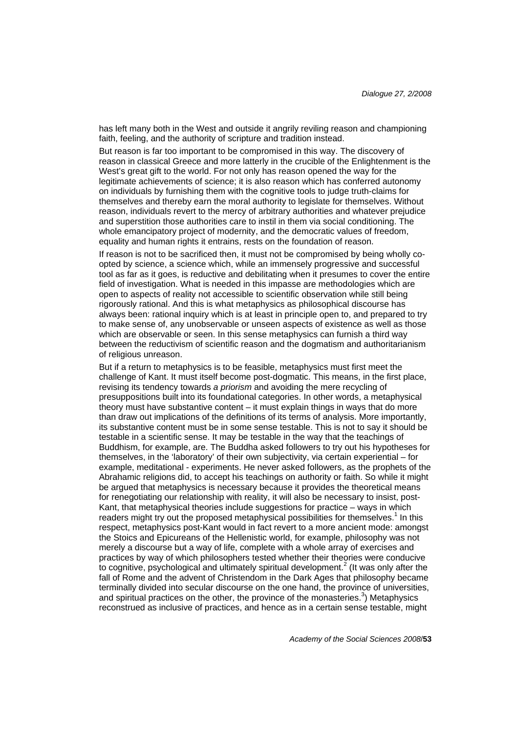has left many both in the West and outside it angrily reviling reason and championing faith, feeling, and the authority of scripture and tradition instead.

But reason is far too important to be compromised in this way. The discovery of reason in classical Greece and more latterly in the crucible of the Enlightenment is the West's great gift to the world. For not only has reason opened the way for the legitimate achievements of science; it is also reason which has conferred autonomy on individuals by furnishing them with the cognitive tools to judge truth-claims for themselves and thereby earn the moral authority to legislate for themselves. Without reason, individuals revert to the mercy of arbitrary authorities and whatever prejudice and superstition those authorities care to instil in them via social conditioning. The whole emancipatory project of modernity, and the democratic values of freedom, equality and human rights it entrains, rests on the foundation of reason.

If reason is not to be sacrificed then, it must not be compromised by being wholly coopted by science, a science which, while an immensely progressive and successful tool as far as it goes, is reductive and debilitating when it presumes to cover the entire field of investigation. What is needed in this impasse are methodologies which are open to aspects of reality not accessible to scientific observation while still being rigorously rational. And this is what metaphysics as philosophical discourse has always been: rational inquiry which is at least in principle open to, and prepared to try to make sense of, any unobservable or unseen aspects of existence as well as those which are observable or seen. In this sense metaphysics can furnish a third way between the reductivism of scientific reason and the dogmatism and authoritarianism of religious unreason.

But if a return to metaphysics is to be feasible, metaphysics must first meet the challenge of Kant. It must itself become post-dogmatic. This means, in the first place, revising its tendency towards *a priorism* and avoiding the mere recycling of presuppositions built into its foundational categories. In other words, a metaphysical theory must have substantive content – it must explain things in ways that do more than draw out implications of the definitions of its terms of analysis. More importantly, its substantive content must be in some sense testable. This is not to say it should be testable in a scientific sense. It may be testable in the way that the teachings of Buddhism, for example, are. The Buddha asked followers to try out his hypotheses for themselves, in the 'laboratory' of their own subjectivity, via certain experiential – for example, meditational - experiments. He never asked followers, as the prophets of the Abrahamic religions did, to accept his teachings on authority or faith. So while it might be argued that metaphysics is necessary because it provides the theoretical means for renegotiating our relationship with reality, it will also be necessary to insist, post-Kant, that metaphysical theories include suggestions for practice – ways in which readers might try out the proposed metaphysical possibilities for themselves.<sup>1</sup> In this respect, metaphysics post-Kant would in fact revert to a more ancient mode: amongst the Stoics and Epicureans of the Hellenistic world, for example, philosophy was not merely a discourse but a way of life, complete with a whole array of exercises and practices by way of which philosophers tested whether their theories were conducive to cognitive, psychological and ultimately spiritual development.<sup>2</sup> (It was only after the fall of Rome and the advent of Christendom in the Dark Ages that philosophy became terminally divided into secular discourse on the one hand, the province of universities, and spiritual practices on the other, the province of the monasteries.<sup>3</sup>) Metaphysics reconstrued as inclusive of practices, and hence as in a certain sense testable, might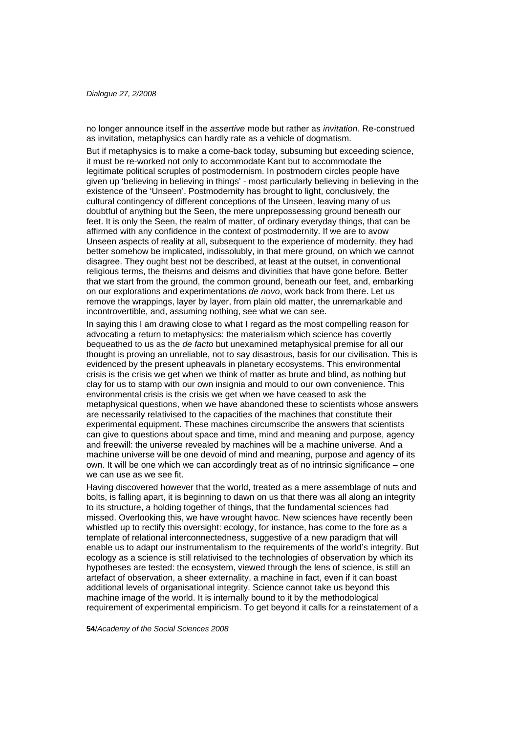no longer announce itself in the *assertive* mode but rather as *invitation*. Re-construed as invitation, metaphysics can hardly rate as a vehicle of dogmatism.

But if metaphysics is to make a come-back today, subsuming but exceeding science, it must be re-worked not only to accommodate Kant but to accommodate the legitimate political scruples of postmodernism. In postmodern circles people have given up 'believing in believing in things' - most particularly believing in believing in the existence of the 'Unseen'. Postmodernity has brought to light, conclusively, the cultural contingency of different conceptions of the Unseen, leaving many of us doubtful of anything but the Seen, the mere unprepossessing ground beneath our feet. It is only the Seen, the realm of matter, of ordinary everyday things, that can be affirmed with any confidence in the context of postmodernity. If we are to avow Unseen aspects of reality at all, subsequent to the experience of modernity, they had better somehow be implicated, indissolubly, in that mere ground, on which we cannot disagree. They ought best not be described, at least at the outset, in conventional religious terms, the theisms and deisms and divinities that have gone before. Better that we start from the ground, the common ground, beneath our feet, and, embarking on our explorations and experimentations *de novo*, work back from there. Let us remove the wrappings, layer by layer, from plain old matter, the unremarkable and incontrovertible, and, assuming nothing, see what we can see.

In saying this I am drawing close to what I regard as the most compelling reason for advocating a return to metaphysics: the materialism which science has covertly bequeathed to us as the *de facto* but unexamined metaphysical premise for all our thought is proving an unreliable, not to say disastrous, basis for our civilisation. This is evidenced by the present upheavals in planetary ecosystems. This environmental crisis is the crisis we get when we think of matter as brute and blind, as nothing but clay for us to stamp with our own insignia and mould to our own convenience. This environmental crisis is the crisis we get when we have ceased to ask the metaphysical questions, when we have abandoned these to scientists whose answers are necessarily relativised to the capacities of the machines that constitute their experimental equipment. These machines circumscribe the answers that scientists can give to questions about space and time, mind and meaning and purpose, agency and freewill: the universe revealed by machines will be a machine universe. And a machine universe will be one devoid of mind and meaning, purpose and agency of its own. It will be one which we can accordingly treat as of no intrinsic significance – one we can use as we see fit.

Having discovered however that the world, treated as a mere assemblage of nuts and bolts, is falling apart, it is beginning to dawn on us that there was all along an integrity to its structure, a holding together of things, that the fundamental sciences had missed. Overlooking this, we have wrought havoc. New sciences have recently been whistled up to rectify this oversight: ecology, for instance, has come to the fore as a template of relational interconnectedness, suggestive of a new paradigm that will enable us to adapt our instrumentalism to the requirements of the world's integrity. But ecology as a science is still relativised to the technologies of observation by which its hypotheses are tested: the ecosystem, viewed through the lens of science, is still an artefact of observation, a sheer externality, a machine in fact, even if it can boast additional levels of organisational integrity. Science cannot take us beyond this machine image of the world. It is internally bound to it by the methodological requirement of experimental empiricism. To get beyond it calls for a reinstatement of a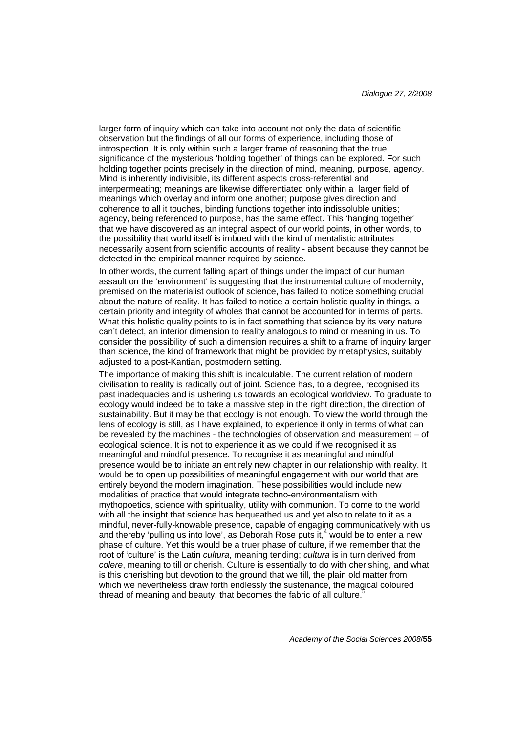larger form of inquiry which can take into account not only the data of scientific observation but the findings of all our forms of experience, including those of introspection. It is only within such a larger frame of reasoning that the true significance of the mysterious 'holding together' of things can be explored. For such holding together points precisely in the direction of mind, meaning, purpose, agency. Mind is inherently indivisible, its different aspects cross-referential and interpermeating; meanings are likewise differentiated only within a larger field of meanings which overlay and inform one another; purpose gives direction and coherence to all it touches, binding functions together into indissoluble unities; agency, being referenced to purpose, has the same effect. This 'hanging together' that we have discovered as an integral aspect of our world points, in other words, to the possibility that world itself is imbued with the kind of mentalistic attributes necessarily absent from scientific accounts of reality - absent because they cannot be detected in the empirical manner required by science.

In other words, the current falling apart of things under the impact of our human assault on the 'environment' is suggesting that the instrumental culture of modernity, premised on the materialist outlook of science, has failed to notice something crucial about the nature of reality. It has failed to notice a certain holistic quality in things, a certain priority and integrity of wholes that cannot be accounted for in terms of parts. What this holistic quality points to is in fact something that science by its very nature can't detect, an interior dimension to reality analogous to mind or meaning in us. To consider the possibility of such a dimension requires a shift to a frame of inquiry larger than science, the kind of framework that might be provided by metaphysics, suitably adjusted to a post-Kantian, postmodern setting.

The importance of making this shift is incalculable. The current relation of modern civilisation to reality is radically out of joint. Science has, to a degree, recognised its past inadequacies and is ushering us towards an ecological worldview. To graduate to ecology would indeed be to take a massive step in the right direction, the direction of sustainability. But it may be that ecology is not enough. To view the world through the lens of ecology is still, as I have explained, to experience it only in terms of what can be revealed by the machines - the technologies of observation and measurement – of ecological science. It is not to experience it as we could if we recognised it as meaningful and mindful presence. To recognise it as meaningful and mindful presence would be to initiate an entirely new chapter in our relationship with reality. It would be to open up possibilities of meaningful engagement with our world that are entirely beyond the modern imagination. These possibilities would include new modalities of practice that would integrate techno-environmentalism with mythopoetics, science with spirituality, utility with communion. To come to the world with all the insight that science has bequeathed us and yet also to relate to it as a mindful, never-fully-knowable presence, capable of engaging communicatively with us and thereby 'pulling us into love', as Deborah Rose puts it,<sup>4</sup> would be to enter a new phase of culture. Yet this would be a truer phase of culture, if we remember that the root of 'culture' is the Latin *cultura*, meaning tending; *cultura* is in turn derived from *colere*, meaning to till or cherish. Culture is essentially to do with cherishing, and what is this cherishing but devotion to the ground that we till, the plain old matter from which we nevertheless draw forth endlessly the sustenance, the magical coloured thread of meaning and beauty, that becomes the fabric of all culture. $\frac{3}{5}$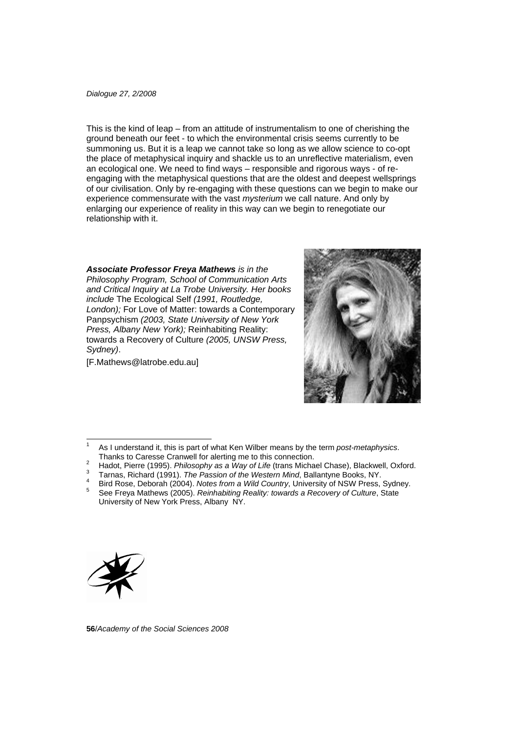This is the kind of leap – from an attitude of instrumentalism to one of cherishing the ground beneath our feet - to which the environmental crisis seems currently to be summoning us. But it is a leap we cannot take so long as we allow science to co-opt the place of metaphysical inquiry and shackle us to an unreflective materialism, even an ecological one. We need to find ways – responsible and rigorous ways - of reengaging with the metaphysical questions that are the oldest and deepest wellsprings of our civilisation. Only by re-engaging with these questions can we begin to make our experience commensurate with the vast *mysterium* we call nature. And only by enlarging our experience of reality in this way can we begin to renegotiate our relationship with it.

*Associate Professor Freya Mathews is in the Philosophy Program, School of Communication Arts and Critical Inquiry at La Trobe University. Her books include* The Ecological Self *(1991, Routledge, London);* For Love of Matter: towards a Contemporary Panpsychism *(2003, State University of New York Press, Albany New York);* Reinhabiting Reality: towards a Recovery of Culture *(2005, UNSW Press, Sydney)*.

[F.Mathews@latrobe.edu.au]



<sup>1</sup> As I understand it, this is part of what Ken Wilber means by the term *post-metaphysics*. Thanks to Caresse Cranwell for alerting me to this connection.



 $\overline{a}$ 

<sup>&</sup>lt;sup>2</sup> Hadot, Pierre (1995). *Philosophy as a Way of Life* (trans Michael Chase), Blackwell, Oxford.<br><sup>3</sup> Tarnea Bishard (4004). The Bessien of the Wastern Mind. Ballanture Basks, NY.

Tarnas, Richard (1991). *The Passion of the Western Mind*, Ballantyne Books, NY. 4

<sup>&</sup>lt;sup>4</sup> Bird Rose, Deborah (2004). *Notes from a Wild Country*, University of NSW Press, Sydney. See Freya Mathews (2005). *Reinhabiting Reality: towards a Recovery of Culture*, State University of New York Press, Albany NY.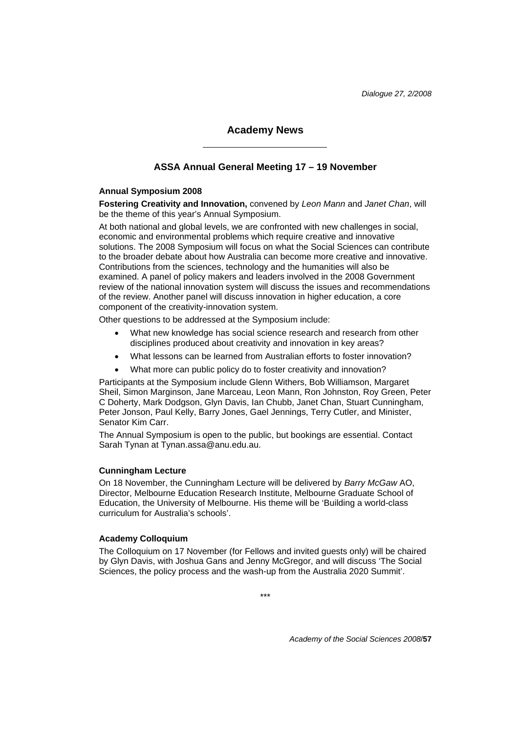# **Academy News**

# **ASSA Annual General Meeting 17 – 19 November**

### **Annual Symposium 2008**

**Fostering Creativity and Innovation,** convened by *Leon Mann* and *Janet Chan*, will be the theme of this year's Annual Symposium.

At both national and global levels, we are confronted with new challenges in social, economic and environmental problems which require creative and innovative solutions. The 2008 Symposium will focus on what the Social Sciences can contribute to the broader debate about how Australia can become more creative and innovative. Contributions from the sciences, technology and the humanities will also be examined. A panel of policy makers and leaders involved in the 2008 Government review of the national innovation system will discuss the issues and recommendations of the review. Another panel will discuss innovation in higher education, a core component of the creativity-innovation system.

Other questions to be addressed at the Symposium include:

- What new knowledge has social science research and research from other disciplines produced about creativity and innovation in key areas?
- What lessons can be learned from Australian efforts to foster innovation?
- What more can public policy do to foster creativity and innovation?

Participants at the Symposium include Glenn Withers, Bob Williamson, Margaret Sheil, Simon Marginson, Jane Marceau, Leon Mann, Ron Johnston, Roy Green, Peter C Doherty, Mark Dodgson, Glyn Davis, Ian Chubb, Janet Chan, Stuart Cunningham, Peter Jonson, Paul Kelly, Barry Jones, Gael Jennings, Terry Cutler, and Minister, Senator Kim Carr.

The Annual Symposium is open to the public, but bookings are essential. Contact Sarah Tynan at Tynan.assa@anu.edu.au.

# **Cunningham Lecture**

On 18 November, the Cunningham Lecture will be delivered by *Barry McGaw* AO, Director, Melbourne Education Research Institute, Melbourne Graduate School of Education, the University of Melbourne. His theme will be 'Building a world-class curriculum for Australia's schools'.

# **Academy Colloquium**

The Colloquium on 17 November (for Fellows and invited guests only) will be chaired by Glyn Davis, with Joshua Gans and Jenny McGregor, and will discuss 'The Social Sciences, the policy process and the wash-up from the Australia 2020 Summit'.

\*\*\*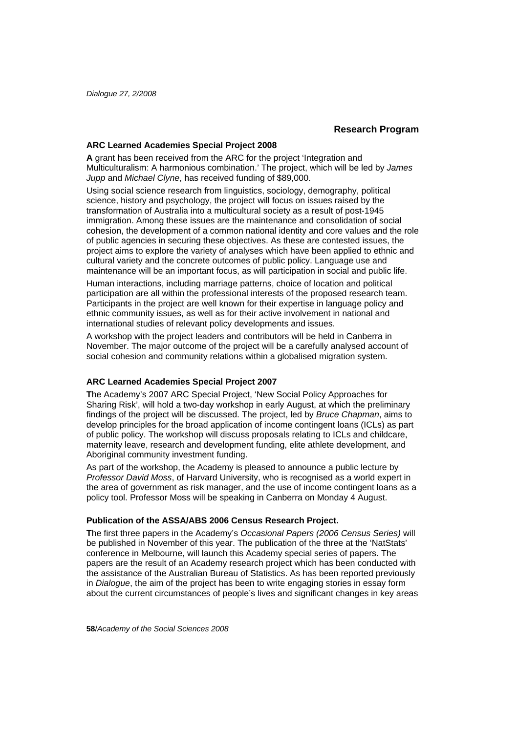# **Research Program**

### **ARC Learned Academies Special Project 2008**

**A** grant has been received from the ARC for the project 'Integration and Multiculturalism: A harmonious combination.' The project, which will be led by *James Jupp* and *Michael Clyne*, has received funding of \$89,000.

Using social science research from linguistics, sociology, demography, political science, history and psychology, the project will focus on issues raised by the transformation of Australia into a multicultural society as a result of post-1945 immigration. Among these issues are the maintenance and consolidation of social cohesion, the development of a common national identity and core values and the role of public agencies in securing these objectives. As these are contested issues, the project aims to explore the variety of analyses which have been applied to ethnic and cultural variety and the concrete outcomes of public policy. Language use and maintenance will be an important focus, as will participation in social and public life.

Human interactions, including marriage patterns, choice of location and political participation are all within the professional interests of the proposed research team. Participants in the project are well known for their expertise in language policy and ethnic community issues, as well as for their active involvement in national and international studies of relevant policy developments and issues.

A workshop with the project leaders and contributors will be held in Canberra in November. The major outcome of the project will be a carefully analysed account of social cohesion and community relations within a globalised migration system.

# **ARC Learned Academies Special Project 2007**

**T**he Academy's 2007 ARC Special Project, 'New Social Policy Approaches for Sharing Risk', will hold a two-day workshop in early August, at which the preliminary findings of the project will be discussed. The project, led by *Bruce Chapman*, aims to develop principles for the broad application of income contingent loans (ICLs) as part of public policy. The workshop will discuss proposals relating to ICLs and childcare, maternity leave, research and development funding, elite athlete development, and Aboriginal community investment funding.

As part of the workshop, the Academy is pleased to announce a public lecture by *Professor David Moss*, of Harvard University, who is recognised as a world expert in the area of government as risk manager, and the use of income contingent loans as a policy tool. Professor Moss will be speaking in Canberra on Monday 4 August.

# **Publication of the ASSA/ABS 2006 Census Research Project.**

**T**he first three papers in the Academy's *Occasional Papers (2006 Census Series)* will be published in November of this year. The publication of the three at the 'NatStats' conference in Melbourne, will launch this Academy special series of papers. The papers are the result of an Academy research project which has been conducted with the assistance of the Australian Bureau of Statistics. As has been reported previously in *Dialogue*, the aim of the project has been to write engaging stories in essay form about the current circumstances of people's lives and significant changes in key areas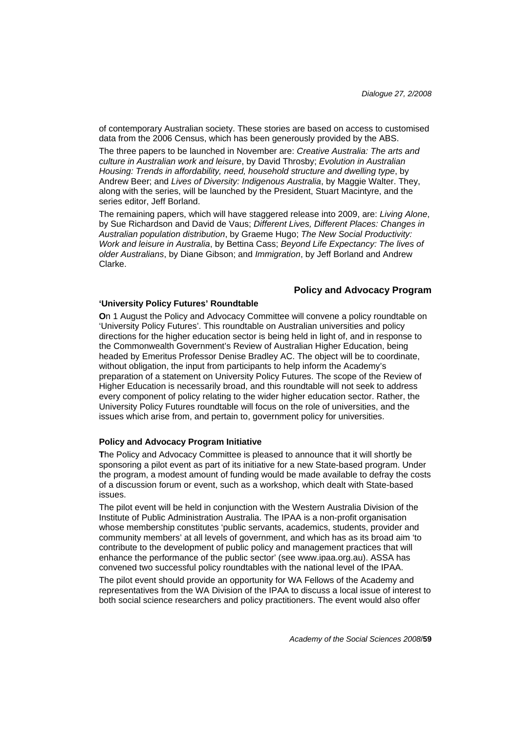of contemporary Australian society. These stories are based on access to customised data from the 2006 Census, which has been generously provided by the ABS.

The three papers to be launched in November are: *Creative Australia: The arts and culture in Australian work and leisure*, by David Throsby; *Evolution in Australian Housing: Trends in affordability, need, household structure and dwelling type*, by Andrew Beer; and *Lives of Diversity: Indigenous Australia*, by Maggie Walter. They, along with the series, will be launched by the President, Stuart Macintyre, and the series editor, Jeff Borland.

The remaining papers, which will have staggered release into 2009, are: *Living Alone*, by Sue Richardson and David de Vaus; *Different Lives, Different Places: Changes in Australian population distribution*, by Graeme Hugo; *The New Social Productivity: Work and leisure in Australia*, by Bettina Cass; *Beyond Life Expectancy: The lives of older Australians*, by Diane Gibson; and *Immigration*, by Jeff Borland and Andrew Clarke.

# **Policy and Advocacy Program**

### **'University Policy Futures' Roundtable**

**O**n 1 August the Policy and Advocacy Committee will convene a policy roundtable on 'University Policy Futures'. This roundtable on Australian universities and policy directions for the higher education sector is being held in light of, and in response to the Commonwealth Government's Review of Australian Higher Education, being headed by Emeritus Professor Denise Bradley AC. The object will be to coordinate, without obligation, the input from participants to help inform the Academy's preparation of a statement on University Policy Futures. The scope of the Review of Higher Education is necessarily broad, and this roundtable will not seek to address every component of policy relating to the wider higher education sector. Rather, the University Policy Futures roundtable will focus on the role of universities, and the issues which arise from, and pertain to, government policy for universities.

# **Policy and Advocacy Program Initiative**

**T**he Policy and Advocacy Committee is pleased to announce that it will shortly be sponsoring a pilot event as part of its initiative for a new State-based program. Under the program, a modest amount of funding would be made available to defray the costs of a discussion forum or event, such as a workshop, which dealt with State-based issues.

The pilot event will be held in conjunction with the Western Australia Division of the Institute of Public Administration Australia. The IPAA is a non-profit organisation whose membership constitutes 'public servants, academics, students, provider and community members' at all levels of government, and which has as its broad aim 'to contribute to the development of public policy and management practices that will enhance the performance of the public sector' (see www.ipaa.org.au). ASSA has convened two successful policy roundtables with the national level of the IPAA.

The pilot event should provide an opportunity for WA Fellows of the Academy and representatives from the WA Division of the IPAA to discuss a local issue of interest to both social science researchers and policy practitioners. The event would also offer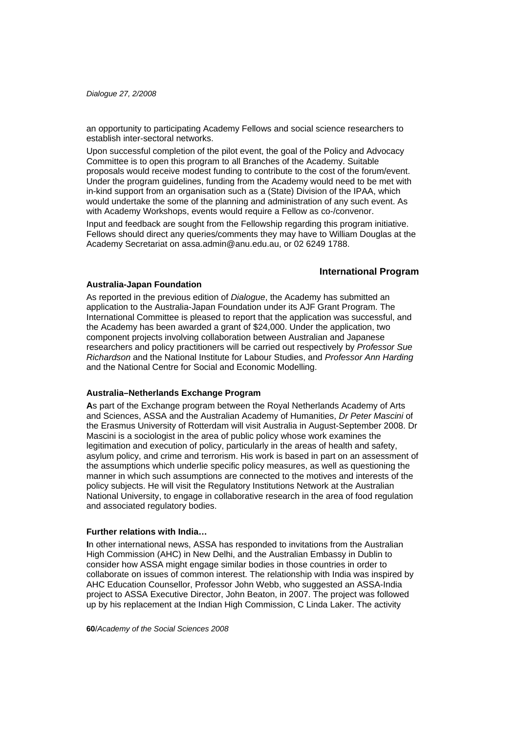an opportunity to participating Academy Fellows and social science researchers to establish inter-sectoral networks.

Upon successful completion of the pilot event, the goal of the Policy and Advocacy Committee is to open this program to all Branches of the Academy. Suitable proposals would receive modest funding to contribute to the cost of the forum/event. Under the program guidelines, funding from the Academy would need to be met with in-kind support from an organisation such as a (State) Division of the IPAA, which would undertake the some of the planning and administration of any such event. As with Academy Workshops, events would require a Fellow as co-/convenor.

Input and feedback are sought from the Fellowship regarding this program initiative. Fellows should direct any queries/comments they may have to William Douglas at the Academy Secretariat on assa.admin@anu.edu.au, or 02 6249 1788.

# **International Program**

### **Australia-Japan Foundation**

As reported in the previous edition of *Dialogue*, the Academy has submitted an application to the Australia-Japan Foundation under its AJF Grant Program. The International Committee is pleased to report that the application was successful, and the Academy has been awarded a grant of \$24,000. Under the application, two component projects involving collaboration between Australian and Japanese researchers and policy practitioners will be carried out respectively by *Professor Sue Richardson* and the National Institute for Labour Studies, and *Professor Ann Harding* and the National Centre for Social and Economic Modelling.

# **Australia–Netherlands Exchange Program**

**A**s part of the Exchange program between the Royal Netherlands Academy of Arts and Sciences, ASSA and the Australian Academy of Humanities, *Dr Peter Mascini* of the Erasmus University of Rotterdam will visit Australia in August-September 2008. Dr Mascini is a sociologist in the area of public policy whose work examines the legitimation and execution of policy, particularly in the areas of health and safety, asylum policy, and crime and terrorism. His work is based in part on an assessment of the assumptions which underlie specific policy measures, as well as questioning the manner in which such assumptions are connected to the motives and interests of the policy subjects. He will visit the Regulatory Institutions Network at the Australian National University, to engage in collaborative research in the area of food regulation and associated regulatory bodies.

# **Further relations with India…**

**I**n other international news, ASSA has responded to invitations from the Australian High Commission (AHC) in New Delhi, and the Australian Embassy in Dublin to consider how ASSA might engage similar bodies in those countries in order to collaborate on issues of common interest. The relationship with India was inspired by AHC Education Counsellor, Professor John Webb, who suggested an ASSA-India project to ASSA Executive Director, John Beaton, in 2007. The project was followed up by his replacement at the Indian High Commission, C Linda Laker. The activity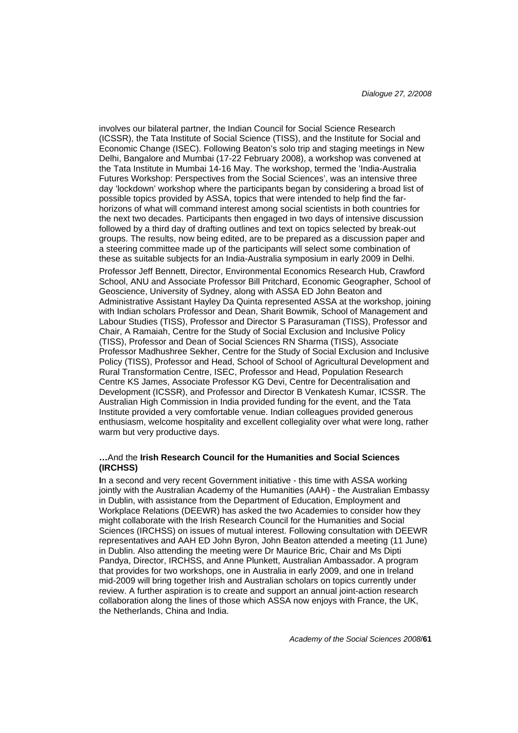involves our bilateral partner, the Indian Council for Social Science Research (ICSSR), the Tata Institute of Social Science (TISS), and the Institute for Social and Economic Change (ISEC). Following Beaton's solo trip and staging meetings in New Delhi, Bangalore and Mumbai (17-22 February 2008), a workshop was convened at the Tata Institute in Mumbai 14-16 May. The workshop, termed the 'India-Australia Futures Workshop: Perspectives from the Social Sciences', was an intensive three day 'lockdown' workshop where the participants began by considering a broad list of possible topics provided by ASSA, topics that were intended to help find the farhorizons of what will command interest among social scientists in both countries for the next two decades. Participants then engaged in two days of intensive discussion followed by a third day of drafting outlines and text on topics selected by break-out groups. The results, now being edited, are to be prepared as a discussion paper and a steering committee made up of the participants will select some combination of these as suitable subjects for an India-Australia symposium in early 2009 in Delhi.

Professor Jeff Bennett, Director, Environmental Economics Research Hub, Crawford School, ANU and Associate Professor Bill Pritchard, Economic Geographer, School of Geoscience, University of Sydney, along with ASSA ED John Beaton and Administrative Assistant Hayley Da Quinta represented ASSA at the workshop, joining with Indian scholars Professor and Dean, Sharit Bowmik, School of Management and Labour Studies (TISS), Professor and Director S Parasuraman (TISS), Professor and Chair, A Ramaiah, Centre for the Study of Social Exclusion and Inclusive Policy (TISS), Professor and Dean of Social Sciences RN Sharma (TISS), Associate Professor Madhushree Sekher, Centre for the Study of Social Exclusion and Inclusive Policy (TISS), Professor and Head, School of School of Agricultural Development and Rural Transformation Centre, ISEC, Professor and Head, Population Research Centre KS James, Associate Professor KG Devi, Centre for Decentralisation and Development (ICSSR), and Professor and Director B Venkatesh Kumar, ICSSR. The Australian High Commission in India provided funding for the event, and the Tata Institute provided a very comfortable venue. Indian colleagues provided generous enthusiasm, welcome hospitality and excellent collegiality over what were long, rather warm but very productive days.

# **…**And the **Irish Research Council for the Humanities and Social Sciences (IRCHSS)**

**I**n a second and very recent Government initiative - this time with ASSA working jointly with the Australian Academy of the Humanities (AAH) - the Australian Embassy in Dublin, with assistance from the Department of Education, Employment and Workplace Relations (DEEWR) has asked the two Academies to consider how they might collaborate with the Irish Research Council for the Humanities and Social Sciences (IRCHSS) on issues of mutual interest. Following consultation with DEEWR representatives and AAH ED John Byron, John Beaton attended a meeting (11 June) in Dublin. Also attending the meeting were Dr Maurice Bric, Chair and Ms Dipti Pandya, Director, IRCHSS, and Anne Plunkett, Australian Ambassador. A program that provides for two workshops, one in Australia in early 2009, and one in Ireland mid-2009 will bring together Irish and Australian scholars on topics currently under review. A further aspiration is to create and support an annual joint-action research collaboration along the lines of those which ASSA now enjoys with France, the UK, the Netherlands, China and India.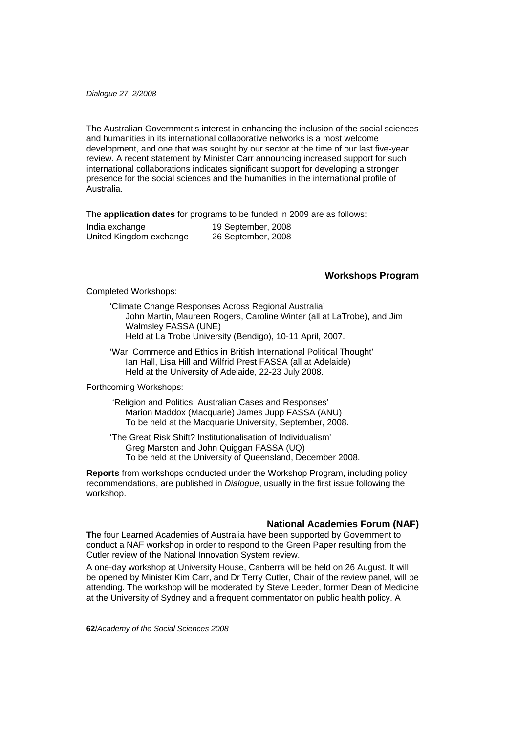The Australian Government's interest in enhancing the inclusion of the social sciences and humanities in its international collaborative networks is a most welcome development, and one that was sought by our sector at the time of our last five-year review. A recent statement by Minister Carr announcing increased support for such international collaborations indicates significant support for developing a stronger presence for the social sciences and the humanities in the international profile of Australia.

The **application dates** for programs to be funded in 2009 are as follows:

| India exchange          | 19 September, 2008 |
|-------------------------|--------------------|
| United Kingdom exchange | 26 September, 2008 |

# **Workshops Program**

Completed Workshops:

'Climate Change Responses Across Regional Australia' John Martin, Maureen Rogers, Caroline Winter (all at LaTrobe), and Jim Walmsley FASSA (UNE) Held at La Trobe University (Bendigo), 10-11 April, 2007.

'War, Commerce and Ethics in British International Political Thought' Ian Hall, Lisa Hill and Wilfrid Prest FASSA (all at Adelaide) Held at the University of Adelaide, 22-23 July 2008.

Forthcoming Workshops:

 'Religion and Politics: Australian Cases and Responses' Marion Maddox (Macquarie) James Jupp FASSA (ANU) To be held at the Macquarie University, September, 2008.

'The Great Risk Shift? Institutionalisation of Individualism' Greg Marston and John Quiggan FASSA (UQ) To be held at the University of Queensland, December 2008.

**Reports** from workshops conducted under the Workshop Program, including policy recommendations, are published in *Dialogue*, usually in the first issue following the workshop.

# **National Academies Forum (NAF)**

**T**he four Learned Academies of Australia have been supported by Government to conduct a NAF workshop in order to respond to the Green Paper resulting from the Cutler review of the National Innovation System review.

A one-day workshop at University House, Canberra will be held on 26 August. It will be opened by Minister Kim Carr, and Dr Terry Cutler, Chair of the review panel, will be attending. The workshop will be moderated by Steve Leeder, former Dean of Medicine at the University of Sydney and a frequent commentator on public health policy. A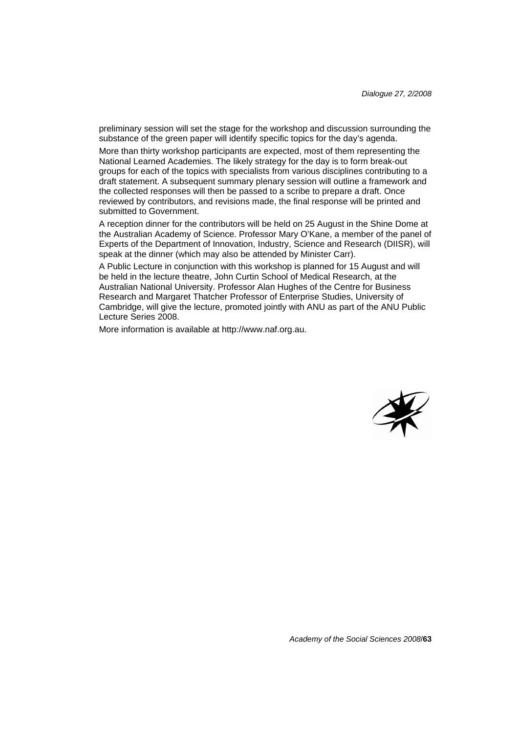preliminary session will set the stage for the workshop and discussion surrounding the substance of the green paper will identify specific topics for the day's agenda.

More than thirty workshop participants are expected, most of them representing the National Learned Academies. The likely strategy for the day is to form break-out groups for each of the topics with specialists from various disciplines contributing to a draft statement. A subsequent summary plenary session will outline a framework and the collected responses will then be passed to a scribe to prepare a draft. Once reviewed by contributors, and revisions made, the final response will be printed and submitted to Government.

A reception dinner for the contributors will be held on 25 August in the Shine Dome at the Australian Academy of Science. Professor Mary O'Kane, a member of the panel of Experts of the Department of Innovation, Industry, Science and Research (DIISR), will speak at the dinner (which may also be attended by Minister Carr).

A Public Lecture in conjunction with this workshop is planned for 15 August and will be held in the lecture theatre, John Curtin School of Medical Research, at the Australian National University. Professor Alan Hughes of the Centre for Business Research and Margaret Thatcher Professor of Enterprise Studies, University of Cambridge, will give the lecture, promoted jointly with ANU as part of the ANU Public Lecture Series 2008.

More information is available at http://www.naf.org.au.

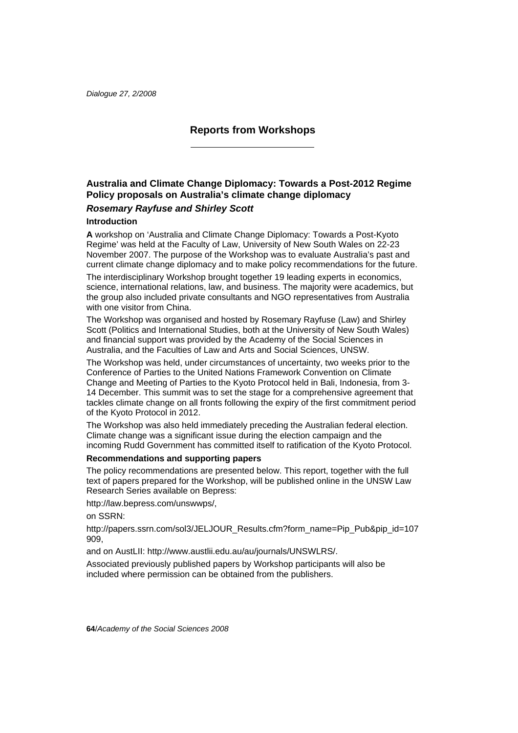# **Reports from Workshops**

# **Australia and Climate Change Diplomacy: Towards a Post-2012 Regime Policy proposals on Australia's climate change diplomacy**

# *Rosemary Rayfuse and Shirley Scott*

### **Introduction**

**A** workshop on 'Australia and Climate Change Diplomacy: Towards a Post-Kyoto Regime' was held at the Faculty of Law, University of New South Wales on 22-23 November 2007. The purpose of the Workshop was to evaluate Australia's past and current climate change diplomacy and to make policy recommendations for the future.

The interdisciplinary Workshop brought together 19 leading experts in economics, science, international relations, law, and business. The majority were academics, but the group also included private consultants and NGO representatives from Australia with one visitor from China.

The Workshop was organised and hosted by Rosemary Rayfuse (Law) and Shirley Scott (Politics and International Studies, both at the University of New South Wales) and financial support was provided by the Academy of the Social Sciences in Australia, and the Faculties of Law and Arts and Social Sciences, UNSW.

The Workshop was held, under circumstances of uncertainty, two weeks prior to the Conference of Parties to the United Nations Framework Convention on Climate Change and Meeting of Parties to the Kyoto Protocol held in Bali, Indonesia, from 3- 14 December. This summit was to set the stage for a comprehensive agreement that tackles climate change on all fronts following the expiry of the first commitment period of the Kyoto Protocol in 2012.

The Workshop was also held immediately preceding the Australian federal election. Climate change was a significant issue during the election campaign and the incoming Rudd Government has committed itself to ratification of the Kyoto Protocol.

# **Recommendations and supporting papers**

The policy recommendations are presented below. This report, together with the full text of papers prepared for the Workshop, will be published online in the UNSW Law Research Series available on Bepress:

http://law.bepress.com/unswwps/,

on SSRN:

http://papers.ssrn.com/sol3/JELJOUR\_Results.cfm?form\_name=Pip\_Pub&pip\_id=107 909,

and on AustLII: http://www.austlii.edu.au/au/journals/UNSWLRS/.

Associated previously published papers by Workshop participants will also be included where permission can be obtained from the publishers.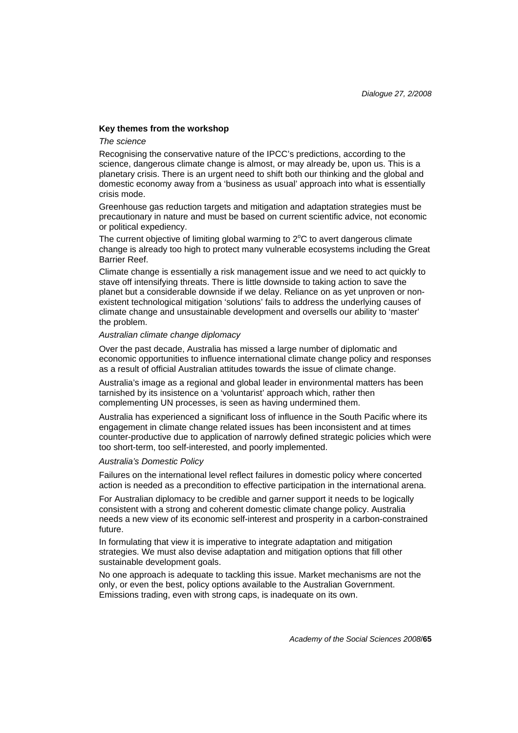### **Key themes from the workshop**

### *The science*

Recognising the conservative nature of the IPCC's predictions, according to the science, dangerous climate change is almost, or may already be, upon us. This is a planetary crisis. There is an urgent need to shift both our thinking and the global and domestic economy away from a 'business as usual' approach into what is essentially crisis mode.

Greenhouse gas reduction targets and mitigation and adaptation strategies must be precautionary in nature and must be based on current scientific advice, not economic or political expediency.

The current objective of limiting global warming to  $2^{\circ}$ C to avert dangerous climate change is already too high to protect many vulnerable ecosystems including the Great Barrier Reef.

Climate change is essentially a risk management issue and we need to act quickly to stave off intensifying threats. There is little downside to taking action to save the planet but a considerable downside if we delay. Reliance on as yet unproven or nonexistent technological mitigation 'solutions' fails to address the underlying causes of climate change and unsustainable development and oversells our ability to 'master' the problem.

### *Australian climate change diplomacy*

Over the past decade, Australia has missed a large number of diplomatic and economic opportunities to influence international climate change policy and responses as a result of official Australian attitudes towards the issue of climate change.

Australia's image as a regional and global leader in environmental matters has been tarnished by its insistence on a 'voluntarist' approach which, rather then complementing UN processes, is seen as having undermined them.

Australia has experienced a significant loss of influence in the South Pacific where its engagement in climate change related issues has been inconsistent and at times counter-productive due to application of narrowly defined strategic policies which were too short-term, too self-interested, and poorly implemented.

### *Australia's Domestic Policy*

Failures on the international level reflect failures in domestic policy where concerted action is needed as a precondition to effective participation in the international arena.

For Australian diplomacy to be credible and garner support it needs to be logically consistent with a strong and coherent domestic climate change policy. Australia needs a new view of its economic self-interest and prosperity in a carbon-constrained future.

In formulating that view it is imperative to integrate adaptation and mitigation strategies. We must also devise adaptation and mitigation options that fill other sustainable development goals.

No one approach is adequate to tackling this issue. Market mechanisms are not the only, or even the best, policy options available to the Australian Government. Emissions trading, even with strong caps, is inadequate on its own.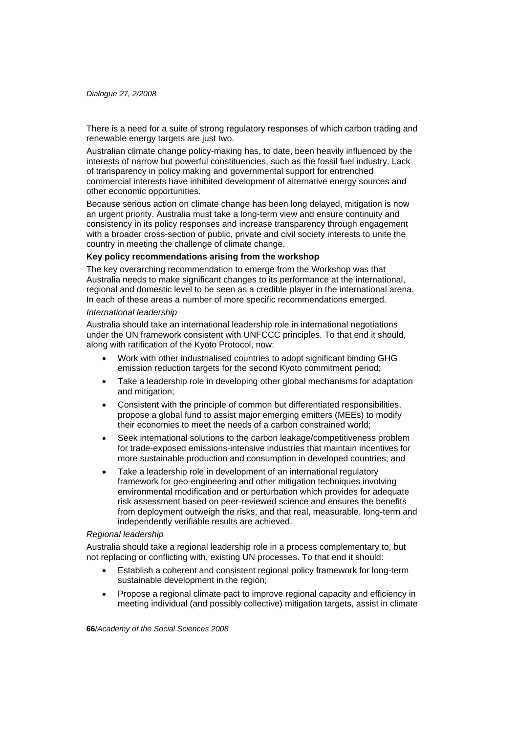There is a need for a suite of strong regulatory responses of which carbon trading and renewable energy targets are just two.

Australian climate change policy-making has, to date, been heavily influenced by the interests of narrow but powerful constituencies, such as the fossil fuel industry. Lack of transparency in policy making and governmental support for entrenched commercial interests have inhibited development of alternative energy sources and other economic opportunities.

Because serious action on climate change has been long delayed, mitigation is now an urgent priority. Australia must take a long-term view and ensure continuity and consistency in its policy responses and increase transparency through engagement with a broader cross-section of public, private and civil society interests to unite the country in meeting the challenge of climate change.

# **Key policy recommendations arising from the workshop**

The key overarching recommendation to emerge from the Workshop was that Australia needs to make significant changes to its performance at the international, regional and domestic level to be seen as a credible player in the international arena. In each of these areas a number of more specific recommendations emerged.

# *International leadership*

Australia should take an international leadership role in international negotiations under the UN framework consistent with UNFCCC principles. To that end it should, along with ratification of the Kyoto Protocol, now:

- Work with other industrialised countries to adopt significant binding GHG emission reduction targets for the second Kyoto commitment period;
- Take a leadership role in developing other global mechanisms for adaptation and mitigation;
- Consistent with the principle of common but differentiated responsibilities, propose a global fund to assist major emerging emitters (MEEs) to modify their economies to meet the needs of a carbon constrained world;
- Seek international solutions to the carbon leakage/competitiveness problem for trade-exposed emissions-intensive industries that maintain incentives for more sustainable production and consumption in developed countries; and
- Take a leadership role in development of an international regulatory framework for geo-engineering and other mitigation techniques involving environmental modification and or perturbation which provides for adequate risk assessment based on peer-reviewed science and ensures the benefits from deployment outweigh the risks, and that real, measurable, long-term and independently verifiable results are achieved.

# *Regional leadership*

Australia should take a regional leadership role in a process complementary to, but not replacing or conflicting with, existing UN processes. To that end it should:

- Establish a coherent and consistent regional policy framework for long-term sustainable development in the region;
- Propose a regional climate pact to improve regional capacity and efficiency in meeting individual (and possibly collective) mitigation targets, assist in climate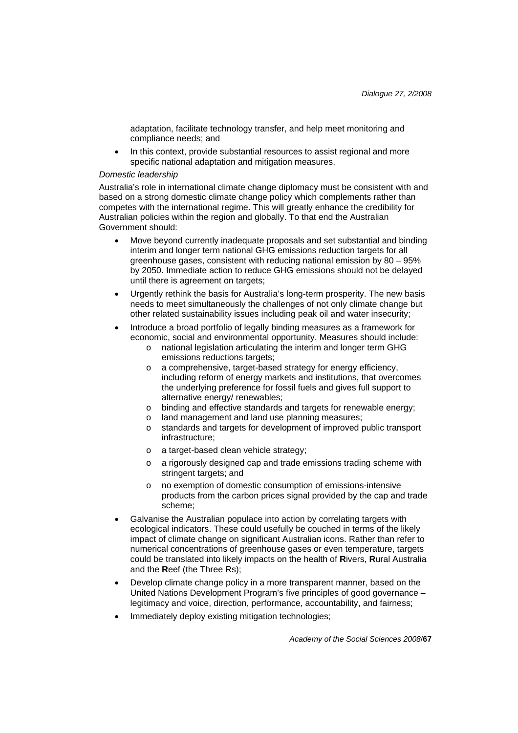adaptation, facilitate technology transfer, and help meet monitoring and compliance needs; and

• In this context, provide substantial resources to assist regional and more specific national adaptation and mitigation measures.

# *Domestic leadership*

Australia's role in international climate change diplomacy must be consistent with and based on a strong domestic climate change policy which complements rather than competes with the international regime. This will greatly enhance the credibility for Australian policies within the region and globally. To that end the Australian Government should:

- Move beyond currently inadequate proposals and set substantial and binding interim and longer term national GHG emissions reduction targets for all greenhouse gases, consistent with reducing national emission by 80 – 95% by 2050. Immediate action to reduce GHG emissions should not be delayed until there is agreement on targets;
- Urgently rethink the basis for Australia's long-term prosperity. The new basis needs to meet simultaneously the challenges of not only climate change but other related sustainability issues including peak oil and water insecurity;
- Introduce a broad portfolio of legally binding measures as a framework for economic, social and environmental opportunity. Measures should include:
	- o national legislation articulating the interim and longer term GHG emissions reductions targets;
	- o a comprehensive, target-based strategy for energy efficiency, including reform of energy markets and institutions, that overcomes the underlying preference for fossil fuels and gives full support to alternative energy/ renewables;
	- o binding and effective standards and targets for renewable energy;
	- o land management and land use planning measures;
	- o standards and targets for development of improved public transport infrastructure;
	- o a target-based clean vehicle strategy;
	- o a rigorously designed cap and trade emissions trading scheme with stringent targets; and
	- o no exemption of domestic consumption of emissions-intensive products from the carbon prices signal provided by the cap and trade scheme;
- Galvanise the Australian populace into action by correlating targets with ecological indicators. These could usefully be couched in terms of the likely impact of climate change on significant Australian icons. Rather than refer to numerical concentrations of greenhouse gases or even temperature, targets could be translated into likely impacts on the health of **R**ivers, **R**ural Australia and the **R**eef (the Three Rs);
- Develop climate change policy in a more transparent manner, based on the United Nations Development Program's five principles of good governance – legitimacy and voice, direction, performance, accountability, and fairness;
- Immediately deploy existing mitigation technologies;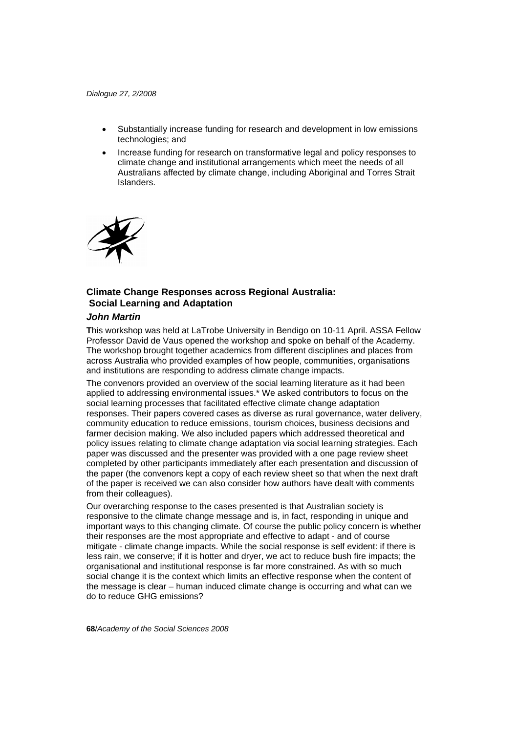- Substantially increase funding for research and development in low emissions technologies; and
- Increase funding for research on transformative legal and policy responses to climate change and institutional arrangements which meet the needs of all Australians affected by climate change, including Aboriginal and Torres Strait Islanders.



# **Climate Change Responses across Regional Australia: Social Learning and Adaptation**

# *John Martin*

**T**his workshop was held at LaTrobe University in Bendigo on 10-11 April. ASSA Fellow Professor David de Vaus opened the workshop and spoke on behalf of the Academy. The workshop brought together academics from different disciplines and places from across Australia who provided examples of how people, communities, organisations and institutions are responding to address climate change impacts.

The convenors provided an overview of the social learning literature as it had been applied to addressing environmental issues.\* We asked contributors to focus on the social learning processes that facilitated effective climate change adaptation responses. Their papers covered cases as diverse as rural governance, water delivery, community education to reduce emissions, tourism choices, business decisions and farmer decision making. We also included papers which addressed theoretical and policy issues relating to climate change adaptation via social learning strategies. Each paper was discussed and the presenter was provided with a one page review sheet completed by other participants immediately after each presentation and discussion of the paper (the convenors kept a copy of each review sheet so that when the next draft of the paper is received we can also consider how authors have dealt with comments from their colleagues).

Our overarching response to the cases presented is that Australian society is responsive to the climate change message and is, in fact, responding in unique and important ways to this changing climate. Of course the public policy concern is whether their responses are the most appropriate and effective to adapt - and of course mitigate - climate change impacts. While the social response is self evident: if there is less rain, we conserve; if it is hotter and dryer, we act to reduce bush fire impacts; the organisational and institutional response is far more constrained. As with so much social change it is the context which limits an effective response when the content of the message is clear – human induced climate change is occurring and what can we do to reduce GHG emissions?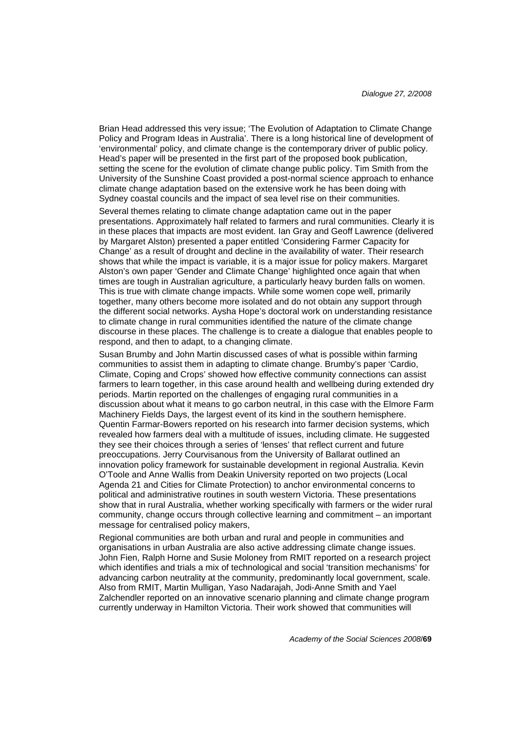Brian Head addressed this very issue; 'The Evolution of Adaptation to Climate Change Policy and Program Ideas in Australia'. There is a long historical line of development of 'environmental' policy, and climate change is the contemporary driver of public policy. Head's paper will be presented in the first part of the proposed book publication, setting the scene for the evolution of climate change public policy. Tim Smith from the University of the Sunshine Coast provided a post-normal science approach to enhance climate change adaptation based on the extensive work he has been doing with Sydney coastal councils and the impact of sea level rise on their communities.

Several themes relating to climate change adaptation came out in the paper presentations. Approximately half related to farmers and rural communities. Clearly it is in these places that impacts are most evident. Ian Gray and Geoff Lawrence (delivered by Margaret Alston) presented a paper entitled 'Considering Farmer Capacity for Change' as a result of drought and decline in the availability of water. Their research shows that while the impact is variable, it is a major issue for policy makers. Margaret Alston's own paper 'Gender and Climate Change' highlighted once again that when times are tough in Australian agriculture, a particularly heavy burden falls on women. This is true with climate change impacts. While some women cope well, primarily together, many others become more isolated and do not obtain any support through the different social networks. Aysha Hope's doctoral work on understanding resistance to climate change in rural communities identified the nature of the climate change discourse in these places. The challenge is to create a dialogue that enables people to respond, and then to adapt, to a changing climate.

Susan Brumby and John Martin discussed cases of what is possible within farming communities to assist them in adapting to climate change. Brumby's paper 'Cardio, Climate, Coping and Crops' showed how effective community connections can assist farmers to learn together, in this case around health and wellbeing during extended dry periods. Martin reported on the challenges of engaging rural communities in a discussion about what it means to go carbon neutral, in this case with the Elmore Farm Machinery Fields Days, the largest event of its kind in the southern hemisphere. Quentin Farmar-Bowers reported on his research into farmer decision systems, which revealed how farmers deal with a multitude of issues, including climate. He suggested they see their choices through a series of 'lenses' that reflect current and future preoccupations. Jerry Courvisanous from the University of Ballarat outlined an innovation policy framework for sustainable development in regional Australia. Kevin O'Toole and Anne Wallis from Deakin University reported on two projects (Local Agenda 21 and Cities for Climate Protection) to anchor environmental concerns to political and administrative routines in south western Victoria. These presentations show that in rural Australia, whether working specifically with farmers or the wider rural community, change occurs through collective learning and commitment – an important message for centralised policy makers,

Regional communities are both urban and rural and people in communities and organisations in urban Australia are also active addressing climate change issues. John Fien, Ralph Horne and Susie Moloney from RMIT reported on a research project which identifies and trials a mix of technological and social 'transition mechanisms' for advancing carbon neutrality at the community, predominantly local government, scale. Also from RMIT, Martin Mulligan, Yaso Nadarajah, Jodi-Anne Smith and Yael Zalchendler reported on an innovative scenario planning and climate change program currently underway in Hamilton Victoria. Their work showed that communities will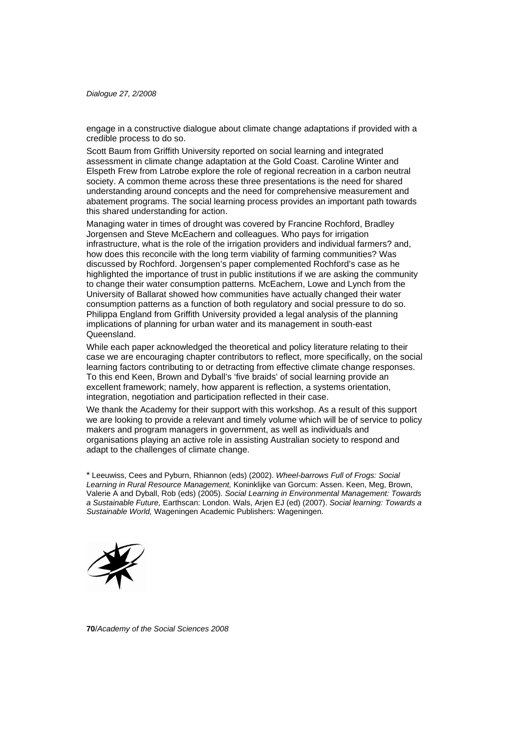engage in a constructive dialogue about climate change adaptations if provided with a credible process to do so.

Scott Baum from Griffith University reported on social learning and integrated assessment in climate change adaptation at the Gold Coast. Caroline Winter and Elspeth Frew from Latrobe explore the role of regional recreation in a carbon neutral society. A common theme across these three presentations is the need for shared understanding around concepts and the need for comprehensive measurement and abatement programs. The social learning process provides an important path towards this shared understanding for action.

Managing water in times of drought was covered by Francine Rochford, Bradley Jorgensen and Steve McEachern and colleagues. Who pays for irrigation infrastructure, what is the role of the irrigation providers and individual farmers? and, how does this reconcile with the long term viability of farming communities? Was discussed by Rochford. Jorgensen's paper complemented Rochford's case as he highlighted the importance of trust in public institutions if we are asking the community to change their water consumption patterns. McEachern, Lowe and Lynch from the University of Ballarat showed how communities have actually changed their water consumption patterns as a function of both regulatory and social pressure to do so. Philippa England from Griffith University provided a legal analysis of the planning implications of planning for urban water and its management in south-east Queensland.

While each paper acknowledged the theoretical and policy literature relating to their case we are encouraging chapter contributors to reflect, more specifically, on the social learning factors contributing to or detracting from effective climate change responses. To this end Keen, Brown and Dyball's 'five braids' of social learning provide an excellent framework; namely, how apparent is reflection, a systems orientation, integration, negotiation and participation reflected in their case.

We thank the Academy for their support with this workshop. As a result of this support we are looking to provide a relevant and timely volume which will be of service to policy makers and program managers in government, as well as individuals and organisations playing an active role in assisting Australian society to respond and adapt to the challenges of climate change.

\* Leeuwiss, Cees and Pyburn, Rhiannon (eds) (2002). *Wheel-barrows Full of Frogs: Social Learning in Rural Resource Management,* Koninklijke van Gorcum: Assen. Keen, Meg, Brown, Valerie A and Dyball, Rob (eds) (2005). *Social Learning in Environmental Management: Towards a Sustainable Future,* Earthscan: London. Wals, Arjen EJ (ed) (2007). *Social learning: Towards a Sustainable World,* Wageningen Academic Publishers: Wageningen.



**70**/*Academy of the Social Sciences 2008*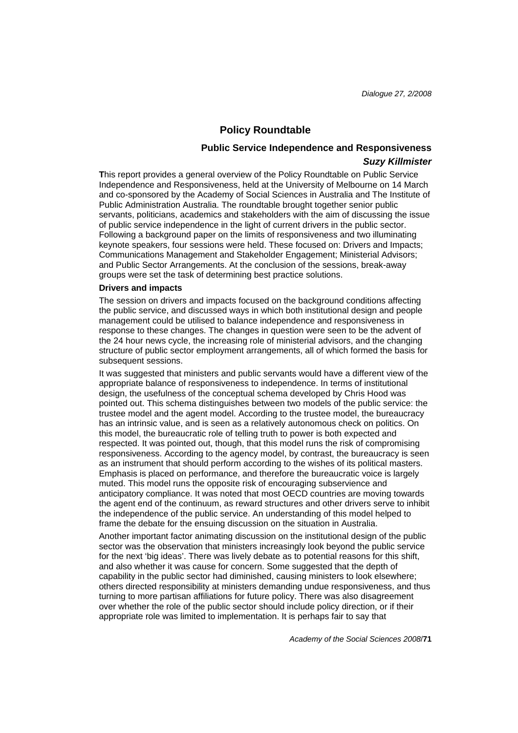## **Policy Roundtable**

## **Public Service Independence and Responsiveness**  *Suzy Killmister*

**T**his report provides a general overview of the Policy Roundtable on Public Service Independence and Responsiveness, held at the University of Melbourne on 14 March and co-sponsored by the Academy of Social Sciences in Australia and The Institute of Public Administration Australia. The roundtable brought together senior public servants, politicians, academics and stakeholders with the aim of discussing the issue of public service independence in the light of current drivers in the public sector. Following a background paper on the limits of responsiveness and two illuminating keynote speakers, four sessions were held. These focused on: Drivers and Impacts; Communications Management and Stakeholder Engagement; Ministerial Advisors; and Public Sector Arrangements. At the conclusion of the sessions, break-away groups were set the task of determining best practice solutions.

#### **Drivers and impacts**

The session on drivers and impacts focused on the background conditions affecting the public service, and discussed ways in which both institutional design and people management could be utilised to balance independence and responsiveness in response to these changes. The changes in question were seen to be the advent of the 24 hour news cycle, the increasing role of ministerial advisors, and the changing structure of public sector employment arrangements, all of which formed the basis for subsequent sessions.

It was suggested that ministers and public servants would have a different view of the appropriate balance of responsiveness to independence. In terms of institutional design, the usefulness of the conceptual schema developed by Chris Hood was pointed out. This schema distinguishes between two models of the public service: the trustee model and the agent model. According to the trustee model, the bureaucracy has an intrinsic value, and is seen as a relatively autonomous check on politics. On this model, the bureaucratic role of telling truth to power is both expected and respected. It was pointed out, though, that this model runs the risk of compromising responsiveness. According to the agency model, by contrast, the bureaucracy is seen as an instrument that should perform according to the wishes of its political masters. Emphasis is placed on performance, and therefore the bureaucratic voice is largely muted. This model runs the opposite risk of encouraging subservience and anticipatory compliance. It was noted that most OECD countries are moving towards the agent end of the continuum, as reward structures and other drivers serve to inhibit the independence of the public service. An understanding of this model helped to frame the debate for the ensuing discussion on the situation in Australia.

Another important factor animating discussion on the institutional design of the public sector was the observation that ministers increasingly look beyond the public service for the next 'big ideas'. There was lively debate as to potential reasons for this shift, and also whether it was cause for concern. Some suggested that the depth of capability in the public sector had diminished, causing ministers to look elsewhere; others directed responsibility at ministers demanding undue responsiveness, and thus turning to more partisan affiliations for future policy. There was also disagreement over whether the role of the public sector should include policy direction, or if their appropriate role was limited to implementation. It is perhaps fair to say that

*Academy of the Social Sciences 2008*/**71**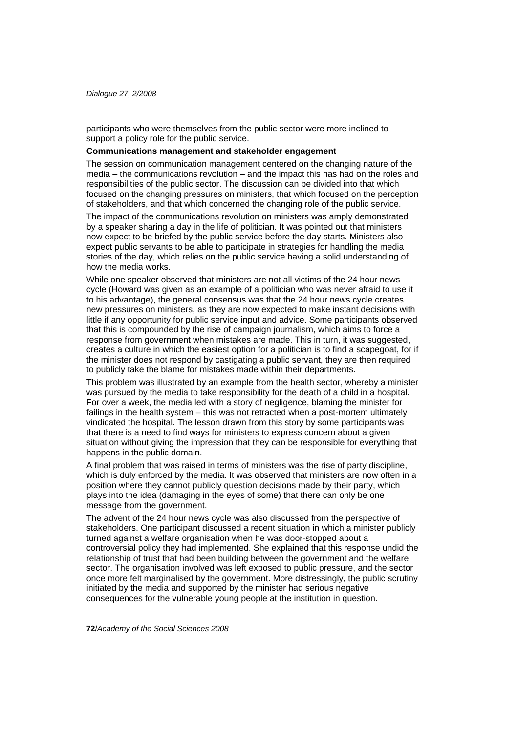participants who were themselves from the public sector were more inclined to support a policy role for the public service.

#### **Communications management and stakeholder engagement**

The session on communication management centered on the changing nature of the media – the communications revolution – and the impact this has had on the roles and responsibilities of the public sector. The discussion can be divided into that which focused on the changing pressures on ministers, that which focused on the perception of stakeholders, and that which concerned the changing role of the public service.

The impact of the communications revolution on ministers was amply demonstrated by a speaker sharing a day in the life of politician. It was pointed out that ministers now expect to be briefed by the public service before the day starts. Ministers also expect public servants to be able to participate in strategies for handling the media stories of the day, which relies on the public service having a solid understanding of how the media works.

While one speaker observed that ministers are not all victims of the 24 hour news cycle (Howard was given as an example of a politician who was never afraid to use it to his advantage), the general consensus was that the 24 hour news cycle creates new pressures on ministers, as they are now expected to make instant decisions with little if any opportunity for public service input and advice. Some participants observed that this is compounded by the rise of campaign journalism, which aims to force a response from government when mistakes are made. This in turn, it was suggested, creates a culture in which the easiest option for a politician is to find a scapegoat, for if the minister does not respond by castigating a public servant, they are then required to publicly take the blame for mistakes made within their departments.

This problem was illustrated by an example from the health sector, whereby a minister was pursued by the media to take responsibility for the death of a child in a hospital. For over a week, the media led with a story of negligence, blaming the minister for failings in the health system – this was not retracted when a post-mortem ultimately vindicated the hospital. The lesson drawn from this story by some participants was that there is a need to find ways for ministers to express concern about a given situation without giving the impression that they can be responsible for everything that happens in the public domain.

A final problem that was raised in terms of ministers was the rise of party discipline, which is duly enforced by the media. It was observed that ministers are now often in a position where they cannot publicly question decisions made by their party, which plays into the idea (damaging in the eyes of some) that there can only be one message from the government.

The advent of the 24 hour news cycle was also discussed from the perspective of stakeholders. One participant discussed a recent situation in which a minister publicly turned against a welfare organisation when he was door-stopped about a controversial policy they had implemented. She explained that this response undid the relationship of trust that had been building between the government and the welfare sector. The organisation involved was left exposed to public pressure, and the sector once more felt marginalised by the government. More distressingly, the public scrutiny initiated by the media and supported by the minister had serious negative consequences for the vulnerable young people at the institution in question.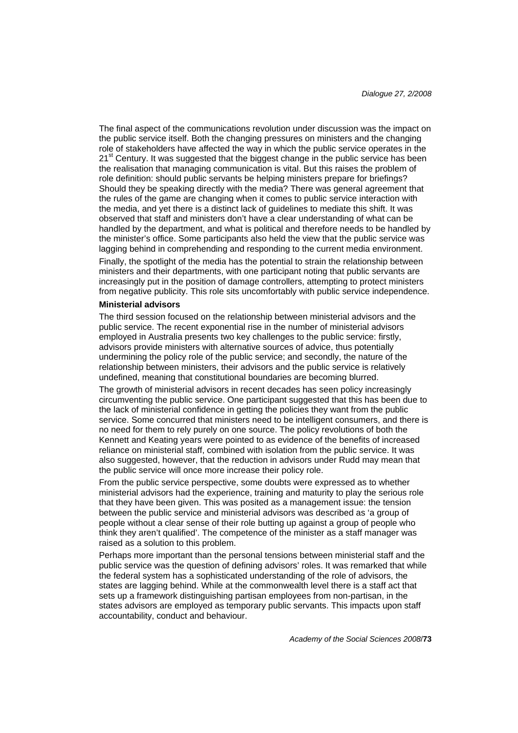The final aspect of the communications revolution under discussion was the impact on the public service itself. Both the changing pressures on ministers and the changing role of stakeholders have affected the way in which the public service operates in the  $21<sup>st</sup>$  Century. It was suggested that the biggest change in the public service has been the realisation that managing communication is vital. But this raises the problem of role definition: should public servants be helping ministers prepare for briefings? Should they be speaking directly with the media? There was general agreement that the rules of the game are changing when it comes to public service interaction with the media, and yet there is a distinct lack of guidelines to mediate this shift. It was observed that staff and ministers don't have a clear understanding of what can be handled by the department, and what is political and therefore needs to be handled by the minister's office. Some participants also held the view that the public service was lagging behind in comprehending and responding to the current media environment.

Finally, the spotlight of the media has the potential to strain the relationship between ministers and their departments, with one participant noting that public servants are increasingly put in the position of damage controllers, attempting to protect ministers from negative publicity. This role sits uncomfortably with public service independence.

#### **Ministerial advisors**

The third session focused on the relationship between ministerial advisors and the public service. The recent exponential rise in the number of ministerial advisors employed in Australia presents two key challenges to the public service: firstly, advisors provide ministers with alternative sources of advice, thus potentially undermining the policy role of the public service; and secondly, the nature of the relationship between ministers, their advisors and the public service is relatively undefined, meaning that constitutional boundaries are becoming blurred.

The growth of ministerial advisors in recent decades has seen policy increasingly circumventing the public service. One participant suggested that this has been due to the lack of ministerial confidence in getting the policies they want from the public service. Some concurred that ministers need to be intelligent consumers, and there is no need for them to rely purely on one source. The policy revolutions of both the Kennett and Keating years were pointed to as evidence of the benefits of increased reliance on ministerial staff, combined with isolation from the public service. It was also suggested, however, that the reduction in advisors under Rudd may mean that the public service will once more increase their policy role.

From the public service perspective, some doubts were expressed as to whether ministerial advisors had the experience, training and maturity to play the serious role that they have been given. This was posited as a management issue: the tension between the public service and ministerial advisors was described as 'a group of people without a clear sense of their role butting up against a group of people who think they aren't qualified'. The competence of the minister as a staff manager was raised as a solution to this problem.

Perhaps more important than the personal tensions between ministerial staff and the public service was the question of defining advisors' roles. It was remarked that while the federal system has a sophisticated understanding of the role of advisors, the states are lagging behind. While at the commonwealth level there is a staff act that sets up a framework distinguishing partisan employees from non-partisan, in the states advisors are employed as temporary public servants. This impacts upon staff accountability, conduct and behaviour.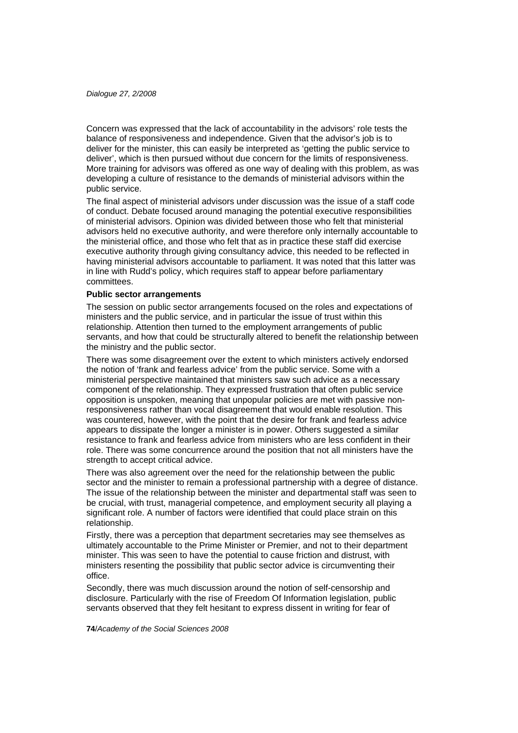#### *Dialogue 27, 2/2008*

Concern was expressed that the lack of accountability in the advisors' role tests the balance of responsiveness and independence. Given that the advisor's job is to deliver for the minister, this can easily be interpreted as 'getting the public service to deliver', which is then pursued without due concern for the limits of responsiveness. More training for advisors was offered as one way of dealing with this problem, as was developing a culture of resistance to the demands of ministerial advisors within the public service.

The final aspect of ministerial advisors under discussion was the issue of a staff code of conduct. Debate focused around managing the potential executive responsibilities of ministerial advisors. Opinion was divided between those who felt that ministerial advisors held no executive authority, and were therefore only internally accountable to the ministerial office, and those who felt that as in practice these staff did exercise executive authority through giving consultancy advice, this needed to be reflected in having ministerial advisors accountable to parliament. It was noted that this latter was in line with Rudd's policy, which requires staff to appear before parliamentary committees.

#### **Public sector arrangements**

The session on public sector arrangements focused on the roles and expectations of ministers and the public service, and in particular the issue of trust within this relationship. Attention then turned to the employment arrangements of public servants, and how that could be structurally altered to benefit the relationship between the ministry and the public sector.

There was some disagreement over the extent to which ministers actively endorsed the notion of 'frank and fearless advice' from the public service. Some with a ministerial perspective maintained that ministers saw such advice as a necessary component of the relationship. They expressed frustration that often public service opposition is unspoken, meaning that unpopular policies are met with passive nonresponsiveness rather than vocal disagreement that would enable resolution. This was countered, however, with the point that the desire for frank and fearless advice appears to dissipate the longer a minister is in power. Others suggested a similar resistance to frank and fearless advice from ministers who are less confident in their role. There was some concurrence around the position that not all ministers have the strength to accept critical advice.

There was also agreement over the need for the relationship between the public sector and the minister to remain a professional partnership with a degree of distance. The issue of the relationship between the minister and departmental staff was seen to be crucial, with trust, managerial competence, and employment security all playing a significant role. A number of factors were identified that could place strain on this relationship.

Firstly, there was a perception that department secretaries may see themselves as ultimately accountable to the Prime Minister or Premier, and not to their department minister. This was seen to have the potential to cause friction and distrust, with ministers resenting the possibility that public sector advice is circumventing their office.

Secondly, there was much discussion around the notion of self-censorship and disclosure. Particularly with the rise of Freedom Of Information legislation, public servants observed that they felt hesitant to express dissent in writing for fear of

**74**/*Academy of the Social Sciences 2008*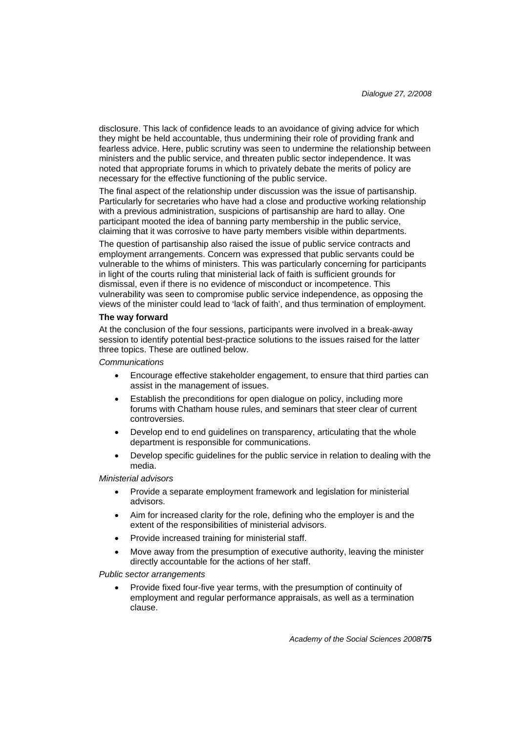disclosure. This lack of confidence leads to an avoidance of giving advice for which they might be held accountable, thus undermining their role of providing frank and fearless advice. Here, public scrutiny was seen to undermine the relationship between ministers and the public service, and threaten public sector independence. It was noted that appropriate forums in which to privately debate the merits of policy are necessary for the effective functioning of the public service.

The final aspect of the relationship under discussion was the issue of partisanship. Particularly for secretaries who have had a close and productive working relationship with a previous administration, suspicions of partisanship are hard to allay. One participant mooted the idea of banning party membership in the public service, claiming that it was corrosive to have party members visible within departments.

The question of partisanship also raised the issue of public service contracts and employment arrangements. Concern was expressed that public servants could be vulnerable to the whims of ministers. This was particularly concerning for participants in light of the courts ruling that ministerial lack of faith is sufficient grounds for dismissal, even if there is no evidence of misconduct or incompetence. This vulnerability was seen to compromise public service independence, as opposing the views of the minister could lead to 'lack of faith', and thus termination of employment.

#### **The way forward**

At the conclusion of the four sessions, participants were involved in a break-away session to identify potential best-practice solutions to the issues raised for the latter three topics. These are outlined below.

#### *Communications*

- Encourage effective stakeholder engagement, to ensure that third parties can assist in the management of issues.
- Establish the preconditions for open dialogue on policy, including more forums with Chatham house rules, and seminars that steer clear of current controversies.
- Develop end to end guidelines on transparency, articulating that the whole department is responsible for communications.
- Develop specific guidelines for the public service in relation to dealing with the media.

#### *Ministerial advisors*

- Provide a separate employment framework and legislation for ministerial advisors.
- Aim for increased clarity for the role, defining who the employer is and the extent of the responsibilities of ministerial advisors.
- Provide increased training for ministerial staff.
- Move away from the presumption of executive authority, leaving the minister directly accountable for the actions of her staff.

#### *Public sector arrangements*

• Provide fixed four-five year terms, with the presumption of continuity of employment and regular performance appraisals, as well as a termination clause.

*Academy of the Social Sciences 2008*/**75**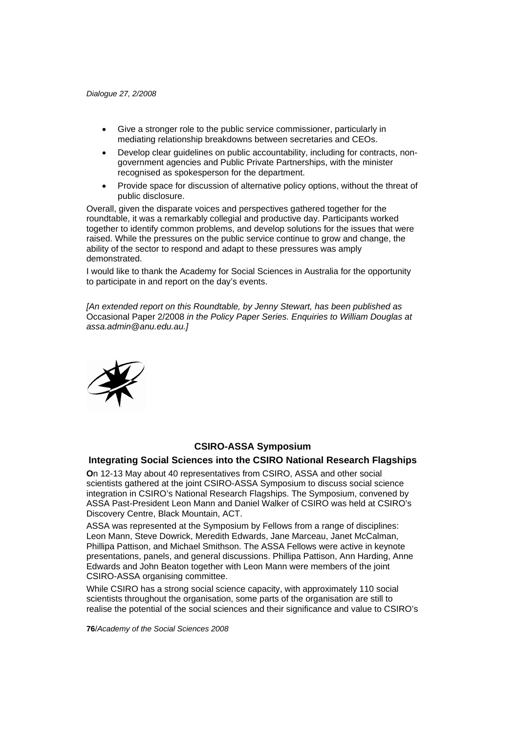- Give a stronger role to the public service commissioner, particularly in mediating relationship breakdowns between secretaries and CEOs.
- Develop clear guidelines on public accountability, including for contracts, nongovernment agencies and Public Private Partnerships, with the minister recognised as spokesperson for the department.
- Provide space for discussion of alternative policy options, without the threat of public disclosure.

Overall, given the disparate voices and perspectives gathered together for the roundtable, it was a remarkably collegial and productive day. Participants worked together to identify common problems, and develop solutions for the issues that were raised. While the pressures on the public service continue to grow and change, the ability of the sector to respond and adapt to these pressures was amply demonstrated.

I would like to thank the Academy for Social Sciences in Australia for the opportunity to participate in and report on the day's events.

*[An extended report on this Roundtable, by Jenny Stewart, has been published as*  Occasional Paper 2/2008 *in the Policy Paper Series. Enquiries to William Douglas at assa.admin@anu.edu.au.]* 



## **CSIRO-ASSA Symposium**

#### **Integrating Social Sciences into the CSIRO National Research Flagships**

**O**n 12-13 May about 40 representatives from CSIRO, ASSA and other social scientists gathered at the joint CSIRO-ASSA Symposium to discuss social science integration in CSIRO's National Research Flagships. The Symposium, convened by ASSA Past-President Leon Mann and Daniel Walker of CSIRO was held at CSIRO's Discovery Centre, Black Mountain, ACT.

ASSA was represented at the Symposium by Fellows from a range of disciplines: Leon Mann, Steve Dowrick, Meredith Edwards, Jane Marceau, Janet McCalman, Phillipa Pattison, and Michael Smithson. The ASSA Fellows were active in keynote presentations, panels, and general discussions. Phillipa Pattison, Ann Harding, Anne Edwards and John Beaton together with Leon Mann were members of the joint CSIRO-ASSA organising committee.

While CSIRO has a strong social science capacity, with approximately 110 social scientists throughout the organisation, some parts of the organisation are still to realise the potential of the social sciences and their significance and value to CSIRO's

**76**/*Academy of the Social Sciences 2008*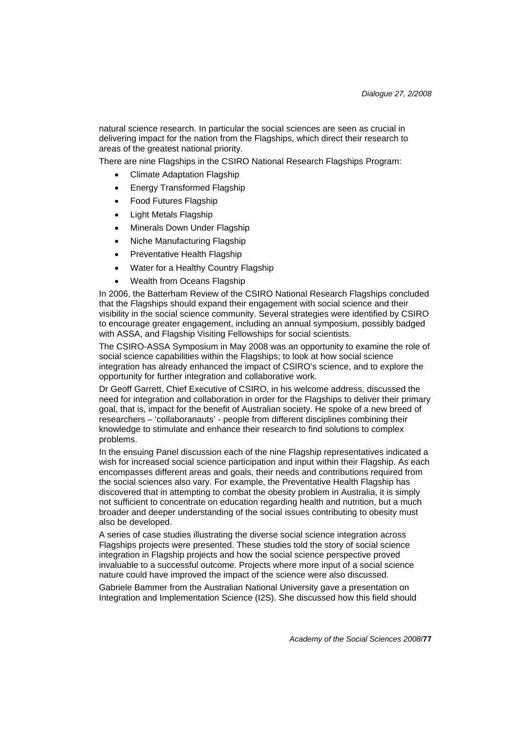natural science research. In particular the social sciences are seen as crucial in delivering impact for the nation from the Flagships, which direct their research to areas of the greatest national priority.

There are nine Flagships in the CSIRO National Research Flagships Program:

- Climate Adaptation Flagship
- Energy Transformed Flagship
- Food Futures Flagship
- Light Metals Flagship
- Minerals Down Under Flagship
- Niche Manufacturing Flagship
- Preventative Health Flagship
- Water for a Healthy Country Flagship
- Wealth from Oceans Flagship

In 2006, the Batterham Review of the CSIRO National Research Flagships concluded that the Flagships should expand their engagement with social science and their visibility in the social science community. Several strategies were identified by CSIRO to encourage greater engagement, including an annual symposium, possibly badged with ASSA, and Flagship Visiting Fellowships for social scientists.

The CSIRO-ASSA Symposium in May 2008 was an opportunity to examine the role of social science capabilities within the Flagships; to look at how social science integration has already enhanced the impact of CSIRO's science, and to explore the opportunity for further integration and collaborative work.

Dr Geoff Garrett, Chief Executive of CSIRO, in his welcome address, discussed the need for integration and collaboration in order for the Flagships to deliver their primary goal, that is, impact for the benefit of Australian society. He spoke of a new breed of researchers – 'collaboranauts' - people from different disciplines combining their knowledge to stimulate and enhance their research to find solutions to complex problems.

In the ensuing Panel discussion each of the nine Flagship representatives indicated a wish for increased social science participation and input within their Flagship. As each encompasses different areas and goals, their needs and contributions required from the social sciences also vary. For example, the Preventative Health Flagship has discovered that in attempting to combat the obesity problem in Australia, it is simply not sufficient to concentrate on education regarding health and nutrition, but a much broader and deeper understanding of the social issues contributing to obesity must also be developed.

A series of case studies illustrating the diverse social science integration across Flagships projects were presented. These studies told the story of social science integration in Flagship projects and how the social science perspective proved invaluable to a successful outcome. Projects where more input of a social science nature could have improved the impact of the science were also discussed.

Gabriele Bammer from the Australian National University gave a presentation on Integration and Implementation Science (I2S). She discussed how this field should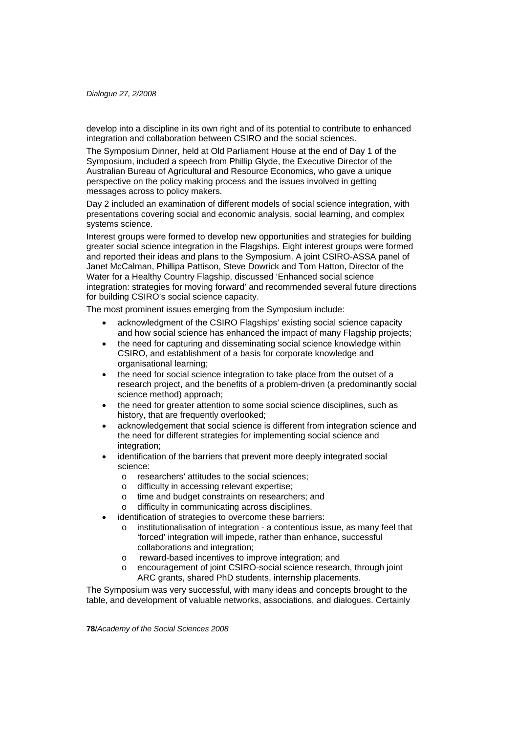#### *Dialogue 27, 2/2008*

develop into a discipline in its own right and of its potential to contribute to enhanced integration and collaboration between CSIRO and the social sciences.

The Symposium Dinner, held at Old Parliament House at the end of Day 1 of the Symposium, included a speech from Phillip Glyde, the Executive Director of the Australian Bureau of Agricultural and Resource Economics, who gave a unique perspective on the policy making process and the issues involved in getting messages across to policy makers.

Day 2 included an examination of different models of social science integration, with presentations covering social and economic analysis, social learning, and complex systems science.

Interest groups were formed to develop new opportunities and strategies for building greater social science integration in the Flagships. Eight interest groups were formed and reported their ideas and plans to the Symposium. A joint CSIRO-ASSA panel of Janet McCalman, Phillipa Pattison, Steve Dowrick and Tom Hatton, Director of the Water for a Healthy Country Flagship, discussed 'Enhanced social science integration: strategies for moving forward' and recommended several future directions for building CSIRO's social science capacity.

The most prominent issues emerging from the Symposium include:

- acknowledgment of the CSIRO Flagships' existing social science capacity and how social science has enhanced the impact of many Flagship projects;
- the need for capturing and disseminating social science knowledge within CSIRO, and establishment of a basis for corporate knowledge and organisational learning;
- the need for social science integration to take place from the outset of a research project, and the benefits of a problem-driven (a predominantly social science method) approach;
- the need for greater attention to some social science disciplines, such as history, that are frequently overlooked:
- acknowledgement that social science is different from integration science and the need for different strategies for implementing social science and integration;
- identification of the barriers that prevent more deeply integrated social science:
	- o researchers' attitudes to the social sciences;
	- o difficulty in accessing relevant expertise;
	- o time and budget constraints on researchers; and
	- o difficulty in communicating across disciplines.
- identification of strategies to overcome these barriers:
	- $\circ$  institutionalisation of integration a contentious issue, as many feel that 'forced' integration will impede, rather than enhance, successful collaborations and integration;
	- o reward-based incentives to improve integration; and
	- o encouragement of joint CSIRO-social science research, through joint ARC grants, shared PhD students, internship placements.

The Symposium was very successful, with many ideas and concepts brought to the table, and development of valuable networks, associations, and dialogues. Certainly

**78**/*Academy of the Social Sciences 2008*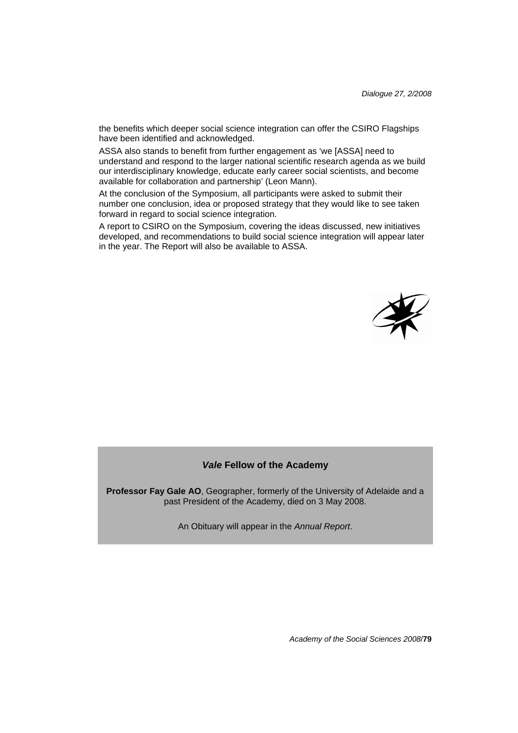the benefits which deeper social science integration can offer the CSIRO Flagships have been identified and acknowledged.

ASSA also stands to benefit from further engagement as 'we [ASSA] need to understand and respond to the larger national scientific research agenda as we build our interdisciplinary knowledge, educate early career social scientists, and become available for collaboration and partnership' (Leon Mann).

At the conclusion of the Symposium, all participants were asked to submit their number one conclusion, idea or proposed strategy that they would like to see taken forward in regard to social science integration.

A report to CSIRO on the Symposium, covering the ideas discussed, new initiatives developed, and recommendations to build social science integration will appear later in the year. The Report will also be available to ASSA.



## *Vale* **Fellow of the Academy**

**Professor Fay Gale AO**, Geographer, formerly of the University of Adelaide and a past President of the Academy, died on 3 May 2008.

An Obituary will appear in the *Annual Report*.

*Academy of the Social Sciences 2008*/**79**